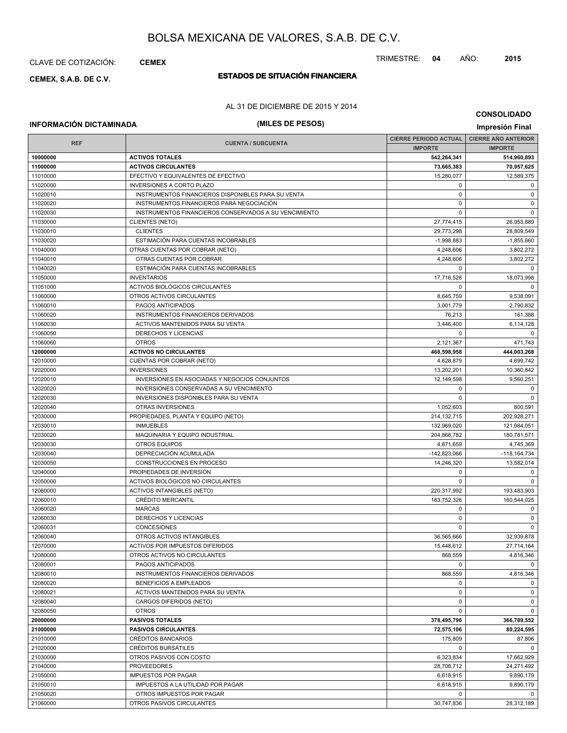## CLAVE DE COTIZACIÓN: **CEMEX**

# **ESTADOS DE SITUACIÓN FINANCIERA CEMEX, S.A.B. DE C.V.**

## AL 31 DE DICIEMBRE DE 2015 Y 2014

# **INFORMACIÓN DICTAMINADA (MILES DE PESOS) Impresión Final**

**CONSOLIDADO**

| <b>REF</b> | <b>CUENTA / SUBCUENTA</b>                             | <b>CIERRE PERIODO ACTUAL</b> | <b>CIERRE ANO ANTERIOR</b> |
|------------|-------------------------------------------------------|------------------------------|----------------------------|
|            |                                                       | <b>IMPORTE</b>               | <b>IMPORTE</b>             |
| 10000000   | <b>ACTIVOS TOTALES</b>                                | 542,264,341                  | 514,960,893                |
| 11000000   | <b>ACTIVOS CIRCULANTES</b>                            | 73,665,383                   | 70,957,625                 |
| 11010000   | EFECTIVO Y EQUIVALENTES DE EFECTIVO                   | 15,280,077                   | 12,589,375                 |
| 11020000   | <b>INVERSIONES A CORTO PLAZO</b>                      | $\mathbf 0$                  | 0                          |
| 11020010   | INSTRUMENTOS FINANCIEROS DISPONIBLES PARA SU VENTA    | $\mathbf 0$                  | 0                          |
| 11020020   | INSTRUMENTOS FINANCIEROS PARA NEGOCIACIÓN             | $\mathbf 0$                  | $\mathbf 0$                |
| 11020030   | INSTRUMENTOS FINANCIEROS CONSERVADOS A SU VENCIMIENTO | $\mathbf 0$                  | $\mathbf 0$                |
| 11030000   | <b>CLIENTES (NETO)</b>                                | 27,774,415                   | 26,953,889                 |
| 11030010   | <b>CLIENTES</b>                                       | 29,773,298                   | 28,809,549                 |
| 11030020   | ESTIMACIÓN PARA CUENTAS INCOBRABLES                   | $-1,998,883$                 | $-1,855,660$               |
| 11040000   | OTRAS CUENTAS POR COBRAR (NETO)                       | 4,248,606                    | 3,802,272                  |
| 11040010   | OTRAS CUENTAS POR COBRAR                              | 4,248,606                    | 3,802,272                  |
| 11040020   | ESTIMACIÓN PARA CUENTAS INCOBRABLES                   | $\mathbf 0$                  | $\mathbf 0$                |
| 11050000   | <b>INVENTARIOS</b>                                    | 17,716,526                   | 18,073,998                 |
| 11051000   | ACTIVOS BIOLÓGICOS CIRCULANTES                        | 0                            | $\mathbf 0$                |
| 11060000   | OTROS ACTIVOS CIRCULANTES                             | 8,645,759                    | 9,538,091                  |
| 11060010   | PAGOS ANTICIPADOS                                     | 3,001,779                    | 2,790,832                  |
| 11060020   | INSTRUMENTOS FINANCIEROS DERIVADOS                    | 76,213                       | 161,388                    |
| 11060030   | ACTIVOS MANTENIDOS PARA SU VENTA                      | 3,446,400                    | 6,114,128                  |
| 11060050   | DERECHOS Y LICENCIAS                                  | $\mathbf 0$                  | 0                          |
| 11060060   | <b>OTROS</b>                                          | 2,121,367                    | 471,743                    |
| 12000000   | <b>ACTIVOS NO CIRCULANTES</b>                         | 468,598,958                  | 444,003,268                |
| 12010000   | CUENTAS POR COBRAR (NETO)                             | 4,628,879                    | 4,699,742                  |
| 12020000   | <b>INVERSIONES</b>                                    | 13,202,201                   | 10,360,842                 |
| 12020010   | INVERSIONES EN ASOCIADAS Y NEGOCIOS CONJUNTOS         | 12,149,598                   | 9,560,251                  |
| 12020020   | INVERSIONES CONSERVADAS A SU VENCIMIENTO              | $\mathbf 0$                  | 0                          |
| 12020030   | <b>INVERSIONES DISPONIBLES PARA SU VENTA</b>          | 0                            | $\mathbf 0$                |
| 12020040   | OTRAS INVERSIONES                                     | 1,052,603                    | 800,591                    |
| 12030000   | PROPIEDADES, PLANTA Y EQUIPO (NETO)                   | 214, 132, 715                | 202,928,271                |
| 12030010   | <b>INMUEBLES</b>                                      | 132,969,020                  | 121,984,051                |
| 12030020   | MAQUINARIA Y EQUIPO INDUSTRIAL                        | 204,868,782                  | 180,781,571                |
| 12030030   | <b>OTROS EQUIPOS</b>                                  | 4,871,659                    | 4,745,369                  |
| 12030040   | DEPRECIACIÓN ACUMULADA                                | $-142,823,066$               | $-118, 164, 734$           |
| 12030050   | CONSTRUCCIONES EN PROCESO                             | 14,246,320                   | 13,582,014                 |
| 12040000   | PROPIEDADES DE INVERSIÓN                              | $\mathbf 0$                  | 0                          |
| 12050000   | ACTIVOS BIOLÓGICOS NO CIRCULANTES                     | 0                            | $\mathbf 0$                |
| 12060000   | <b>ACTIVOS INTANGIBLES (NETO)</b>                     | 220,317,992                  | 193,483,903                |
| 12060010   | <b>CRÉDITO MERCANTIL</b>                              | 183,752,326                  | 160,544,025                |
| 12060020   | <b>MARCAS</b>                                         | $\mathbf 0$                  | $\mathbf 0$                |
| 12060030   | DERECHOS Y LICENCIAS                                  | $\mathbf 0$                  | 0                          |
| 12060031   | <b>CONCESIONES</b>                                    | $\Omega$                     | $\mathbf 0$                |
| 12060040   | OTROS ACTIVOS INTANGIBLES                             | 36,565,666                   | 32,939,878                 |
| 12070000   | ACTIVOS POR IMPUESTOS DIFERIDOS                       | 15,448,612                   | 27.714.164                 |
| 12080000   | OTROS ACTIVOS NO CIRCULANTES                          | 868,559                      | 4,816,346                  |
| 12080001   | PAGOS ANTICIPADOS                                     | $\mathbf 0$                  | $\mathbf 0$                |
| 12080010   | INSTRUMENTOS FINANCIEROS DERIVADOS                    | 868,559                      | 4,816,346                  |
| 12080020   | BENEFICIOS A EMPLEADOS                                | 0                            | 0                          |
| 12080021   | ACTIVOS MANTENIDOS PARA SU VENTA                      | $\mathbf 0$                  | $\mathbf 0$                |
| 12080040   | CARGOS DIFERIDOS (NETO)                               | $\mathbf 0$                  | 0                          |
| 12080050   | <b>OTROS</b>                                          | 0                            | $\mathbf 0$                |
| 20000000   | <b>PASIVOS TOTALES</b>                                | 378,495,796                  | 366,789,552                |
| 21000000   | <b>PASIVOS CIRCULANTES</b>                            | 72,575,106                   | 80,224,595                 |
| 21010000   | <b>CRÉDITOS BANCARIOS</b>                             | 175,809                      | 87,806                     |
| 21020000   | CRÉDITOS BURSÁTILES                                   | $\mathbf 0$                  | $\mathbf 0$                |
| 21030000   | OTROS PASIVOS CON COSTO                               | 6,323,834                    | 17,662,929                 |
| 21040000   | <b>PROVEEDORES</b>                                    | 28,708,712                   | 24,271,492                 |
| 21050000   | <b>IMPUESTOS POR PAGAR</b>                            | 6,618,915                    | 9,890,179                  |
| 21050010   | IMPUESTOS A LA UTILIDAD POR PAGAR                     | 6,618,915                    | 9,890,179                  |
| 21050020   | OTROS IMPUESTOS POR PAGAR                             | 0                            | 0                          |
| 21060000   | OTROS PASIVOS CIRCULANTES                             | 30,747,836                   | 28,312,189                 |
|            |                                                       |                              |                            |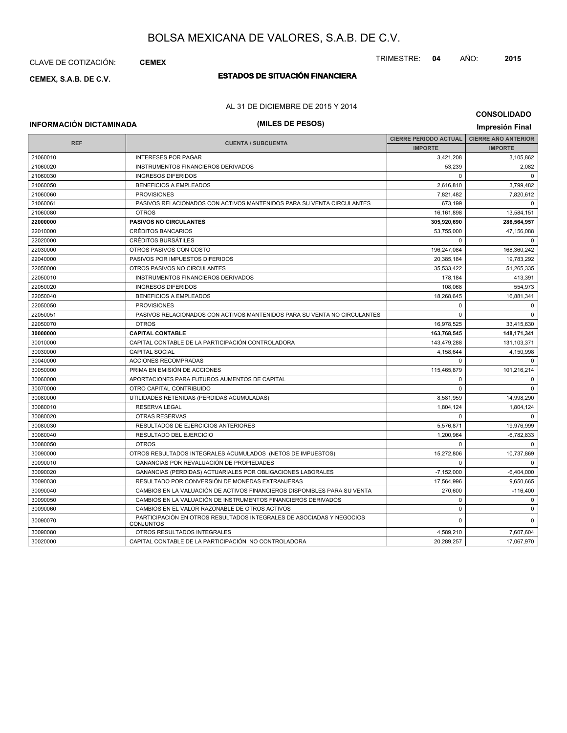## CLAVE DE COTIZACIÓN: **CEMEX**

# **ESTADOS DE SITUACIÓN FINANCIERA CEMEX, S.A.B. DE C.V.**

## AL 31 DE DICIEMBRE DE 2015 Y 2014

## **INFORMACIÓN DICTAMINADA (MILES DE PESOS) Impresión Final**

|            |                                                                                          | <b>CIERRE PERIODO ACTUAL</b> | <b>CIERRE AÑO ANTERIOR</b> |
|------------|------------------------------------------------------------------------------------------|------------------------------|----------------------------|
| <b>REF</b> | <b>CUENTA / SUBCUENTA</b>                                                                | <b>IMPORTE</b>               | <b>IMPORTE</b>             |
| 21060010   | <b>INTERESES POR PAGAR</b>                                                               | 3,421,208                    | 3,105,862                  |
| 21060020   | <b>INSTRUMENTOS FINANCIEROS DERIVADOS</b>                                                | 53.239                       | 2,082                      |
| 21060030   | <b>INGRESOS DIFERIDOS</b>                                                                | $\Omega$                     | $\Omega$                   |
| 21060050   | <b>BENEFICIOS A EMPLEADOS</b>                                                            | 2,616,810                    | 3,799,482                  |
| 21060060   | <b>PROVISIONES</b>                                                                       | 7,821,482                    | 7,820,612                  |
| 21060061   | PASIVOS RELACIONADOS CON ACTIVOS MANTENIDOS PARA SU VENTA CIRCULANTES                    | 673,199                      | $\Omega$                   |
| 21060080   | <b>OTROS</b>                                                                             | 16,161,898                   | 13,584,151                 |
| 22000000   | <b>PASIVOS NO CIRCULANTES</b>                                                            | 305,920,690                  | 286,564,957                |
| 22010000   | <b>CRÉDITOS BANCARIOS</b>                                                                | 53,755,000                   | 47,156,088                 |
| 22020000   | <b>CRÉDITOS BURSÁTILES</b>                                                               | $\Omega$                     | $\overline{0}$             |
| 22030000   | OTROS PASIVOS CON COSTO                                                                  | 196,247,084                  | 168,360,242                |
| 22040000   | PASIVOS POR IMPUESTOS DIFERIDOS                                                          | 20,385,184                   | 19,783,292                 |
| 22050000   | OTROS PASIVOS NO CIRCULANTES                                                             | 35,533,422                   | 51,265,335                 |
| 22050010   | INSTRUMENTOS FINANCIEROS DERIVADOS                                                       | 178,184                      | 413,391                    |
| 22050020   | <b>INGRESOS DIFERIDOS</b>                                                                | 108,068                      | 554,973                    |
| 22050040   | <b>BENEFICIOS A EMPLEADOS</b>                                                            | 18,268,645                   | 16,881,341                 |
| 22050050   | <b>PROVISIONES</b>                                                                       | $\mathbf 0$                  | 0                          |
| 22050051   | PASIVOS RELACIONADOS CON ACTIVOS MANTENIDOS PARA SU VENTA NO CIRCULANTES                 | $\mathbf 0$                  | $\Omega$                   |
| 22050070   | <b>OTROS</b>                                                                             | 16,978,525                   | 33,415,630                 |
| 30000000   | <b>CAPITAL CONTABLE</b>                                                                  | 163,768,545                  | 148,171,341                |
| 30010000   | CAPITAL CONTABLE DE LA PARTICIPACIÓN CONTROLADORA                                        | 143,479,288                  | 131,103,371                |
| 30030000   | <b>CAPITAL SOCIAL</b>                                                                    | 4.158.644                    | 4.150.998                  |
| 30040000   | <b>ACCIONES RECOMPRADAS</b>                                                              | $\Omega$                     | $\Omega$                   |
| 30050000   | PRIMA EN EMISIÓN DE ACCIONES                                                             | 115,465,879                  | 101,216,214                |
| 30060000   | APORTACIONES PARA FUTUROS AUMENTOS DE CAPITAL                                            | $\Omega$                     | $\mathbf 0$                |
| 30070000   | OTRO CAPITAL CONTRIBUIDO                                                                 | $\Omega$                     | $\Omega$                   |
| 30080000   | UTILIDADES RETENIDAS (PERDIDAS ACUMULADAS)                                               | 8,581,959                    | 14,998,290                 |
| 30080010   | <b>RESERVA LEGAL</b>                                                                     | 1.804.124                    | 1,804,124                  |
| 30080020   | <b>OTRAS RESERVAS</b>                                                                    | $\Omega$                     | $\mathbf 0$                |
| 30080030   | RESULTADOS DE EJERCICIOS ANTERIORES                                                      | 5,576,871                    | 19,976,999                 |
| 30080040   | RESULTADO DEL EJERCICIO                                                                  | 1,200,964                    | $-6,782,833$               |
| 30080050   | <b>OTROS</b>                                                                             | $\Omega$                     | $\Omega$                   |
| 30090000   | OTROS RESULTADOS INTEGRALES ACUMULADOS (NETOS DE IMPUESTOS)                              | 15,272,806                   | 10,737,869                 |
| 30090010   | <b>GANANCIAS POR REVALUACIÓN DE PROPIEDADES</b>                                          | $\Omega$                     | $\overline{0}$             |
| 30090020   | GANANCIAS (PERDIDAS) ACTUARIALES POR OBLIGACIONES LABORALES                              | $-7,152,000$                 | $-6,404,000$               |
| 30090030   | RESULTADO POR CONVERSIÓN DE MONEDAS EXTRANJERAS                                          | 17,564,996                   | 9,650,665                  |
| 30090040   | CAMBIOS EN LA VALUACIÓN DE ACTIVOS FINANCIEROS DISPONIBLES PARA SU VENTA                 | 270,600                      | $-116,400$                 |
| 30090050   | CAMBIOS EN LA VALUACIÓN DE INSTRUMENTOS FINANCIEROS DERIVADOS                            | $\mathbf 0$                  | $\mathbf 0$                |
| 30090060   | CAMBIOS EN EL VALOR RAZONABLE DE OTROS ACTIVOS                                           | $\mathbf 0$                  | 0                          |
| 30090070   | PARTICIPACIÓN EN OTROS RESULTADOS INTEGRALES DE ASOCIADAS Y NEGOCIOS<br><b>CONJUNTOS</b> | $\mathbf 0$                  | $\mathbf 0$                |
| 30090080   | OTROS RESULTADOS INTEGRALES                                                              | 4,589,210                    | 7,607,604                  |
| 30020000   | CAPITAL CONTABLE DE LA PARTICIPACIÓN NO CONTROLADORA                                     | 20,289,257                   | 17,067,970                 |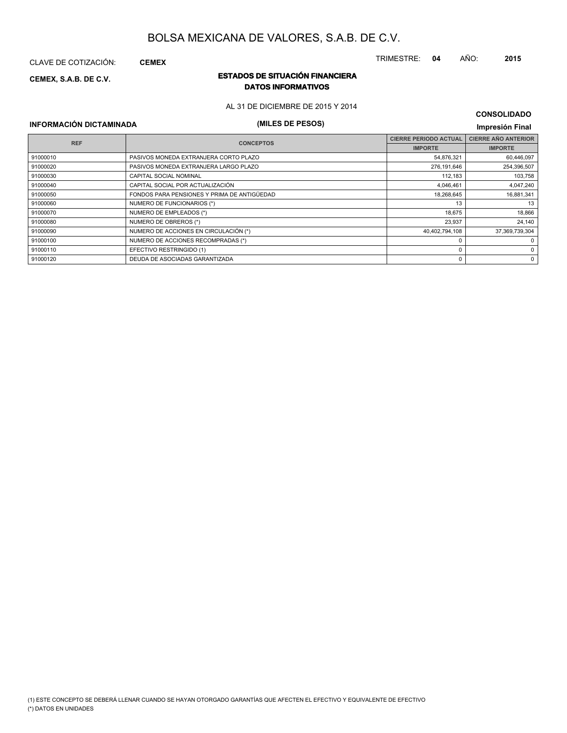CLAVE DE COTIZACIÓN: **CEMEX**

## **ESTADOS DE SITUACIÓN FINANCIERA CEMEX, S.A.B. DE C.V. DATOS INFORMATIVOS**

AL 31 DE DICIEMBRE DE 2015 Y 2014

**INFORMACIÓN DICTAMINADA (MILES DE PESOS) Impresión Final**

| <b>REF</b> | <b>CONCEPTOS</b>                            | <b>CIERRE PERIODO ACTUAL</b> | <b>CIERRE AÑO ANTERIOR</b> |
|------------|---------------------------------------------|------------------------------|----------------------------|
|            |                                             | <b>IMPORTE</b>               | <b>IMPORTE</b>             |
| 91000010   | PASIVOS MONEDA EXTRANJERA CORTO PLAZO       | 54,876,321                   | 60,446,097                 |
| 91000020   | PASIVOS MONEDA EXTRANJERA LARGO PLAZO       | 276,191,646                  | 254,396,507                |
| 91000030   | <b>CAPITAL SOCIAL NOMINAL</b>               | 112,183                      | 103,758                    |
| 91000040   | CAPITAL SOCIAL POR ACTUALIZACIÓN            | 4,046,461                    | 4,047,240                  |
| 91000050   | FONDOS PARA PENSIONES Y PRIMA DE ANTIGÜEDAD | 18,268,645                   | 16,881,341                 |
| 91000060   | NUMERO DE FUNCIONARIOS (*)                  | 13                           | 13                         |
| 91000070   | NUMERO DE EMPLEADOS (*)                     | 18,675                       | 18,866                     |
| 91000080   | NUMERO DE OBREROS (*)                       | 23,937                       | 24.140                     |
| 91000090   | NUMERO DE ACCIONES EN CIRCULACIÓN (*)       | 40,402,794,108               | 37,369,739,304             |
| 91000100   | NUMERO DE ACCIONES RECOMPRADAS (*)          | $\Omega$                     | $\mathbf 0$                |
| 91000110   | EFECTIVO RESTRINGIDO (1)                    | $\Omega$                     | 0                          |
| 91000120   | DEUDA DE ASOCIADAS GARANTIZADA              | 0                            | 0                          |

TRIMESTRE: **04** AÑO: **2015**

**CONSOLIDADO**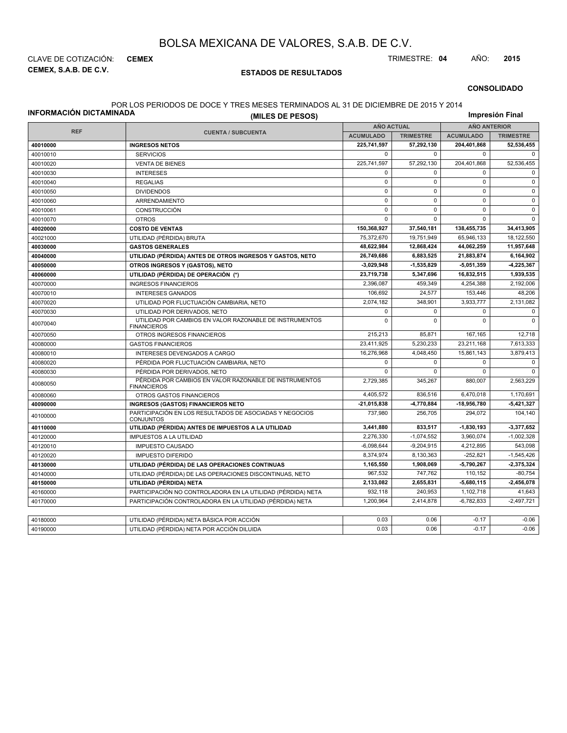**CEMEX, S.A.B. DE C.V.** CLAVE DE COTIZACIÓN: **CEMEX** TRIMESTRE: **04** AÑO: **2015**

## **ESTADOS DE RESULTADOS**

#### **CONSOLIDADO**

#### POR LOS PERIODOS DE DOCE Y TRES MESES TERMINADOS AL 31 DE DICIEMBRE DE 2015 Y 2014

**INFORMACIÓN DICTAMINADA**

**(MILES DE PESOS)**

**Impresión Final**

|            |                                                                               |                  | <b>AÑO ACTUAL</b> |                  | <b>AÑO ANTERIOR</b> |  |  |
|------------|-------------------------------------------------------------------------------|------------------|-------------------|------------------|---------------------|--|--|
| <b>REF</b> | <b>CUENTA / SUBCUENTA</b>                                                     | <b>ACUMULADO</b> | <b>TRIMESTRE</b>  | <b>ACUMULADO</b> | <b>TRIMESTRE</b>    |  |  |
| 40010000   | <b>INGRESOS NETOS</b>                                                         | 225,741,597      | 57,292,130        | 204,401,868      | 52,536,455          |  |  |
| 40010010   | <b>SERVICIOS</b>                                                              | $\Omega$         | $\Omega$          | $\mathbf 0$      | $\Omega$            |  |  |
| 40010020   | <b>VENTA DE BIENES</b>                                                        | 225,741,597      | 57,292,130        | 204,401,868      | 52,536,455          |  |  |
| 40010030   | <b>INTERESES</b>                                                              | $\mathbf 0$      | $\mathbf 0$       | $\Omega$         | $\mathbf 0$         |  |  |
| 40010040   | <b>REGALIAS</b>                                                               | $\mathbf 0$      | $\mathbf 0$       | $\mathbf 0$      | $\Omega$            |  |  |
| 40010050   | <b>DIVIDENDOS</b>                                                             | $\mathbf 0$      | $\mathbf 0$       | $\mathbf 0$      | $\mathbf 0$         |  |  |
| 40010060   | ARRENDAMIENTO                                                                 | $\mathbf 0$      | $\mathbf 0$       | $\Omega$         | $\mathbf 0$         |  |  |
| 40010061   | CONSTRUCCIÓN                                                                  | $\mathbf 0$      | $\Omega$          | $\Omega$         | $\Omega$            |  |  |
| 40010070   | <b>OTROS</b>                                                                  | $\mathbf 0$      | $\mathbf 0$       | $\Omega$         | $\Omega$            |  |  |
| 40020000   | <b>COSTO DE VENTAS</b>                                                        | 150,368,927      | 37,540,181        | 138,455,735      | 34,413,905          |  |  |
| 40021000   | UTILIDAD (PÉRDIDA) BRUTA                                                      | 75,372,670       | 19,751,949        | 65,946,133       | 18,122,550          |  |  |
| 40030000   | <b>GASTOS GENERALES</b>                                                       | 48,622,984       | 12,868,424        | 44,062,259       | 11,957,648          |  |  |
| 40040000   | UTILIDAD (PÉRDIDA) ANTES DE OTROS INGRESOS Y GASTOS, NETO                     | 26,749,686       | 6,883,525         | 21,883,874       | 6,164,902           |  |  |
| 40050000   | OTROS INGRESOS Y (GASTOS), NETO                                               | -3,029,948       | $-1,535,829$      | $-5,051,359$     | $-4,225,367$        |  |  |
| 40060000   | UTILIDAD (PÉRDIDA) DE OPERACIÓN (*)                                           | 23,719,738       | 5,347,696         | 16,832,515       | 1,939,535           |  |  |
| 40070000   | <b>INGRESOS FINANCIEROS</b>                                                   | 2,396,087        | 459,349           | 4,254,388        | 2,192,006           |  |  |
| 40070010   | <b>INTERESES GANADOS</b>                                                      | 106,692          | 24,577            | 153,446          | 48,206              |  |  |
| 40070020   | UTILIDAD POR FLUCTUACIÓN CAMBIARIA, NETO                                      | 2,074,182        | 348,901           | 3,933,777        | 2,131,082           |  |  |
| 40070030   | UTILIDAD POR DERIVADOS, NETO                                                  | $\mathbf 0$      | $\mathbf 0$       | $\Omega$         | $\mathbf 0$         |  |  |
| 40070040   | UTILIDAD POR CAMBIOS EN VALOR RAZONABLE DE INSTRUMENTOS<br><b>FINANCIEROS</b> | $\Omega$         | $\Omega$          | $\Omega$         | $\Omega$            |  |  |
| 40070050   | OTROS INGRESOS FINANCIEROS                                                    | 215,213          | 85,871            | 167,165          | 12,718              |  |  |
| 40080000   | <b>GASTOS FINANCIEROS</b>                                                     | 23,411,925       | 5,230,233         | 23,211,168       | 7,613,333           |  |  |
| 40080010   | INTERESES DEVENGADOS A CARGO                                                  | 16,276,968       | 4,048,450         | 15,861,143       | 3,879,413           |  |  |
| 40080020   | PÉRDIDA POR FLUCTUACIÓN CAMBIARIA, NETO                                       | $\mathbf 0$      | $\mathbf 0$       | $\mathbf 0$      | $\mathbf 0$         |  |  |
| 40080030   | PÉRDIDA POR DERIVADOS, NETO                                                   | $\Omega$         | $\mathbf 0$       | $\mathbf 0$      | $\mathbf 0$         |  |  |
| 40080050   | PÉRDIDA POR CAMBIOS EN VALOR RAZONABLE DE INSTRUMENTOS<br><b>FINANCIEROS</b>  | 2,729,385        | 345,267           | 880,007          | 2,563,229           |  |  |
| 40080060   | OTROS GASTOS FINANCIEROS                                                      | 4,405,572        | 836,516           | 6,470,018        | 1,170,691           |  |  |
| 40090000   | <b>INGRESOS (GASTOS) FINANCIEROS NETO</b>                                     | -21,015,838      | -4,770,884        | -18,956,780      | $-5,421,327$        |  |  |
| 40100000   | PARTICIPACIÓN EN LOS RESULTADOS DE ASOCIADAS Y NEGOCIOS<br><b>CONJUNTOS</b>   | 737,980          | 256,705           | 294,072          | 104,140             |  |  |
| 40110000   | UTILIDAD (PÉRDIDA) ANTES DE IMPUESTOS A LA UTILIDAD                           | 3,441,880        | 833,517           | $-1,830,193$     | -3,377,652          |  |  |
| 40120000   | <b>IMPUESTOS A LA UTILIDAD</b>                                                | 2,276,330        | $-1,074,552$      | 3,960,074        | $-1,002,328$        |  |  |
| 40120010   | <b>IMPUESTO CAUSADO</b>                                                       | $-6,098,644$     | $-9,204,915$      | 4,212,895        | 543,098             |  |  |
| 40120020   | <b>IMPUESTO DIFERIDO</b>                                                      | 8,374,974        | 8,130,363         | $-252,821$       | $-1,545,426$        |  |  |
| 40130000   | UTILIDAD (PÉRDIDA) DE LAS OPERACIONES CONTINUAS                               | 1,165,550        | 1,908,069         | $-5,790,267$     | $-2,375,324$        |  |  |
| 40140000   | UTILIDAD (PÉRDIDA) DE LAS OPERACIONES DISCONTINUAS, NETO                      | 967,532          | 747,762           | 110,152          | $-80,754$           |  |  |
| 40150000   | UTILIDAD (PÉRDIDA) NETA                                                       | 2,133,082        | 2,655,831         | $-5,680,115$     | $-2,456,078$        |  |  |
| 40160000   | PARTICIPACIÓN NO CONTROLADORA EN LA UTILIDAD (PÉRDIDA) NETA                   | 932,118          | 240,953           | 1,102,718        | 41,643              |  |  |
| 40170000   | PARTICIPACIÓN CONTROLADORA EN LA UTILIDAD (PÉRDIDA) NETA                      | 1,200,964        | 2,414,878         | $-6,782,833$     | $-2,497,721$        |  |  |
|            |                                                                               |                  |                   |                  |                     |  |  |
| 40180000   | UTILIDAD (PÉRDIDA) NETA BÁSICA POR ACCIÓN                                     | 0.03             | 0.06              | $-0.17$          | $-0.06$             |  |  |
| 40190000   | UTILIDAD (PÉRDIDA) NETA POR ACCIÓN DILUIDA                                    | 0.03             | 0.06              | $-0.17$          | $-0.06$             |  |  |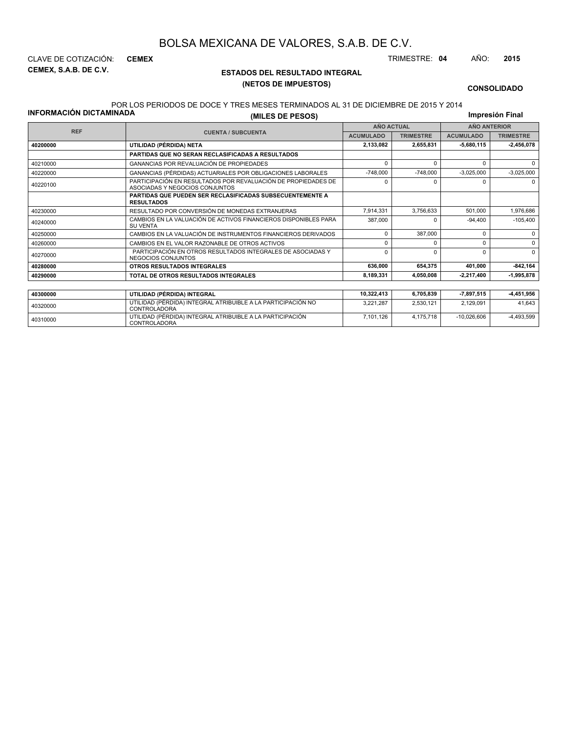**CEMEX, S.A.B. DE C.V.** CLAVE DE COTIZACIÓN: **CEMEX** TRIMESTRE: **04** AÑO: **2015**

## **ESTADOS DEL RESULTADO INTEGRAL (NETOS DE IMPUESTOS)**

7,101,126 4,175,718 -10,026,606 -4,493,599

#### **CONSOLIDADO**

## POR LOS PERIODOS DE DOCE Y TRES MESES TERMINADOS AL 31 DE DICIEMBRE DE 2015 Y 2014

**INFORMACIÓN DICTAMINADA**

<sup>40310000</sup> UTILIDAD (PÉRDIDA) INTEGRAL ATRIBUIBLE A LA PARTICIPACIÓN CONTROLADORA

**(MILES DE PESOS)**

**Impresión Final**

| <b>REF</b> |                                                                                                  | <b>AÑO ACTUAL</b> |                  | <b>AÑO ANTERIOR</b> |                  |  |
|------------|--------------------------------------------------------------------------------------------------|-------------------|------------------|---------------------|------------------|--|
|            | <b>CUENTA / SUBCUENTA</b>                                                                        | <b>ACUMULADO</b>  | <b>TRIMESTRE</b> | <b>ACUMULADO</b>    | <b>TRIMESTRE</b> |  |
| 40200000   | UTILIDAD (PÉRDIDA) NETA                                                                          | 2,133,082         | 2,655,831        | 5,680,115           | $-2,456,078$     |  |
|            | PARTIDAS QUE NO SERAN RECLASIFICADAS A RESULTADOS                                                |                   |                  |                     |                  |  |
| 40210000   | GANANCIAS POR REVALUACIÓN DE PROPIEDADES                                                         | $\Omega$          | $\Omega$         | U                   | $\Omega$         |  |
| 40220000   | GANANCIAS (PÉRDIDAS) ACTUARIALES POR OBLIGACIONES LABORALES                                      | $-748,000$        | $-748,000$       | $-3,025,000$        | $-3,025,000$     |  |
| 40220100   | PARTICIPACIÓN EN RESULTADOS POR REVALUACIÓN DE PROPIEDADES DE<br>ASOCIADAS Y NEGOCIOS CONJUNTOS  | $\Omega$          | $\Omega$         |                     | $\Omega$         |  |
|            | PARTIDAS QUE PUEDEN SER RECLASIFICADAS SUBSECUENTEMENTE A<br><b>RESULTADOS</b>                   |                   |                  |                     |                  |  |
| 40230000   | RESULTADO POR CONVERSIÓN DE MONEDAS EXTRANJERAS                                                  | 7,914,331         | 3,756,633        | 501,000             | 1,976,686        |  |
| 40240000   | CAMBIOS EN LA VALUACIÓN DE ACTIVOS FINANCIEROS DISPONIBLES PARA<br><b>SU VENTA</b>               | 387,000           | $\Omega$         | $-94,400$           | $-105,400$       |  |
| 40250000   | CAMBIOS EN LA VALUACIÓN DE INSTRUMENTOS FINANCIEROS DERIVADOS                                    | $\Omega$          | 387,000          | ŋ                   | $\Omega$         |  |
| 40260000   | CAMBIOS EN EL VALOR RAZONABLE DE OTROS ACTIVOS                                                   | $\Omega$          | $\Omega$         | n                   | $\Omega$         |  |
| 40270000   | PARTICIPACIÓN EN OTROS RESULTADOS INTEGRALES DE ASOCIADAS Y<br><b>NEGOCIOS CONJUNTOS</b>         | $\Omega$          | $\Omega$         | C                   | $\Omega$         |  |
| 40280000   | OTROS RESULTADOS INTEGRALES                                                                      | 636,000           | 654,375          | 401,000             | $-842,164$       |  |
| 40290000   | TOTAL DE OTROS RESULTADOS INTEGRALES                                                             | 8,189,331         | 4,050,008        | -2,217,400          | 1,995,878        |  |
|            |                                                                                                  |                   |                  |                     |                  |  |
| 40300000   | UTILIDAD (PÉRDIDA) INTEGRAL                                                                      | 10,322,413        | 6,705,839        | 7,897,515           | -4,451,956       |  |
| 40320000   | UTILIDAD (PÉRDIDA) INTEGRAL ATRIBUIBLE A LA PARTICIPACIÓN NO<br>3,221,287<br><b>CONTROLADORA</b> |                   | 2,530,121        | 2,129,091           | 41,643           |  |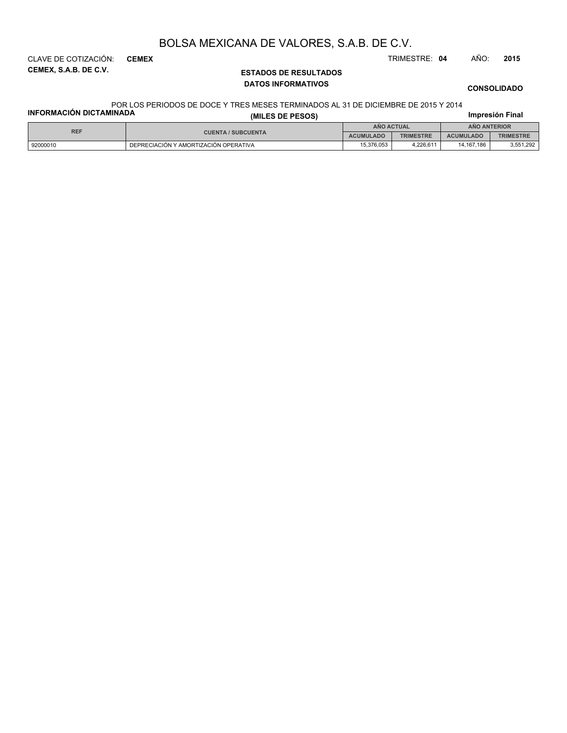**CEMEX, S.A.B. DE C.V.** CLAVE DE COTIZACIÓN: **CEMEX** TRIMESTRE: **04** AÑO: **2015**

## **ESTADOS DE RESULTADOS DATOS INFORMATIVOS**

**CONSOLIDADO**

## POR LOS PERIODOS DE DOCE Y TRES MESES TERMINADOS AL 31 DE DICIEMBRE DE 2015 Y 2014

| <b>INFORMACIÓN DICTAMINADA</b> | (MILES DE PESOS)                      |            |                   |                     | Impresión Final  |
|--------------------------------|---------------------------------------|------------|-------------------|---------------------|------------------|
| <b>REF</b>                     |                                       |            | <b>ANO ACTUAL</b> | <b>ANO ANTERIOR</b> |                  |
|                                | <b>CUENTA / SUBCUENTA</b>             |            | <b>TRIMESTRE</b>  | <b>ACUMULADO</b>    | <b>TRIMESTRE</b> |
| 92000010                       | DEPRECIACIÓN Y AMORTIZACIÓN OPERATIVA | 15.376.053 | 4.226.611         | 14.167.186          | 3,551,292        |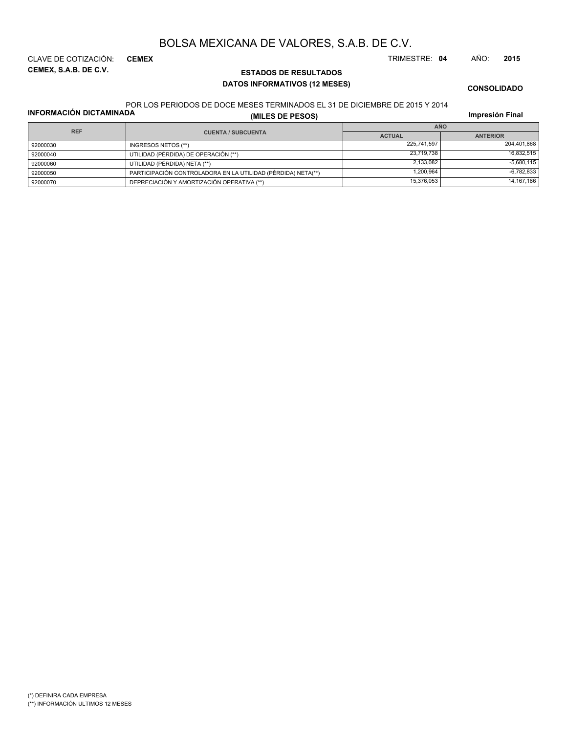**CEMEX, S.A.B. DE C.V.** CLAVE DE COTIZACIÓN: **CEMEX** TRIMESTRE: **04** AÑO: **2015**

## **ESTADOS DE RESULTADOS DATOS INFORMATIVOS (12 MESES)**

**CONSOLIDADO**

## POR LOS PERIODOS DE DOCE MESES TERMINADOS EL 31 DE DICIEMBRE DE 2015 Y 2014

**INFORMACIÓN DICTAMINADA**

**(MILES DE PESOS)**

**Impresión Final**

| <b>REF</b> |                                                              | <b>AÑO</b>    |                 |  |  |
|------------|--------------------------------------------------------------|---------------|-----------------|--|--|
|            | <b>CUENTA / SUBCUENTA</b>                                    | <b>ACTUAL</b> | <b>ANTERIOR</b> |  |  |
| 92000030   | INGRESOS NETOS (**)                                          | 225.741.597   | 204.401.868     |  |  |
| 92000040   | UTILIDAD (PÉRDIDA) DE OPERACIÓN (**)                         | 23.719.738    | 16.832.515      |  |  |
| 92000060   | UTILIDAD (PÉRDIDA) NETA (**)                                 | 2.133.082     | $-5.680.115$    |  |  |
| 92000050   | PARTICIPACIÓN CONTROLADORA EN LA UTILIDAD (PÉRDIDA) NETA(**) | 1.200.964     | $-6,782,833$    |  |  |
| 92000070   | DEPRECIACIÓN Y AMORTIZACIÓN OPERATIVA (**)                   | 15,376,053    | 14, 167, 186    |  |  |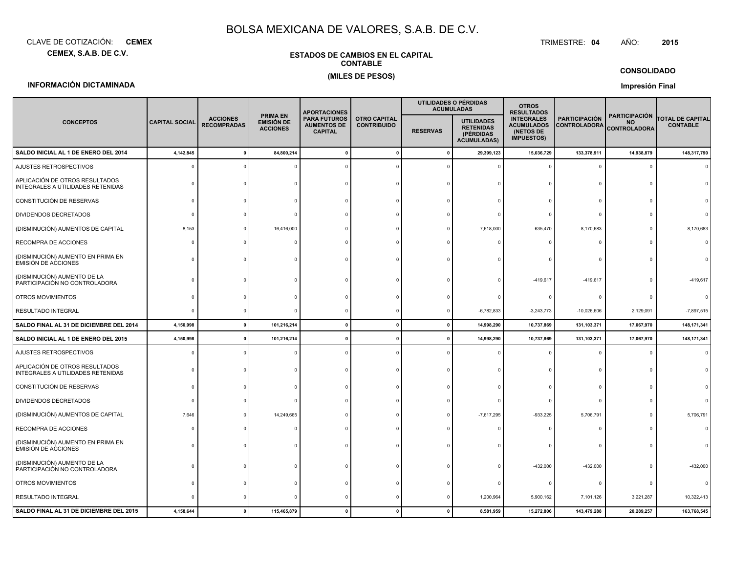**CEMEX, S.A.B. DE C.V.**CLAVE DE COTIZACIÓN:**CEMEX**: **CEMEX** TRIMESTRE:

## **CONTABLE(MILES DE PESOS)**

**ESTADOS DE CAMBIOS EN EL CAPITAL**

#### TRIMESTRE: 04 AÑO: **<sup>2015</sup>**

### **CONSOLIDADO**

## **INFORMACIÓN DICTAMINADA**

## **Impresión Final**

|                                                                     |                       |                                       |                                                         | <b>APORTACIONES</b>                                         |                                           | UTILIDADES O PÉRDIDAS<br><b>ACUMULADAS</b> |                                                                          | <b>OTROS</b><br><b>RESULTADOS</b>                                        |                                             |                                                    |                                     |
|---------------------------------------------------------------------|-----------------------|---------------------------------------|---------------------------------------------------------|-------------------------------------------------------------|-------------------------------------------|--------------------------------------------|--------------------------------------------------------------------------|--------------------------------------------------------------------------|---------------------------------------------|----------------------------------------------------|-------------------------------------|
| <b>CONCEPTOS</b>                                                    | <b>CAPITAL SOCIAL</b> | <b>ACCIONES</b><br><b>RECOMPRADAS</b> | <b>PRIMA EN</b><br><b>EMISIÓN DE</b><br><b>ACCIONES</b> | <b>PARA FUTUROS</b><br><b>AUMENTOS DE</b><br><b>CAPITAL</b> | <b>OTRO CAPITAL</b><br><b>CONTRIBUIDO</b> | <b>RESERVAS</b>                            | <b>UTILIDADES</b><br><b>RETENIDAS</b><br>(PÉRDIDAS<br><b>ACUMULADAS)</b> | <b>INTEGRALES</b><br><b>ACUMULADOS</b><br>(NETOS DE<br><b>IMPUESTOS)</b> | <b>PARTICIPACIÓN</b><br><b>CONTROLADORA</b> | <b>PARTICIPACIÓN</b><br>NO.<br><b>CONTROLADORA</b> | TOTAL DE CAPITAL<br><b>CONTABLE</b> |
| SALDO INICIAL AL 1 DE ENERO DEL 2014                                | 4,142,845             | $\mathbf{0}$                          | 84,800,214                                              | $\mathbf{0}$                                                | $\pmb{0}$                                 | $\mathbf{0}$                               | 29,399,123                                                               | 15,036,729                                                               | 133,378,911                                 | 14,938,879                                         | 148,317,790                         |
| AJUSTES RETROSPECTIVOS                                              |                       |                                       |                                                         |                                                             |                                           |                                            |                                                                          |                                                                          |                                             |                                                    |                                     |
| APLICACIÓN DE OTROS RESULTADOS<br>INTEGRALES A UTILIDADES RETENIDAS |                       |                                       |                                                         |                                                             |                                           |                                            |                                                                          | $\Omega$                                                                 | $\Omega$                                    |                                                    |                                     |
| CONSTITUCIÓN DE RESERVAS                                            |                       |                                       |                                                         |                                                             |                                           |                                            |                                                                          |                                                                          | $\Omega$                                    |                                                    |                                     |
| DIVIDENDOS DECRETADOS                                               |                       |                                       |                                                         |                                                             |                                           |                                            |                                                                          |                                                                          |                                             |                                                    |                                     |
| (DISMINUCIÓN) AUMENTOS DE CAPITAL                                   | 8,153                 |                                       | 16,416,000                                              |                                                             |                                           |                                            | $-7,618,000$                                                             | $-635,470$                                                               | 8,170,683                                   |                                                    | 8,170,683                           |
| RECOMPRA DE ACCIONES                                                | $\Omega$              |                                       |                                                         |                                                             |                                           |                                            |                                                                          | $\Omega$                                                                 | c                                           |                                                    | $\Omega$                            |
| (DISMINUCIÓN) AUMENTO EN PRIMA EN<br>EMISIÓN DE ACCIONES            |                       |                                       |                                                         |                                                             |                                           |                                            |                                                                          |                                                                          |                                             |                                                    |                                     |
| (DISMINUCIÓN) AUMENTO DE LA<br>PARTICIPACIÓN NO CONTROLADORA        |                       |                                       |                                                         |                                                             |                                           |                                            |                                                                          | -419,617                                                                 | -419,617                                    |                                                    | $-419,617$                          |
| OTROS MOVIMIENTOS                                                   |                       |                                       |                                                         |                                                             |                                           |                                            |                                                                          | $\Omega$                                                                 | $\Omega$                                    |                                                    |                                     |
| RESULTADO INTEGRAL                                                  | $\Omega$              |                                       |                                                         |                                                             | $\Omega$                                  | $\Omega$                                   | $-6,782,833$                                                             | $-3,243,773$                                                             | $-10,026,606$                               | 2,129,091                                          | $-7,897,515$                        |
| SALDO FINAL AL 31 DE DICIEMBRE DEL 2014                             | 4,150,998             | $\mathbf{0}$                          | 101,216,214                                             | $\mathbf{0}$                                                | $\mathbf{0}$                              | $\mathbf{0}$                               | 14,998,290                                                               | 10,737,869                                                               | 131,103,371                                 | 17,067,970                                         | 148, 171, 341                       |
| SALDO INICIAL AL 1 DE ENERO DEL 2015                                | 4,150,998             |                                       | 101,216,214                                             |                                                             |                                           |                                            | 14,998,290                                                               | 10,737,869                                                               | 131,103,371                                 | 17,067,970                                         | 148, 171, 341                       |
| AJUSTES RETROSPECTIVOS                                              |                       |                                       |                                                         |                                                             |                                           |                                            |                                                                          |                                                                          | $\Omega$                                    |                                                    |                                     |
| APLICACIÓN DE OTROS RESULTADOS<br>INTEGRALES A UTILIDADES RETENIDAS |                       |                                       |                                                         |                                                             |                                           |                                            |                                                                          |                                                                          | n                                           |                                                    |                                     |
| CONSTITUCIÓN DE RESERVAS                                            |                       |                                       |                                                         |                                                             |                                           |                                            |                                                                          |                                                                          |                                             |                                                    |                                     |
| DIVIDENDOS DECRETADOS                                               | $\Omega$              |                                       |                                                         |                                                             |                                           |                                            | $\Omega$                                                                 | $\Omega$                                                                 | $\Omega$                                    |                                                    |                                     |
| (DISMINUCIÓN) AUMENTOS DE CAPITAL                                   | 7,646                 |                                       | 14,249,665                                              |                                                             |                                           |                                            | $-7,617,295$                                                             | $-933,225$                                                               | 5,706,791                                   |                                                    | 5,706,791                           |
| RECOMPRA DE ACCIONES                                                | $\Omega$              |                                       |                                                         |                                                             |                                           |                                            |                                                                          | $\Omega$                                                                 | $\Omega$                                    |                                                    |                                     |
| (DISMINUCIÓN) AUMENTO EN PRIMA EN<br>EMISIÓN DE ACCIONES            | $\Omega$              |                                       |                                                         |                                                             |                                           |                                            |                                                                          |                                                                          |                                             |                                                    |                                     |
| (DISMINUCIÓN) AUMENTO DE LA<br>PARTICIPACIÓN NO CONTROLADORA        |                       |                                       |                                                         |                                                             |                                           |                                            |                                                                          | $-432,000$                                                               | $-432,000$                                  |                                                    | $-432,000$                          |
| OTROS MOVIMIENTOS                                                   |                       |                                       |                                                         |                                                             |                                           |                                            |                                                                          | $\Omega$                                                                 | C                                           |                                                    |                                     |
| RESULTADO INTEGRAL                                                  |                       |                                       |                                                         |                                                             |                                           |                                            | 1,200,964                                                                | 5,900,162                                                                | 7,101,126                                   | 3,221,287                                          | 10,322,413                          |
| SALDO FINAL AL 31 DE DICIEMBRE DEL 2015                             | 4,158,644             | $\Omega$                              | 115,465,879                                             |                                                             |                                           |                                            | 8,581,959                                                                | 15,272,806                                                               | 143,479,288                                 | 20,289,257                                         | 163,768,545                         |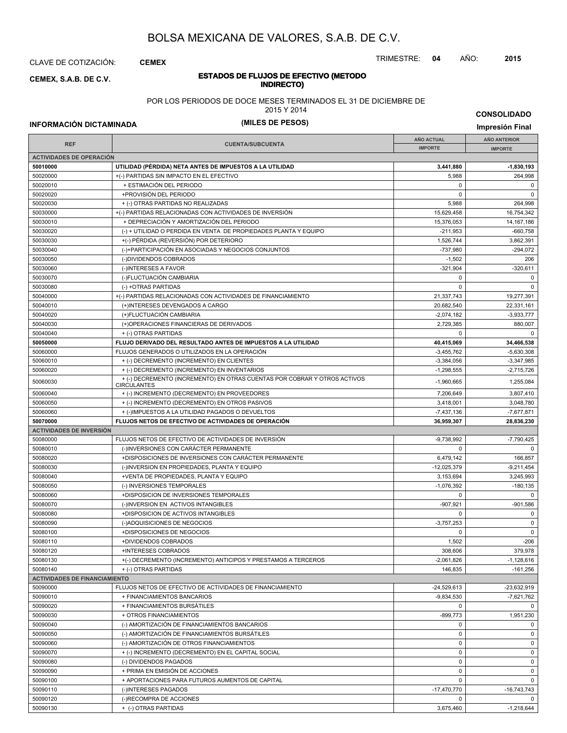CLAVE DE COTIZACIÓN: **CEMEX**

**INDIRECTO) CEMEX, S.A.B. DE C.V.**

# **ESTADOS DE FLUJOS DE EFECTIVO (METODO**

POR LOS PERIODOS DE DOCE MESES TERMINADOS EL 31 DE DICIEMBRE DE

2015 Y 2014

**INFORMACIÓN DICTAMINADA (MILES DE PESOS) Impresión Final**

**CONSOLIDADO**

|                                      |                                                                                                 | <b>AÑO ACTUAL</b>            | <b>AÑO ANTERIOR</b>       |
|--------------------------------------|-------------------------------------------------------------------------------------------------|------------------------------|---------------------------|
| <b>REF</b>                           | <b>CUENTA/SUBCUENTA</b>                                                                         | <b>IMPORTE</b>               | <b>IMPORTE</b>            |
| <b>ACTIVIDADES DE OPERACIÓN</b>      |                                                                                                 |                              |                           |
| 50010000                             | UTILIDAD (PERDIDA) NETA ANTES DE IMPUESTOS A LA UTILIDAD                                        | 3,441,880                    | $-1,830,193$              |
| 50020000                             | +(-) PARTIDAS SIN IMPACTO EN EL EFECTIVO                                                        | 5,988                        | 264,998                   |
| 50020010                             | + ESTIMACIÓN DEL PERIODO                                                                        | 0                            | 0                         |
| 50020020                             | +PROVISIÓN DEL PERIODO                                                                          | $\mathbf 0$                  | $\mathbf 0$               |
| 50020030                             | + (-) OTRAS PARTIDAS NO REALIZADAS                                                              | 5,988                        | 264.998                   |
| 50030000                             | +(-) PARTIDAS RELACIONADAS CON ACTIVIDADES DE INVERSIÓN                                         | 15,629,458                   | 16,754,342                |
| 50030010                             | + DEPRECIACIÓN Y AMORTIZACIÓN DEL PERIODO                                                       | 15,376,053                   | 14, 167, 186              |
| 50030020                             | (-) + UTILIDAD O PERDIDA EN VENTA DE PROPIEDADES PLANTA Y EQUIPO                                | $-211,953$                   | $-660.758$                |
| 50030030                             | +(-) PÉRDIDA (REVERSIÓN) POR DETERIORO                                                          | 1,526,744                    | 3,862,391                 |
| 50030040                             | (-)+PARTICIPACIÓN EN ASOCIADAS Y NEGOCIOS CONJUNTOS                                             | -737,980                     | $-294,072$                |
| 50030050                             | (-)DIVIDENDOS COBRADOS                                                                          | $-1,502$                     | 206                       |
| 50030060                             | (-)INTERESES A FAVOR                                                                            | $-321,904$                   | $-320,611$                |
| 50030070                             | (-)FLUCTUACIÓN CAMBIARIA                                                                        | $\mathbf 0$                  | $\mathbf 0$               |
| 50030080                             | (-) +OTRAS PARTIDAS                                                                             | $\Omega$                     | $\mathbf 0$               |
| 50040000                             | +(-) PARTIDAS RELACIONADAS CON ACTIVIDADES DE FINANCIAMIENTO                                    | 21,337,743                   | 19,277,391                |
| 50040010                             | (+)INTERESES DEVENGADOS A CARGO                                                                 | 20,682,540                   | 22,331,161                |
| 50040020                             | (+)FLUCTUACIÓN CAMBIARIA                                                                        | $-2,074,182$                 | $-3,933,777$              |
| 50040030                             | (+)OPERACIONES FINANCIERAS DE DERIVADOS                                                         | 2,729,385                    | 880,007                   |
| 50040040                             | + (-) OTRAS PARTIDAS                                                                            | $\Omega$                     | $\Omega$                  |
| 50050000                             | FLUJO DERIVADO DEL RESULTADO ANTES DE IMPUESTOS A LA UTILIDAD                                   | 40,415,069                   | 34,466,538                |
| 50060000                             | FLUJOS GENERADOS O UTILIZADOS EN LA OPERACIÓN                                                   | $-3,455,762$                 | $-5,630,308$              |
| 50060010                             | + (-) DECREMENTO (INCREMENTO) EN CLIENTES                                                       | $-3,384,056$                 | $-3,347,985$              |
| 50060020                             | + (-) DECREMENTO (INCREMENTO) EN INVENTARIOS                                                    | $-1.298.555$                 | $-2.715.726$              |
| 50060030                             | + (-) DECREMENTO (INCREMENTO) EN OTRAS CUENTAS POR COBRAR Y OTROS ACTIVOS<br><b>CIRCULANTES</b> | $-1,960,665$                 | 1,255,084                 |
| 50060040                             | + (-) INCREMENTO (DECREMENTO) EN PROVEEDORES                                                    | 7,206,649                    | 3,807,410                 |
| 50060050                             | + (-) INCREMENTO (DECREMENTO) EN OTROS PASIVOS                                                  | 3,418,001                    | 3,048,780                 |
| 50060060                             | + (-)IMPUESTOS A LA UTILIDAD PAGADOS O DEVUELTOS                                                | $-7,437,136$                 | $-7,677,871$              |
| 50070000                             | FLUJOS NETOS DE EFECTIVO DE ACTIVIDADES DE OPERACIÓN                                            | 36,959,307                   | 28,836,230                |
| <b>ACTIVIDADES DE INVERSIÓN</b>      |                                                                                                 |                              |                           |
| 50080000                             | FLUJOS NETOS DE EFECTIVO DE ACTIVIDADES DE INVERSIÓN                                            | $-9,738,992$                 | $-7,790,425$              |
| 50080010                             | (-)INVERSIONES CON CARÁCTER PERMANENTE                                                          | 0                            | $\mathbf 0$               |
| 50080020                             | +DISPOSICIONES DE INVERSIONES CON CARÁCTER PERMANENTE                                           | 6,479,142                    | 166,857                   |
| 50080030                             | (-)INVERSION EN PROPIEDADES, PLANTA Y EQUIPO                                                    | $-12,025,379$                | $-9,211,454$              |
| 50080040                             | +VENTA DE PROPIEDADES, PLANTA Y EQUIPO                                                          | 3,153,694                    | 3,245,993                 |
| 50080050                             | (-) INVERSIONES TEMPORALES                                                                      | $-1,076,392$                 | $-180, 135$               |
| 50080060                             | +DISPOSICION DE INVERSIONES TEMPORALES                                                          | $\mathbf 0$                  | $\mathbf 0$               |
| 50080070                             | (-)INVERSION EN ACTIVOS INTANGIBLES                                                             | $-907,921$                   | $-901,586$                |
| 50080080                             | +DISPOSICION DE ACTIVOS INTANGIBLES                                                             | $\mathbf 0$                  | $\mathbf 0$               |
| 50080090                             | (-)ADQUISICIONES DE NEGOCIOS                                                                    | $-3,757,253$                 | $\mathbf 0$               |
| 50080100                             | +DISPOSICIONES DE NEGOCIOS                                                                      | $\mathbf 0$                  | $\mathbf 0$               |
| 50080110                             | +DIVIDENDOS COBRADOS                                                                            | 1,502                        | $-206$                    |
| 50080120                             | +INTERESES COBRADOS                                                                             | 308,606                      | 379,978                   |
| 50080130                             | +(-) DECREMENTO (INCREMENTO) ANTICIPOS Y PRESTAMOS A TERCEROS                                   | $-2,061,826$                 | $-1,128,616$              |
| 50080140                             | + (-) OTRAS PARTIDAS                                                                            | 146,835                      | $-161,256$                |
| <b>ACTIVIDADES DE FINANCIAMIENTO</b> |                                                                                                 |                              |                           |
| 50090000                             | FLUJOS NETOS DE EFECTIVO DE ACTIVIDADES DE FINANCIAMIENTO                                       | $-24,529,613$                | $-23,632,919$             |
| 50090010                             | + FINANCIAMIENTOS BANCARIOS                                                                     | $-9,834,530$                 | $-7,621,762$              |
| 50090020                             | + FINANCIAMIENTOS BURSÁTILES                                                                    | $\mathbf 0$                  | $\Omega$                  |
| 50090030                             | + OTROS FINANCIAMIENTOS                                                                         | $-899,773$                   | 1,951,230                 |
| 50090040                             | (-) AMORTIZACIÓN DE FINANCIAMIENTOS BANCARIOS                                                   | $\mathbf 0$                  | $\mathbf 0$               |
| 50090050                             | (-) AMORTIZACIÓN DE FINANCIAMIENTOS BURSÁTILES                                                  | $\mathbf 0$                  | $\mathbf 0$               |
| 50090060                             | (-) AMORTIZACIÓN DE OTROS FINANCIAMIENTOS                                                       | 0                            | $\mathbf 0$               |
| 50090070                             | + (-) INCREMENTO (DECREMENTO) EN EL CAPITAL SOCIAL                                              | $\mathbf 0$                  | 0                         |
| 50090080                             | (-) DIVIDENDOS PAGADOS                                                                          | 0                            | $\mathbf 0$               |
| 50090090                             | + PRIMA EN EMISIÓN DE ACCIONES                                                                  | 0<br>$\mathbf 0$             | $\mathbf 0$               |
| 50090100                             | + APORTACIONES PARA FUTUROS AUMENTOS DE CAPITAL                                                 |                              | $\mathbf 0$               |
| 50090110                             | (-)INTERESES PAGADOS                                                                            | $-17,470,770$<br>$\mathbf 0$ | $-16,743,743$<br>$\Omega$ |
| 50090120<br>50090130                 | (-)RECOMPRA DE ACCIONES                                                                         | 3,675,460                    | $-1,218,644$              |
|                                      | + (-) OTRAS PARTIDAS                                                                            |                              |                           |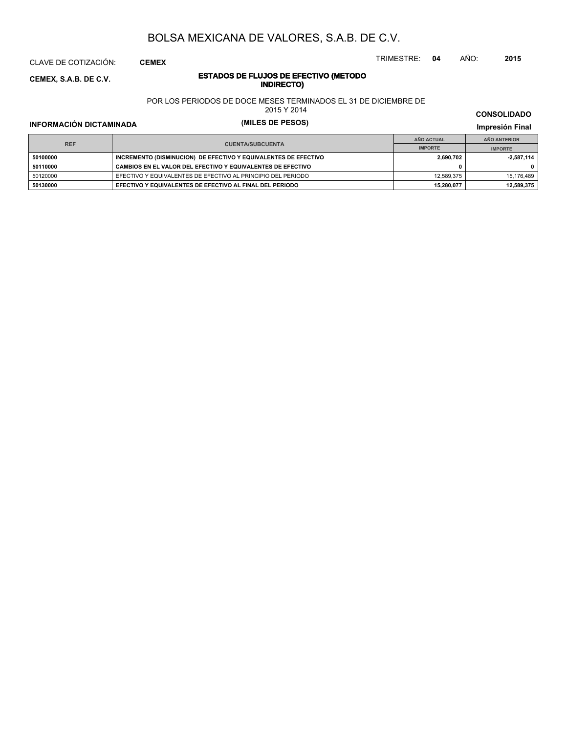CLAVE DE COTIZACIÓN: **CEMEX**

**INDIRECTO) CEMEX, S.A.B. DE C.V.**

# **ESTADOS DE FLUJOS DE EFECTIVO (METODO**

POR LOS PERIODOS DE DOCE MESES TERMINADOS EL 31 DE DICIEMBRE DE

2015 Y 2014

**INFORMACIÓN DICTAMINADA (MILES DE PESOS) Impresión Final**

**IMPRESIÓN FINAL EN EN ENCLORED EN EL ENCLORED EN EL ENCLORED EN EL ENCLORED EN EL ENCLORED EN EL ENCLORED EN EL ENCLORED EN EL ENCLORED EN EL ENCLORED EN EL ENCLORED EN EL ENCLORED EN EL ENCLORED EN EL ENCLORED EN EL ENCL AÑO ACTUAL IMPORTE IMPORTE REF AÑO ANTERIOR IMPORTE 50100000 INCREMENTO (DISMINUCION) DE EFECTIVO Y EQUIVALENTES DE EFECTIVO 2,690,702 2,690,702 2,687,114 50110000 CAMBIOS EN EL VALOR DEL EFECTIVO Y EQUIVALENTES DE EFECTIVO 0 0** 50120000 EFECTIVO Y EQUIVALENTES DE EFECTIVO AL PRINCIPIO DEL PERIODO 12,589,375 15,176,489 **50130000 EFECTIVO Y EQUIVALENTES DE EFECTIVO AL FINAL DEL PERIODO 15,280,077 12,589,375**

**CONSOLIDADO**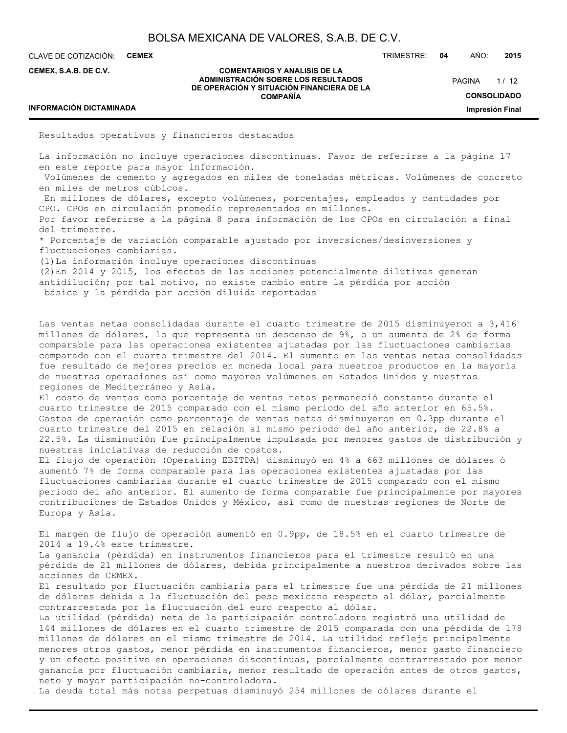CLAVE DE COTIZACIÓN: **CEMEX**

**CEMEX, S.A.B. DE C.V.**

#### **COMENTARIOS Y ANALISIS DE LA ADMINISTRACIÓN SOBRE LOS RESULTADOS DE OPERACIÓN Y SITUACIÓN FINANCIERA DE LA COMPAÑÍA**

 $1/12$ **CONSOLIDADO Impresión Final PAGINA** 

## **INFORMACIÓN DICTAMINADA**

Resultados operativos y financieros destacados

La información no incluye operaciones discontinuas. Favor de referirse a la página 17 en este reporte para mayor información.

 Volúmenes de cemento y agregados en miles de toneladas métricas. Volúmenes de concreto en miles de metros cúbicos.

 En millones de dólares, excepto volúmenes, porcentajes, empleados y cantidades por CPO. CPOs en circulación promedio representados en millones.

Por favor referirse a la página 8 para información de los CPOs en circulación a final del trimestre.

\* Porcentaje de variación comparable ajustado por inversiones/desinversiones y fluctuaciones cambiarias.

(1)La información incluye operaciones discontinuas

(2)En 2014 y 2015, los efectos de las acciones potencialmente dilutivas generan antidilución; por tal motivo, no existe cambio entre la pérdida por acción básica y la pérdida por acción diluida reportadas

Las ventas netas consolidadas durante el cuarto trimestre de 2015 disminuyeron a 3,416 millones de dólares, lo que representa un descenso de 9%, o un aumento de 2% de forma comparable para las operaciones existentes ajustadas por las fluctuaciones cambiarias comparado con el cuarto trimestre del 2014. El aumento en las ventas netas consolidadas fue resultado de mejores precios en moneda local para nuestros productos en la mayoría de nuestras operaciones así como mayores volúmenes en Estados Unidos y nuestras regiones de Mediterráneo y Asia.

El costo de ventas como porcentaje de ventas netas permaneció constante durante el cuarto trimestre de 2015 comparado con el mismo periodo del año anterior en 65.5%. Gastos de operación como porcentaje de ventas netas disminuyeron en 0.3pp durante el cuarto trimestre del 2015 en relación al mismo periodo del año anterior, de 22.8% a 22.5%. La disminución fue principalmente impulsada por menores gastos de distribución y nuestras iniciativas de reducción de costos.

El flujo de operación (Operating EBITDA) disminuyó en 4% a 663 millones de dólares ó aumentó 7% de forma comparable para las operaciones existentes ajustadas por las fluctuaciones cambiarias durante el cuarto trimestre de 2015 comparado con el mismo periodo del año anterior. El aumento de forma comparable fue principalmente por mayores contribuciones de Estados Unidos y México, así como de nuestras regiones de Norte de Europa y Asia.

El margen de flujo de operación aumentó en 0.9pp, de 18.5% en el cuarto trimestre de 2014 a 19.4% este trimestre.

La ganancia (pérdida) en instrumentos financieros para el trimestre resultó en una pérdida de 21 millones de dólares, debida principalmente a nuestros derivados sobre las acciones de CEMEX.

El resultado por fluctuación cambiaria para el trimestre fue una pérdida de 21 millones de dólares debida a la fluctuación del peso mexicano respecto al dólar, parcialmente contrarrestada por la fluctuación del euro respecto al dólar.

La utilidad (pérdida) neta de la participación controladora registró una utilidad de 144 millones de dólares en el cuarto trimestre de 2015 comparada con una pérdida de 178 millones de dólares en el mismo trimestre de 2014. La utilidad refleja principalmente menores otros gastos, menor pérdida en instrumentos financieros, menor gasto financiero y un efecto positivo en operaciones discontinuas, parcialmente contrarrestado por menor ganancia por fluctuación cambiaria, menor resultado de operación antes de otros gastos, neto y mayor participación no-controladora.

La deuda total más notas perpetuas disminuyó 254 millones de dólares durante el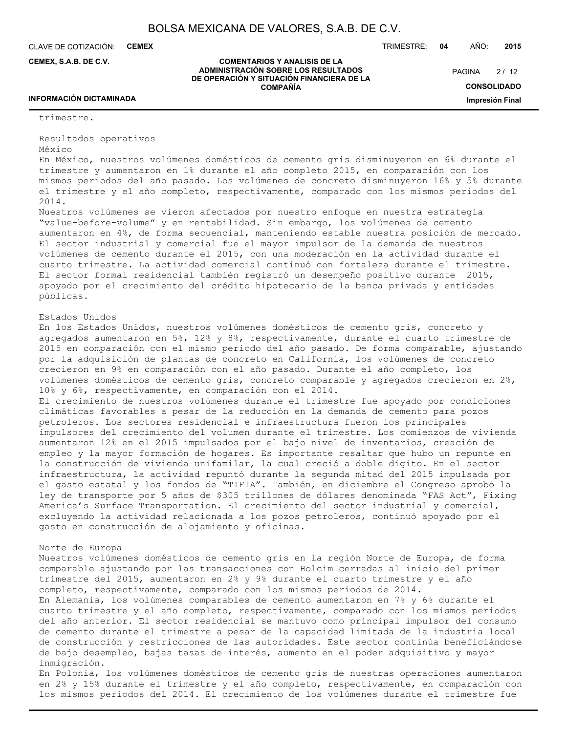**COMENTARIOS Y ANALISIS DE LA ADMINISTRACIÓN SOBRE LOS RESULTADOS DE OPERACIÓN Y SITUACIÓN FINANCIERA DE LA COMPAÑÍA**

CLAVE DE COTIZACIÓN: **CEMEX**

**CEMEX, S.A.B. DE C.V.**

TRIMESTRE: **04** AÑO: **2015**

 $2/12$ **PAGINA** 

**CONSOLIDADO**

**Impresión Final**

## **INFORMACIÓN DICTAMINADA**

trimestre.

Resultados operativos México

En México, nuestros volúmenes domésticos de cemento gris disminuyeron en 6% durante el trimestre y aumentaron en 1% durante el año completo 2015, en comparación con los mismos periodos del año pasado. Los volúmenes de concreto disminuyeron 16% y 5% durante el trimestre y el año completo, respectivamente, comparado con los mismos periodos del 2014.

Nuestros volúmenes se vieron afectados por nuestro enfoque en nuestra estrategia "value-before-volume" y en rentabilidad. Sin embargo, los volúmenes de cemento aumentaron en 4%, de forma secuencial, manteniendo estable nuestra posición de mercado. El sector industrial y comercial fue el mayor impulsor de la demanda de nuestros volúmenes de cemento durante el 2015, con una moderación en la actividad durante el cuarto trimestre. La actividad comercial continuó con fortaleza durante el trimestre. El sector formal residencial también registró un desempeño positivo durante 2015, apoyado por el crecimiento del crédito hipotecario de la banca privada y entidades públicas.

### Estados Unidos

En los Estados Unidos, nuestros volúmenes domésticos de cemento gris, concreto y agregados aumentaron en 5%, 12% y 8%, respectivamente, durante el cuarto trimestre de 2015 en comparación con el mismo periodo del año pasado. De forma comparable, ajustando por la adquisición de plantas de concreto en California, los volúmenes de concreto crecieron en 9% en comparación con el año pasado. Durante el año completo, los volúmenes domésticos de cemento gris, concreto comparable y agregados crecieron en 2%, 10% y 6%, respectivamente, en comparación con el 2014.

El crecimiento de nuestros volúmenes durante el trimestre fue apoyado por condiciones climáticas favorables a pesar de la reducción en la demanda de cemento para pozos petroleros. Los sectores residencial e infraestructura fueron los principales impulsores del crecimiento del volumen durante el trimestre. Los comienzos de vivienda aumentaron 12% en el 2015 impulsados por el bajo nivel de inventarios, creación de empleo y la mayor formación de hogares. Es importante resaltar que hubo un repunte en la construcción de vivienda unifamilar, la cual creció a doble dígito. En el sector infraestructura, la actividad repuntó durante la segunda mitad del 2015 impulsada por el gasto estatal y los fondos de "TIFIA". También, en diciembre el Congreso aprobó la ley de transporte por 5 años de \$305 trillones de dólares denominada "FAS Act", Fixing America's Surface Transportation. El crecimiento del sector industrial y comercial, excluyendo la actividad relacionada a los pozos petroleros, continuó apoyado por el gasto en construcción de alojamiento y oficinas.

#### Norte de Europa

Nuestros volúmenes domésticos de cemento gris en la región Norte de Europa, de forma comparable ajustando por las transacciones con Holcim cerradas al inicio del primer trimestre del 2015, aumentaron en 2% y 9% durante el cuarto trimestre y el año completo, respectivamente, comparado con los mismos periodos de 2014. En Alemania, los volúmenes comparables de cemento aumentaron en 7% y 6% durante el cuarto trimestre y el año completo, respectivamente, comparado con los mismos periodos del año anterior. El sector residencial se mantuvo como principal impulsor del consumo de cemento durante el trimestre a pesar de la capacidad limitada de la industria local de construcción y restricciones de las autoridades. Este sector continúa beneficiándose de bajo desempleo, bajas tasas de interés, aumento en el poder adquisitivo y mayor inmigración.

En Polonia, los volúmenes domésticos de cemento gris de nuestras operaciones aumentaron en 2% y 15% durante el trimestre y el año completo, respectivamente, en comparación con los mismos periodos del 2014. El crecimiento de los volúmenes durante el trimestre fue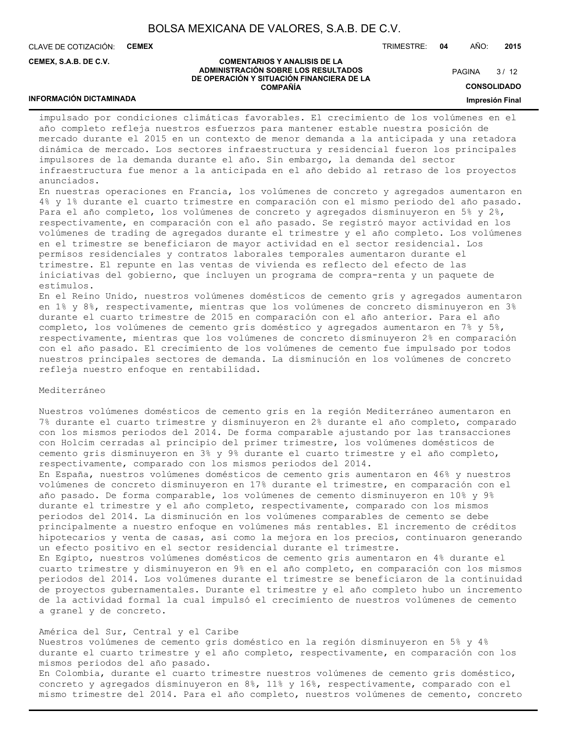CLAVE DE COTIZACIÓN: **CEMEX**

**INFORMACIÓN DICTAMINADA**

**CEMEX, S.A.B. DE C.V.**

#### TRIMESTRE: **04** AÑO: **2015**

#### **COMENTARIOS Y ANALISIS DE LA ADMINISTRACIÓN SOBRE LOS RESULTADOS DE OPERACIÓN Y SITUACIÓN FINANCIERA DE LA COMPAÑÍA**

 $3/12$ **PAGINA** 

**CONSOLIDADO**

#### **Impresión Final**

impulsado por condiciones climáticas favorables. El crecimiento de los volúmenes en el año completo refleja nuestros esfuerzos para mantener estable nuestra posición de mercado durante el 2015 en un contexto de menor demanda a la anticipada y una retadora dinámica de mercado. Los sectores infraestructura y residencial fueron los principales impulsores de la demanda durante el año. Sin embargo, la demanda del sector infraestructura fue menor a la anticipada en el año debido al retraso de los proyectos anunciados.

En nuestras operaciones en Francia, los volúmenes de concreto y agregados aumentaron en 4% y 1% durante el cuarto trimestre en comparación con el mismo periodo del año pasado. Para el año completo, los volúmenes de concreto y agregados disminuyeron en 5% y 2%, respectivamente, en comparación con el año pasado. Se registró mayor actividad en los volúmenes de trading de agregados durante el trimestre y el año completo. Los volúmenes en el trimestre se beneficiaron de mayor actividad en el sector residencial. Los permisos residenciales y contratos laborales temporales aumentaron durante el trimestre. El repunte en las ventas de vivienda es reflecto del efecto de las iniciativas del gobierno, que incluyen un programa de compra-renta y un paquete de estímulos.

En el Reino Unido, nuestros volúmenes domésticos de cemento gris y agregados aumentaron en 1% y 8%, respectivamente, mientras que los volúmenes de concreto disminuyeron en 3% durante el cuarto trimestre de 2015 en comparación con el año anterior. Para el año completo, los volúmenes de cemento gris doméstico y agregados aumentaron en 7% y 5%, respectivamente, mientras que los volúmenes de concreto disminuyeron 2% en comparación con el año pasado. El crecimiento de los volúmenes de cemento fue impulsado por todos nuestros principales sectores de demanda. La disminución en los volúmenes de concreto refleja nuestro enfoque en rentabilidad.

#### Mediterráneo

Nuestros volúmenes domésticos de cemento gris en la región Mediterráneo aumentaron en 7% durante el cuarto trimestre y disminuyeron en 2% durante el año completo, comparado con los mismos periodos del 2014. De forma comparable ajustando por las transacciones con Holcim cerradas al principio del primer trimestre, los volúmenes domésticos de cemento gris disminuyeron en 3% y 9% durante el cuarto trimestre y el año completo, respectivamente, comparado con los mismos periodos del 2014.

En España, nuestros volúmenes domésticos de cemento gris aumentaron en 46% y nuestros volúmenes de concreto disminuyeron en 17% durante el trimestre, en comparación con el año pasado. De forma comparable, los volúmenes de cemento disminuyeron en 10% y 9% durante el trimestre y el año completo, respectivamente, comparado con los mismos periodos del 2014. La disminución en los volúmenes comparables de cemento se debe principalmente a nuestro enfoque en volúmenes más rentables. El incremento de créditos hipotecarios y venta de casas, así como la mejora en los precios, continuaron generando un efecto positivo en el sector residencial durante el trimestre. En Egipto, nuestros volúmenes domésticos de cemento gris aumentaron en 4% durante el cuarto trimestre y disminuyeron en 9% en el año completo, en comparación con los mismos periodos del 2014. Los volúmenes durante el trimestre se beneficiaron de la continuidad de proyectos gubernamentales. Durante el trimestre y el año completo hubo un incremento de la actividad formal la cual impulsó el crecimiento de nuestros volúmenes de cemento a granel y de concreto.

América del Sur, Central y el Caribe Nuestros volúmenes de cemento gris doméstico en la región disminuyeron en 5% y 4% durante el cuarto trimestre y el año completo, respectivamente, en comparación con los mismos periodos del año pasado. En Colombia, durante el cuarto trimestre nuestros volúmenes de cemento gris doméstico, concreto y agregados disminuyeron en 8%, 11% y 16%, respectivamente, comparado con el mismo trimestre del 2014. Para el año completo, nuestros volúmenes de cemento, concreto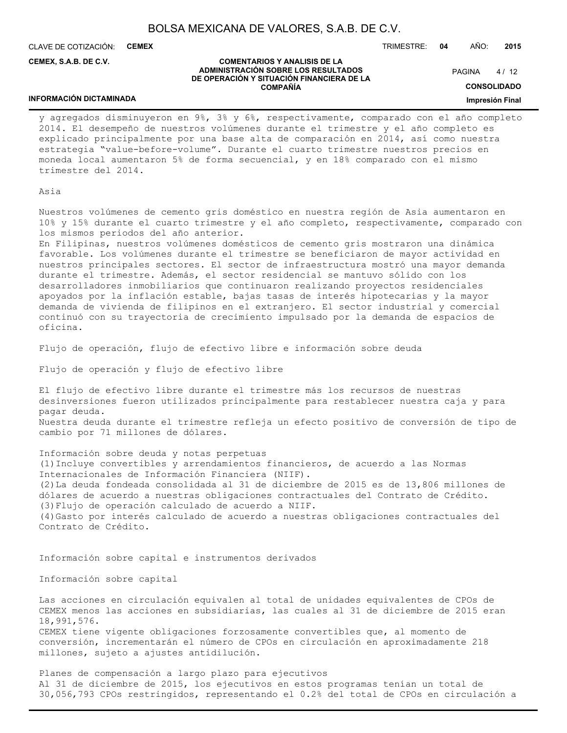CLAVE DE COTIZACIÓN: **CEMEX**

**CEMEX, S.A.B. DE C.V.**

TRIMESTRE: **04** AÑO: **2015**

#### **COMENTARIOS Y ANALISIS DE LA ADMINISTRACIÓN SOBRE LOS RESULTADOS DE OPERACIÓN Y SITUACIÓN FINANCIERA DE LA COMPAÑÍA**

 $4/12$ **PAGINA** 

**CONSOLIDADO**

#### **Impresión Final**

#### **INFORMACIÓN DICTAMINADA**

y agregados disminuyeron en 9%, 3% y 6%, respectivamente, comparado con el año completo 2014. El desempeño de nuestros volúmenes durante el trimestre y el año completo es explicado principalmente por una base alta de comparación en 2014, así como nuestra estrategia "value-before-volume". Durante el cuarto trimestre nuestros precios en moneda local aumentaron 5% de forma secuencial, y en 18% comparado con el mismo trimestre del 2014.

## Asia

Nuestros volúmenes de cemento gris doméstico en nuestra región de Asia aumentaron en 10% y 15% durante el cuarto trimestre y el año completo, respectivamente, comparado con los mismos periodos del año anterior.

En Filipinas, nuestros volúmenes domésticos de cemento gris mostraron una dinámica favorable. Los volúmenes durante el trimestre se beneficiaron de mayor actividad en nuestros principales sectores. El sector de infraestructura mostró una mayor demanda durante el trimestre. Además, el sector residencial se mantuvo sólido con los desarrolladores inmobiliarios que continuaron realizando proyectos residenciales apoyados por la inflación estable, bajas tasas de interés hipotecarias y la mayor demanda de vivienda de filipinos en el extranjero. El sector industrial y comercial continuó con su trayectoria de crecimiento impulsado por la demanda de espacios de oficina.

Flujo de operación, flujo de efectivo libre e información sobre deuda

Flujo de operación y flujo de efectivo libre

El flujo de efectivo libre durante el trimestre más los recursos de nuestras desinversiones fueron utilizados principalmente para restablecer nuestra caja y para pagar deuda. Nuestra deuda durante el trimestre refleja un efecto positivo de conversión de tipo de cambio por 71 millones de dólares.

Información sobre deuda y notas perpetuas (1)Incluye convertibles y arrendamientos financieros, de acuerdo a las Normas Internacionales de Información Financiera (NIIF). (2)La deuda fondeada consolidada al 31 de diciembre de 2015 es de 13,806 millones de dólares de acuerdo a nuestras obligaciones contractuales del Contrato de Crédito. (3)Flujo de operación calculado de acuerdo a NIIF. (4)Gasto por interés calculado de acuerdo a nuestras obligaciones contractuales del Contrato de Crédito.

Información sobre capital e instrumentos derivados

Información sobre capital

Las acciones en circulación equivalen al total de unidades equivalentes de CPOs de CEMEX menos las acciones en subsidiarias, las cuales al 31 de diciembre de 2015 eran 18,991,576. CEMEX tiene vigente obligaciones forzosamente convertibles que, al momento de conversión, incrementarán el número de CPOs en circulación en aproximadamente 218 millones, sujeto a ajustes antidilución.

Planes de compensación a largo plazo para ejecutivos Al 31 de diciembre de 2015, los ejecutivos en estos programas tenían un total de 30,056,793 CPOs restringidos, representando el 0.2% del total de CPOs en circulación a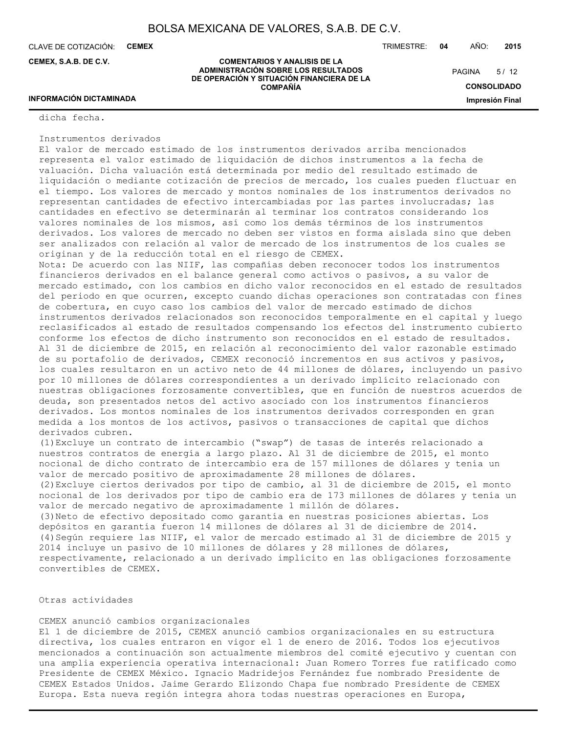CLAVE DE COTIZACIÓN: **CEMEX**

**CEMEX, S.A.B. DE C.V.**

TRIMESTRE: **04** AÑO: **2015**

 $5/12$ **PAGINA** 

**ADMINISTRACIÓN SOBRE LOS RESULTADOS DE OPERACIÓN Y SITUACIÓN FINANCIERA DE LA COMPAÑÍA**

**COMENTARIOS Y ANALISIS DE LA**

**CONSOLIDADO Impresión Final**

## **INFORMACIÓN DICTAMINADA**

dicha fecha.

### Instrumentos derivados

El valor de mercado estimado de los instrumentos derivados arriba mencionados representa el valor estimado de liquidación de dichos instrumentos a la fecha de valuación. Dicha valuación está determinada por medio del resultado estimado de liquidación o mediante cotización de precios de mercado, los cuales pueden fluctuar en el tiempo. Los valores de mercado y montos nominales de los instrumentos derivados no representan cantidades de efectivo intercambiadas por las partes involucradas; las cantidades en efectivo se determinarán al terminar los contratos considerando los valores nominales de los mismos, así como los demás términos de los instrumentos derivados. Los valores de mercado no deben ser vistos en forma aislada sino que deben ser analizados con relación al valor de mercado de los instrumentos de los cuales se originan y de la reducción total en el riesgo de CEMEX.

Nota: De acuerdo con las NIIF, las compañías deben reconocer todos los instrumentos financieros derivados en el balance general como activos o pasivos, a su valor de mercado estimado, con los cambios en dicho valor reconocidos en el estado de resultados del periodo en que ocurren, excepto cuando dichas operaciones son contratadas con fines de cobertura, en cuyo caso los cambios del valor de mercado estimado de dichos instrumentos derivados relacionados son reconocidos temporalmente en el capital y luego reclasificados al estado de resultados compensando los efectos del instrumento cubierto conforme los efectos de dicho instrumento son reconocidos en el estado de resultados. Al 31 de diciembre de 2015, en relación al reconocimiento del valor razonable estimado de su portafolio de derivados, CEMEX reconoció incrementos en sus activos y pasivos, los cuales resultaron en un activo neto de 44 millones de dólares, incluyendo un pasivo por 10 millones de dólares correspondientes a un derivado implícito relacionado con nuestras obligaciones forzosamente convertibles, que en función de nuestros acuerdos de deuda, son presentados netos del activo asociado con los instrumentos financieros derivados. Los montos nominales de los instrumentos derivados corresponden en gran medida a los montos de los activos, pasivos o transacciones de capital que dichos derivados cubren.

(1)Excluye un contrato de intercambio ("swap") de tasas de interés relacionado a nuestros contratos de energía a largo plazo. Al 31 de diciembre de 2015, el monto nocional de dicho contrato de intercambio era de 157 millones de dólares y tenía un valor de mercado positivo de aproximadamente 28 millones de dólares. (2)Excluye ciertos derivados por tipo de cambio, al 31 de diciembre de 2015, el monto nocional de los derivados por tipo de cambio era de 173 millones de dólares y tenía un valor de mercado negativo de aproximadamente 1 millón de dólares. (3)Neto de efectivo depositado como garantía en nuestras posiciones abiertas. Los depósitos en garantía fueron 14 millones de dólares al 31 de diciembre de 2014. (4)Según requiere las NIIF, el valor de mercado estimado al 31 de diciembre de 2015 y 2014 incluye un pasivo de 10 millones de dólares y 28 millones de dólares, respectivamente, relacionado a un derivado implícito en las obligaciones forzosamente convertibles de CEMEX.

## Otras actividades

## CEMEX anunció cambios organizacionales

El 1 de diciembre de 2015, CEMEX anunció cambios organizacionales en su estructura directiva, los cuales entraron en vigor el 1 de enero de 2016. Todos los ejecutivos mencionados a continuación son actualmente miembros del comité ejecutivo y cuentan con una amplia experiencia operativa internacional: Juan Romero Torres fue ratificado como Presidente de CEMEX México. Ignacio Madridejos Fernández fue nombrado Presidente de CEMEX Estados Unidos. Jaime Gerardo Elizondo Chapa fue nombrado Presidente de CEMEX Europa. Esta nueva región integra ahora todas nuestras operaciones en Europa,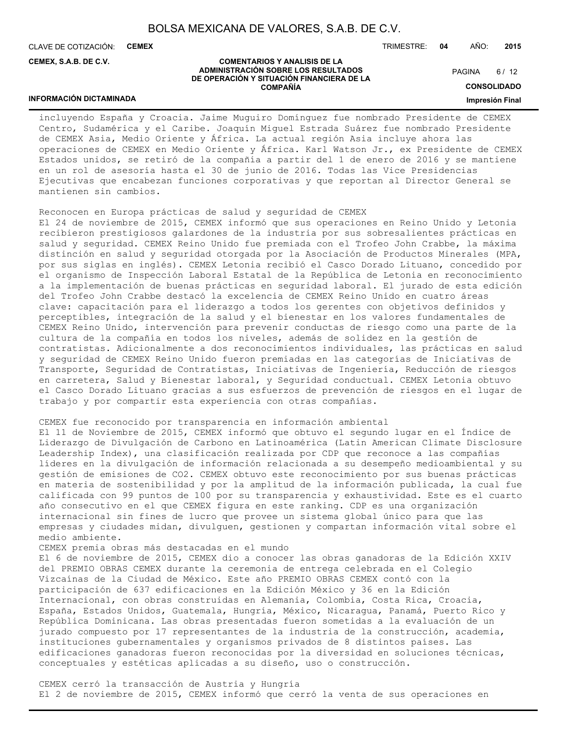CLAVE DE COTIZACIÓN: **CEMEX**

**INFORMACIÓN DICTAMINADA**

**CEMEX, S.A.B. DE C.V.**

TRIMESTRE: **04** AÑO: **2015**

#### **COMENTARIOS Y ANALISIS DE LA ADMINISTRACIÓN SOBRE LOS RESULTADOS DE OPERACIÓN Y SITUACIÓN FINANCIERA DE LA COMPAÑÍA**

 $6/12$ **PAGINA** 

**CONSOLIDADO**

**Impresión Final**

incluyendo España y Croacia. Jaime Muguiro Domínguez fue nombrado Presidente de CEMEX Centro, Sudamérica y el Caribe. Joaquín Miguel Estrada Suárez fue nombrado Presidente de CEMEX Asia, Medio Oriente y África. La actual región Asia incluye ahora las operaciones de CEMEX en Medio Oriente y África. Karl Watson Jr., ex Presidente de CEMEX Estados unidos, se retiró de la compañía a partir del 1 de enero de 2016 y se mantiene en un rol de asesoría hasta el 30 de junio de 2016. Todas las Vice Presidencias Ejecutivas que encabezan funciones corporativas y que reportan al Director General se mantienen sin cambios.

Reconocen en Europa prácticas de salud y seguridad de CEMEX

El 24 de noviembre de 2015, CEMEX informó que sus operaciones en Reino Unido y Letonia recibieron prestigiosos galardones de la industria por sus sobresalientes prácticas en salud y seguridad. CEMEX Reino Unido fue premiada con el Trofeo John Crabbe, la máxima distinción en salud y seguridad otorgada por la Asociación de Productos Minerales (MPA, por sus siglas en inglés). CEMEX Letonia recibió el Casco Dorado Lituano, concedido por el organismo de Inspección Laboral Estatal de la República de Letonia en reconocimiento a la implementación de buenas prácticas en seguridad laboral. El jurado de esta edición del Trofeo John Crabbe destacó la excelencia de CEMEX Reino Unido en cuatro áreas clave: capacitación para el liderazgo a todos los gerentes con objetivos definidos y perceptibles, integración de la salud y el bienestar en los valores fundamentales de CEMEX Reino Unido, intervención para prevenir conductas de riesgo como una parte de la cultura de la compañía en todos los niveles, además de solidez en la gestión de contratistas. Adicionalmente a dos reconocimientos individuales, las prácticas en salud y seguridad de CEMEX Reino Unido fueron premiadas en las categorías de Iniciativas de Transporte, Seguridad de Contratistas, Iniciativas de Ingeniería, Reducción de riesgos en carretera, Salud y Bienestar laboral, y Seguridad conductual. CEMEX Letonia obtuvo el Casco Dorado Lituano gracias a sus esfuerzos de prevención de riesgos en el lugar de trabajo y por compartir esta experiencia con otras compañías.

## CEMEX fue reconocido por transparencia en información ambiental

El 11 de Noviembre de 2015, CEMEX informó que obtuvo el segundo lugar en el Índice de Liderazgo de Divulgación de Carbono en Latinoamérica (Latin American Climate Disclosure Leadership Index), una clasificación realizada por CDP que reconoce a las compañías líderes en la divulgación de información relacionada a su desempeño medioambiental y su gestión de emisiones de CO2. CEMEX obtuvo este reconocimiento por sus buenas prácticas en materia de sostenibilidad y por la amplitud de la información publicada, la cual fue calificada con 99 puntos de 100 por su transparencia y exhaustividad. Este es el cuarto año consecutivo en el que CEMEX figura en este ranking. CDP es una organización internacional sin fines de lucro que provee un sistema global único para que las empresas y ciudades midan, divulguen, gestionen y compartan información vital sobre el medio ambiente.

## CEMEX premia obras más destacadas en el mundo

El 6 de noviembre de 2015, CEMEX dio a conocer las obras ganadoras de la Edición XXIV del PREMIO OBRAS CEMEX durante la ceremonia de entrega celebrada en el Colegio Vizcaínas de la Ciudad de México. Este año PREMIO OBRAS CEMEX contó con la participación de 637 edificaciones en la Edición México y 36 en la Edición Internacional, con obras construidas en Alemania, Colombia, Costa Rica, Croacia, España, Estados Unidos, Guatemala, Hungría, México, Nicaragua, Panamá, Puerto Rico y República Dominicana. Las obras presentadas fueron sometidas a la evaluación de un jurado compuesto por 17 representantes de la industria de la construcción, academia, instituciones gubernamentales y organismos privados de 8 distintos países. Las edificaciones ganadoras fueron reconocidas por la diversidad en soluciones técnicas, conceptuales y estéticas aplicadas a su diseño, uso o construcción.

CEMEX cerró la transacción de Austria y Hungría El 2 de noviembre de 2015, CEMEX informó que cerró la venta de sus operaciones en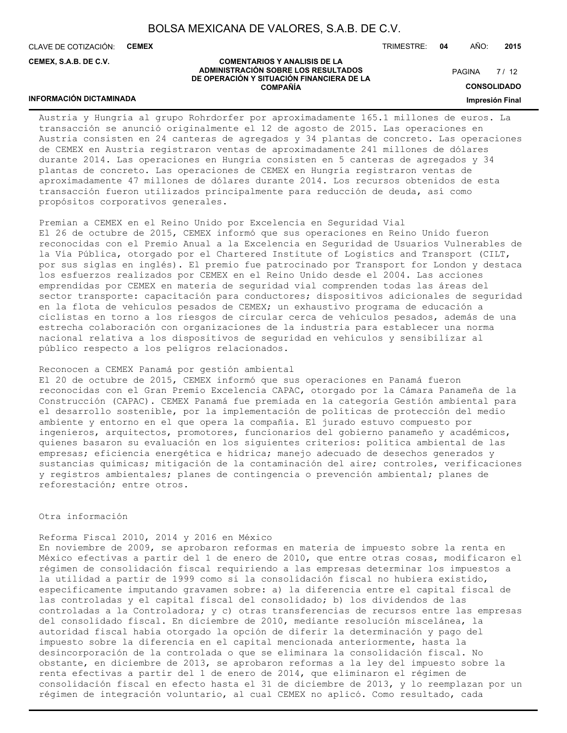CLAVE DE COTIZACIÓN: **CEMEX**

**CEMEX, S.A.B. DE C.V.**

TRIMESTRE: **04** AÑO: **2015**

#### **COMENTARIOS Y ANALISIS DE LA ADMINISTRACIÓN SOBRE LOS RESULTADOS DE OPERACIÓN Y SITUACIÓN FINANCIERA DE LA COMPAÑÍA**

 $7/12$ **PAGINA** 

**CONSOLIDADO**

**Impresión Final**

## **INFORMACIÓN DICTAMINADA**

Austria y Hungría al grupo Rohrdorfer por aproximadamente 165.1 millones de euros. La transacción se anunció originalmente el 12 de agosto de 2015. Las operaciones en Austria consisten en 24 canteras de agregados y 34 plantas de concreto. Las operaciones de CEMEX en Austria registraron ventas de aproximadamente 241 millones de dólares durante 2014. Las operaciones en Hungría consisten en 5 canteras de agregados y 34 plantas de concreto. Las operaciones de CEMEX en Hungría registraron ventas de aproximadamente 47 millones de dólares durante 2014. Los recursos obtenidos de esta transacción fueron utilizados principalmente para reducción de deuda, así como propósitos corporativos generales.

Premian a CEMEX en el Reino Unido por Excelencia en Seguridad Vial El 26 de octubre de 2015, CEMEX informó que sus operaciones en Reino Unido fueron reconocidas con el Premio Anual a la Excelencia en Seguridad de Usuarios Vulnerables de la Vía Pública, otorgado por el Chartered Institute of Logistics and Transport (CILT, por sus siglas en inglés). El premio fue patrocinado por Transport for London y destaca los esfuerzos realizados por CEMEX en el Reino Unido desde el 2004. Las acciones emprendidas por CEMEX en materia de seguridad vial comprenden todas las áreas del sector transporte: capacitación para conductores; dispositivos adicionales de seguridad en la flota de vehículos pesados de CEMEX; un exhaustivo programa de educación a ciclistas en torno a los riesgos de circular cerca de vehículos pesados, además de una estrecha colaboración con organizaciones de la industria para establecer una norma nacional relativa a los dispositivos de seguridad en vehículos y sensibilizar al público respecto a los peligros relacionados.

## Reconocen a CEMEX Panamá por gestión ambiental

El 20 de octubre de 2015, CEMEX informó que sus operaciones en Panamá fueron reconocidas con el Gran Premio Excelencia CAPAC, otorgado por la Cámara Panameña de la Construcción (CAPAC). CEMEX Panamá fue premiada en la categoría Gestión ambiental para el desarrollo sostenible, por la implementación de políticas de protección del medio ambiente y entorno en el que opera la compañía. El jurado estuvo compuesto por ingenieros, arquitectos, promotores, funcionarios del gobierno panameño y académicos, quienes basaron su evaluación en los siguientes criterios: política ambiental de las empresas; eficiencia energética e hídrica; manejo adecuado de desechos generados y sustancias químicas; mitigación de la contaminación del aire; controles, verificaciones y registros ambientales; planes de contingencia o prevención ambiental; planes de reforestación; entre otros.

#### Otra información

## Reforma Fiscal 2010, 2014 y 2016 en México

En noviembre de 2009, se aprobaron reformas en materia de impuesto sobre la renta en México efectivas a partir del 1 de enero de 2010, que entre otras cosas, modificaron el régimen de consolidación fiscal requiriendo a las empresas determinar los impuestos a la utilidad a partir de 1999 como si la consolidación fiscal no hubiera existido, específicamente imputando gravamen sobre: a) la diferencia entre el capital fiscal de las controladas y el capital fiscal del consolidado; b) los dividendos de las controladas a la Controladora; y c) otras transferencias de recursos entre las empresas del consolidado fiscal. En diciembre de 2010, mediante resolución miscelánea, la autoridad fiscal había otorgado la opción de diferir la determinación y pago del impuesto sobre la diferencia en el capital mencionada anteriormente, hasta la desincorporación de la controlada o que se eliminara la consolidación fiscal. No obstante, en diciembre de 2013, se aprobaron reformas a la ley del impuesto sobre la renta efectivas a partir del 1 de enero de 2014, que eliminaron el régimen de consolidación fiscal en efecto hasta el 31 de diciembre de 2013, y lo reemplazan por un régimen de integración voluntario, al cual CEMEX no aplicó. Como resultado, cada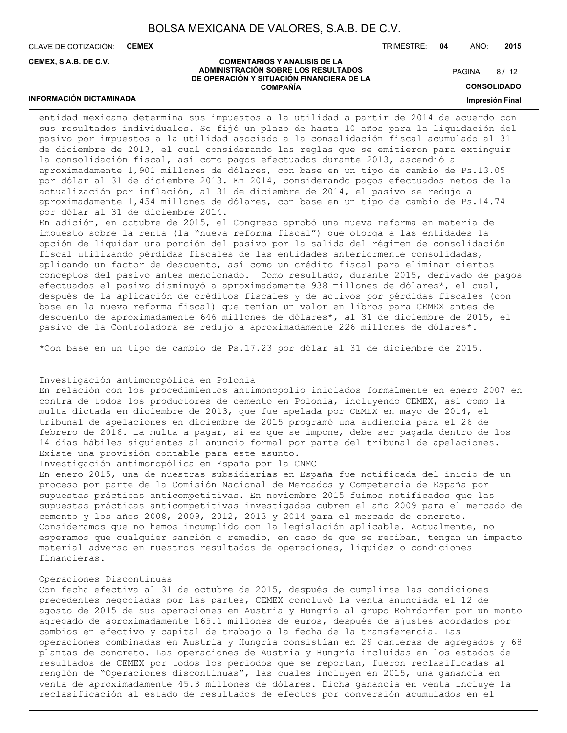CLAVE DE COTIZACIÓN: **CEMEX**

**INFORMACIÓN DICTAMINADA**

**CEMEX, S.A.B. DE C.V.**

TRIMESTRE: **04** AÑO: **2015**

#### **COMENTARIOS Y ANALISIS DE LA ADMINISTRACIÓN SOBRE LOS RESULTADOS DE OPERACIÓN Y SITUACIÓN FINANCIERA DE LA COMPAÑÍA**

 $8/12$ **PAGINA** 

**CONSOLIDADO**

#### **Impresión Final**

entidad mexicana determina sus impuestos a la utilidad a partir de 2014 de acuerdo con sus resultados individuales. Se fijó un plazo de hasta 10 años para la liquidación del pasivo por impuestos a la utilidad asociado a la consolidación fiscal acumulado al 31 de diciembre de 2013, el cual considerando las reglas que se emitieron para extinguir la consolidación fiscal, así como pagos efectuados durante 2013, ascendió a aproximadamente 1,901 millones de dólares, con base en un tipo de cambio de Ps.13.05 por dólar al 31 de diciembre 2013. En 2014, considerando pagos efectuados netos de la actualización por inflación, al 31 de diciembre de 2014, el pasivo se redujo a aproximadamente 1,454 millones de dólares, con base en un tipo de cambio de Ps.14.74 por dólar al 31 de diciembre 2014.

En adición, en octubre de 2015, el Congreso aprobó una nueva reforma en materia de impuesto sobre la renta (la "nueva reforma fiscal") que otorga a las entidades la opción de liquidar una porción del pasivo por la salida del régimen de consolidación fiscal utilizando pérdidas fiscales de las entidades anteriormente consolidadas, aplicando un factor de descuento, así como un crédito fiscal para eliminar ciertos conceptos del pasivo antes mencionado. Como resultado, durante 2015, derivado de pagos efectuados el pasivo disminuyó a aproximadamente 938 millones de dólares\*, el cual, después de la aplicación de créditos fiscales y de activos por pérdidas fiscales (con base en la nueva reforma fiscal) que tenían un valor en libros para CEMEX antes de descuento de aproximadamente 646 millones de dólares\*, al 31 de diciembre de 2015, el pasivo de la Controladora se redujo a aproximadamente 226 millones de dólares\*.

\*Con base en un tipo de cambio de Ps.17.23 por dólar al 31 de diciembre de 2015.

## Investigación antimonopólica en Polonia

En relación con los procedimientos antimonopolio iniciados formalmente en enero 2007 en contra de todos los productores de cemento en Polonia, incluyendo CEMEX, así como la multa dictada en diciembre de 2013, que fue apelada por CEMEX en mayo de 2014, el tribunal de apelaciones en diciembre de 2015 programó una audiencia para el 26 de febrero de 2016. La multa a pagar, si es que se impone, debe ser pagada dentro de los 14 días hábiles siguientes al anuncio formal por parte del tribunal de apelaciones. Existe una provisión contable para este asunto.

Investigación antimonopólica en España por la CNMC

En enero 2015, una de nuestras subsidiarias en España fue notificada del inicio de un proceso por parte de la Comisión Nacional de Mercados y Competencia de España por supuestas prácticas anticompetitivas. En noviembre 2015 fuimos notificados que las supuestas prácticas anticompetitivas investigadas cubren el año 2009 para el mercado de cemento y los años 2008, 2009, 2012, 2013 y 2014 para el mercado de concreto. Consideramos que no hemos incumplido con la legislación aplicable. Actualmente, no esperamos que cualquier sanción o remedio, en caso de que se reciban, tengan un impacto material adverso en nuestros resultados de operaciones, liquidez o condiciones financieras.

## Operaciones Discontinuas

Con fecha efectiva al 31 de octubre de 2015, después de cumplirse las condiciones precedentes negociadas por las partes, CEMEX concluyó la venta anunciada el 12 de agosto de 2015 de sus operaciones en Austria y Hungría al grupo Rohrdorfer por un monto agregado de aproximadamente 165.1 millones de euros, después de ajustes acordados por cambios en efectivo y capital de trabajo a la fecha de la transferencia. Las operaciones combinadas en Austria y Hungría consistían en 29 canteras de agregados y 68 plantas de concreto. Las operaciones de Austria y Hungría incluidas en los estados de resultados de CEMEX por todos los periodos que se reportan, fueron reclasificadas al renglón de "Operaciones discontinuas", las cuales incluyen en 2015, una ganancia en venta de aproximadamente 45.3 millones de dólares. Dicha ganancia en venta incluye la reclasificación al estado de resultados de efectos por conversión acumulados en el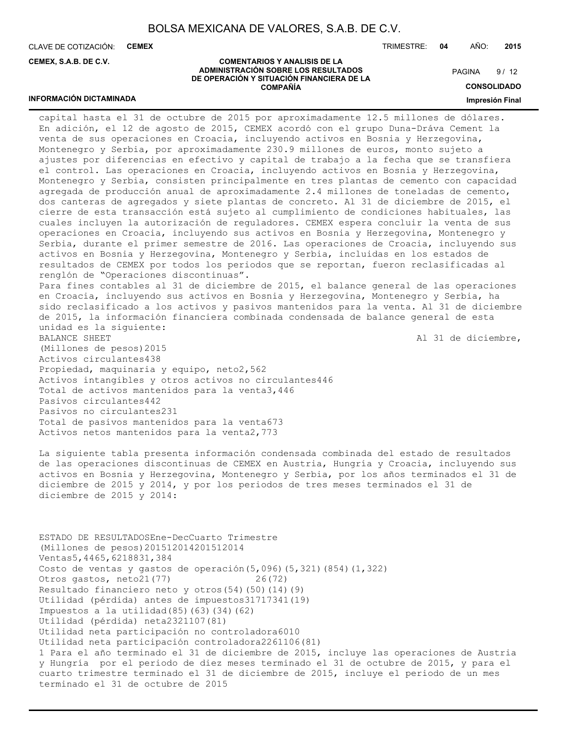CLAVE DE COTIZACIÓN: **CEMEX**

**INFORMACIÓN DICTAMINADA**

**CEMEX, S.A.B. DE C.V.**

TRIMESTRE: **04** AÑO: **2015**

#### **COMENTARIOS Y ANALISIS DE LA ADMINISTRACIÓN SOBRE LOS RESULTADOS DE OPERACIÓN Y SITUACIÓN FINANCIERA DE LA COMPAÑÍA**

 $9/12$ **PAGINA** 

**CONSOLIDADO**

#### **Impresión Final**

capital hasta el 31 de octubre de 2015 por aproximadamente 12.5 millones de dólares. En adición, el 12 de agosto de 2015, CEMEX acordó con el grupo Duna-Dráva Cement la venta de sus operaciones en Croacia, incluyendo activos en Bosnia y Herzegovina, Montenegro y Serbia, por aproximadamente 230.9 millones de euros, monto sujeto a ajustes por diferencias en efectivo y capital de trabajo a la fecha que se transfiera el control. Las operaciones en Croacia, incluyendo activos en Bosnia y Herzegovina, Montenegro y Serbia, consisten principalmente en tres plantas de cemento con capacidad agregada de producción anual de aproximadamente 2.4 millones de toneladas de cemento, dos canteras de agregados y siete plantas de concreto. Al 31 de diciembre de 2015, el cierre de esta transacción está sujeto al cumplimiento de condiciones habituales, las cuales incluyen la autorización de reguladores. CEMEX espera concluir la venta de sus operaciones en Croacia, incluyendo sus activos en Bosnia y Herzegovina, Montenegro y Serbia, durante el primer semestre de 2016. Las operaciones de Croacia, incluyendo sus activos en Bosnia y Herzegovina, Montenegro y Serbia, incluidas en los estados de resultados de CEMEX por todos los periodos que se reportan, fueron reclasificadas al renglón de "Operaciones discontinuas". Para fines contables al 31 de diciembre de 2015, el balance general de las operaciones en Croacia, incluyendo sus activos en Bosnia y Herzegovina, Montenegro y Serbia, ha sido reclasificado a los activos y pasivos mantenidos para la venta. Al 31 de diciembre de 2015, la información financiera combinada condensada de balance general de esta unidad es la siguiente: BALANCE SHEET Al 31 de diciembre, (Millones de pesos)2015 Activos circulantes438 Propiedad, maquinaria y equipo, neto2,562 Activos intangibles y otros activos no circulantes446 Total de activos mantenidos para la venta3,446 Pasivos circulantes442 Pasivos no circulantes231 Total de pasivos mantenidos para la venta673 Activos netos mantenidos para la venta2,773

La siguiente tabla presenta información condensada combinada del estado de resultados de las operaciones discontinuas de CEMEX en Austria, Hungría y Croacia, incluyendo sus activos en Bosnia y Herzegovina, Montenegro y Serbia, por los años terminados el 31 de diciembre de 2015 y 2014, y por los periodos de tres meses terminados el 31 de diciembre de 2015 y 2014:

ESTADO DE RESULTADOSEne-DecCuarto Trimestre (Millones de pesos)201512014201512014 Ventas5,4465,6218831,384 Costo de ventas y gastos de operación(5,096)(5,321)(854)(1,322) Otros gastos, neto21(77) 26(72) Resultado financiero neto y otros(54)(50)(14)(9) Utilidad (pérdida) antes de impuestos31717341(19) Impuestos a la utilidad(85)(63)(34)(62) Utilidad (pérdida) neta2321107(81) Utilidad neta participación no controladora6010 Utilidad neta participación controladora2261106(81) 1 Para el año terminado el 31 de diciembre de 2015, incluye las operaciones de Austria y Hungría por el periodo de diez meses terminado el 31 de octubre de 2015, y para el cuarto trimestre terminado el 31 de diciembre de 2015, incluye el periodo de un mes terminado el 31 de octubre de 2015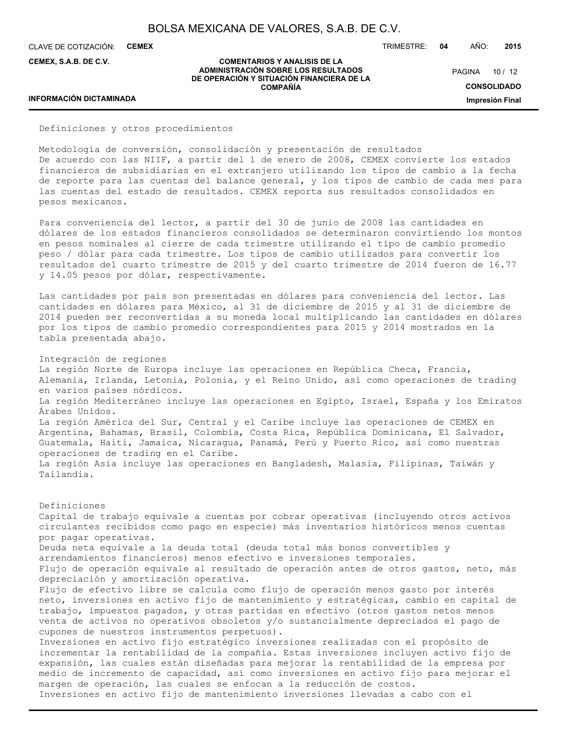**COMENTARIOS Y ANALISIS DE LA ADMINISTRACIÓN SOBRE LOS RESULTADOS DE OPERACIÓN Y SITUACIÓN FINANCIERA DE LA COMPAÑÍA**

CLAVE DE COTIZACIÓN: **CEMEX**

**CEMEX, S.A.B. DE C.V.**

TRIMESTRE: **04** AÑO: **2015**

PAGINA 10 / 12

**CONSOLIDADO**

**Impresión Final**

## **INFORMACIÓN DICTAMINADA**

Definiciones y otros procedimientos

Metodología de conversión, consolidación y presentación de resultados De acuerdo con las NIIF, a partir del 1 de enero de 2008, CEMEX convierte los estados financieros de subsidiarias en el extranjero utilizando los tipos de cambio a la fecha de reporte para las cuentas del balance general, y los tipos de cambio de cada mes para las cuentas del estado de resultados. CEMEX reporta sus resultados consolidados en pesos mexicanos.

Para conveniencia del lector, a partir del 30 de junio de 2008 las cantidades en dólares de los estados financieros consolidados se determinaron convirtiendo los montos en pesos nominales al cierre de cada trimestre utilizando el tipo de cambio promedio peso / dólar para cada trimestre. Los tipos de cambio utilizados para convertir los resultados del cuarto trimestre de 2015 y del cuarto trimestre de 2014 fueron de 16.77 y 14.05 pesos por dólar, respectivamente.

Las cantidades por país son presentadas en dólares para conveniencia del lector. Las cantidades en dólares para México, al 31 de diciembre de 2015 y al 31 de diciembre de 2014 pueden ser reconvertidas a su moneda local multiplicando las cantidades en dólares por los tipos de cambio promedio correspondientes para 2015 y 2014 mostrados en la tabla presentada abajo.

Integración de regiones La región Norte de Europa incluye las operaciones en República Checa, Francia, Alemania, Irlanda, Letonia, Polonia, y el Reino Unido, así como operaciones de trading en varios países nórdicos. La región Mediterráneo incluye las operaciones en Egipto, Israel, España y los Emiratos Árabes Unidos. La región América del Sur, Central y el Caribe incluye las operaciones de CEMEX en Argentina, Bahamas, Brasil, Colombia, Costa Rica, República Dominicana, El Salvador, Guatemala, Haití, Jamaica, Nicaragua, Panamá, Perú y Puerto Rico, así como nuestras operaciones de trading en el Caribe. La región Asia incluye las operaciones en Bangladesh, Malasia, Filipinas, Taiwán y Tailandia.

Definiciones Capital de trabajo equivale a cuentas por cobrar operativas (incluyendo otros activos circulantes recibidos como pago en especie) más inventarios históricos menos cuentas por pagar operativas. Deuda neta equivale a la deuda total (deuda total más bonos convertibles y arrendamientos financieros) menos efectivo e inversiones temporales. Flujo de operación equivale al resultado de operación antes de otros gastos, neto, más depreciación y amortización operativa. Flujo de efectivo libre se calcula como flujo de operación menos gasto por interés neto, inversiones en activo fijo de mantenimiento y estratégicas, cambio en capital de trabajo, impuestos pagados, y otras partidas en efectivo (otros gastos netos menos venta de activos no operativos obsoletos y/o sustancialmente depreciados el pago de cupones de nuestros instrumentos perpetuos). Inversiones en activo fijo estratégico inversiones realizadas con el propósito de incrementar la rentabilidad de la compañía. Estas inversiones incluyen activo fijo de expansión, las cuales están diseñadas para mejorar la rentabilidad de la empresa por medio de incremento de capacidad, así como inversiones en activo fijo para mejorar el margen de operación, las cuales se enfocan a la reducción de costos. Inversiones en activo fijo de mantenimiento inversiones llevadas a cabo con el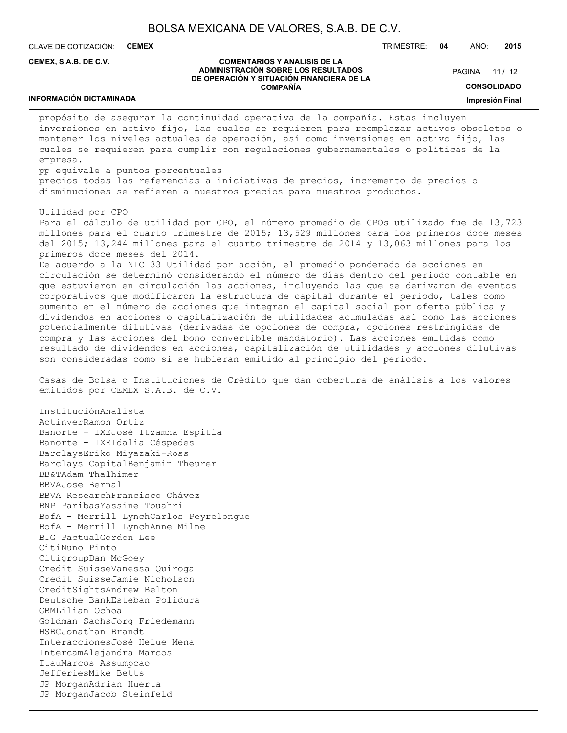CLAVE DE COTIZACIÓN: **CEMEX**

**CEMEX, S.A.B. DE C.V.**

## TRIMESTRE: **04** AÑO: **2015**

PAGINA 11 / 12

#### **COMENTARIOS Y ANALISIS DE LA ADMINISTRACIÓN SOBRE LOS RESULTADOS DE OPERACIÓN Y SITUACIÓN FINANCIERA DE LA COMPAÑÍA**

**CONSOLIDADO**

**Impresión Final**

## **INFORMACIÓN DICTAMINADA**

propósito de asegurar la continuidad operativa de la compañía. Estas incluyen inversiones en activo fijo, las cuales se requieren para reemplazar activos obsoletos o mantener los niveles actuales de operación, así como inversiones en activo fijo, las cuales se requieren para cumplir con regulaciones gubernamentales o políticas de la empresa.

pp equivale a puntos porcentuales

precios todas las referencias a iniciativas de precios, incremento de precios o disminuciones se refieren a nuestros precios para nuestros productos.

Utilidad por CPO

Para el cálculo de utilidad por CPO, el número promedio de CPOs utilizado fue de 13,723 millones para el cuarto trimestre de 2015; 13,529 millones para los primeros doce meses del 2015; 13,244 millones para el cuarto trimestre de 2014 y 13,063 millones para los primeros doce meses del 2014.

De acuerdo a la NIC 33 Utilidad por acción, el promedio ponderado de acciones en circulación se determinó considerando el número de días dentro del periodo contable en que estuvieron en circulación las acciones, incluyendo las que se derivaron de eventos corporativos que modificaron la estructura de capital durante el periodo, tales como aumento en el número de acciones que integran el capital social por oferta pública y dividendos en acciones o capitalización de utilidades acumuladas así como las acciones potencialmente dilutivas (derivadas de opciones de compra, opciones restringidas de compra y las acciones del bono convertible mandatorio). Las acciones emitidas como resultado de dividendos en acciones, capitalización de utilidades y acciones dilutivas son consideradas como si se hubieran emitido al principio del periodo.

Casas de Bolsa o Instituciones de Crédito que dan cobertura de análisis a los valores emitidos por CEMEX S.A.B. de C.V.

InstituciónAnalista ActinverRamon Ortiz Banorte - IXEJosé Itzamna Espitia Banorte - IXEIdalia Céspedes BarclaysEriko Miyazaki-Ross Barclays CapitalBenjamin Theurer BB&TAdam Thalhimer BBVAJose Bernal BBVA ResearchFrancisco Chávez BNP ParibasYassine Touahri BofA - Merrill LynchCarlos Peyrelongue BofA - Merrill LynchAnne Milne BTG PactualGordon Lee CitiNuno Pinto CitigroupDan McGoey Credit SuisseVanessa Quiroga Credit SuisseJamie Nicholson CreditSightsAndrew Belton Deutsche BankEsteban Polidura GBMLilian Ochoa Goldman SachsJorg Friedemann HSBCJonathan Brandt InteraccionesJosé Helue Mena IntercamAlejandra Marcos ItauMarcos Assumpcao JefferiesMike Betts JP MorganAdrian Huerta JP MorganJacob Steinfeld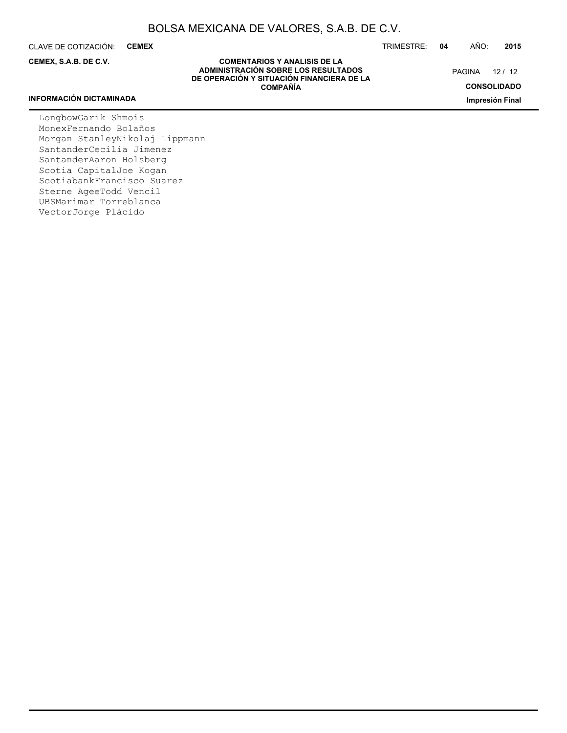CLAVE DE COTIZACIÓN: **CEMEX**

**CEMEX, S.A.B. DE C.V.**

TRIMESTRE: **04** AÑO: **2015**

PAGINA 12 / 12

**CONSOLIDADO**

**Impresión Final**

## **COMENTARIOS Y ANALISIS DE LA ADMINISTRACIÓN SOBRE LOS RESULTADOS DE OPERACIÓN Y SITUACIÓN FINANCIERA DE LA COMPAÑÍA**

## **INFORMACIÓN DICTAMINADA**

LongbowGarik Shmois MonexFernando Bolaños Morgan StanleyNikolaj Lippmann SantanderCecilia Jimenez SantanderAaron Holsberg Scotia CapitalJoe Kogan ScotiabankFrancisco Suarez Sterne AgeeTodd Vencil UBSMarimar Torreblanca VectorJorge Plácido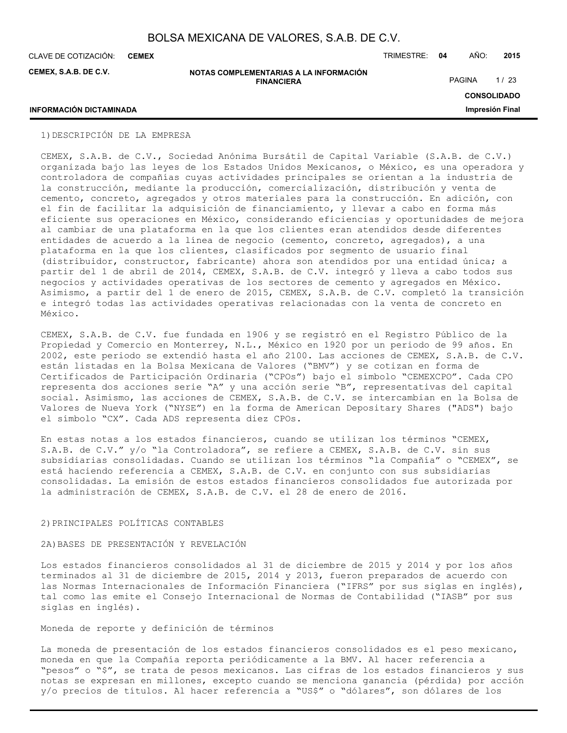**CEMEX**

**CEMEX, S.A.B. DE C.V.**

**NOTAS COMPLEMENTARIAS A LA INFORMACIÓN FINANCIERA**

CLAVE DE COTIZACIÓN: TRIMESTRE: **04** AÑO: **2015**

PAGINA 1/23

## **CONSOLIDADO**

**Impresión Final**

## **INFORMACIÓN DICTAMINADA**

## 1)DESCRIPCIÓN DE LA EMPRESA

CEMEX, S.A.B. de C.V., Sociedad Anónima Bursátil de Capital Variable (S.A.B. de C.V.) organizada bajo las leyes de los Estados Unidos Mexicanos, o México, es una operadora y controladora de compañías cuyas actividades principales se orientan a la industria de la construcción, mediante la producción, comercialización, distribución y venta de cemento, concreto, agregados y otros materiales para la construcción. En adición, con el fin de facilitar la adquisición de financiamiento, y llevar a cabo en forma más eficiente sus operaciones en México, considerando eficiencias y oportunidades de mejora al cambiar de una plataforma en la que los clientes eran atendidos desde diferentes entidades de acuerdo a la línea de negocio (cemento, concreto, agregados), a una plataforma en la que los clientes, clasificados por segmento de usuario final (distribuidor, constructor, fabricante) ahora son atendidos por una entidad única; a partir del 1 de abril de 2014, CEMEX, S.A.B. de C.V. integró y lleva a cabo todos sus negocios y actividades operativas de los sectores de cemento y agregados en México. Asimismo, a partir del 1 de enero de 2015, CEMEX, S.A.B. de C.V. completó la transición e integró todas las actividades operativas relacionadas con la venta de concreto en México.

CEMEX, S.A.B. de C.V. fue fundada en 1906 y se registró en el Registro Público de la Propiedad y Comercio en Monterrey, N.L., México en 1920 por un periodo de 99 años. En 2002, este periodo se extendió hasta el año 2100. Las acciones de CEMEX, S.A.B. de C.V. están listadas en la Bolsa Mexicana de Valores ("BMV") y se cotizan en forma de Certificados de Participación Ordinaria ("CPOs") bajo el símbolo "CEMEXCPO". Cada CPO representa dos acciones serie "A" y una acción serie "B", representativas del capital social. Asimismo, las acciones de CEMEX, S.A.B. de C.V. se intercambian en la Bolsa de Valores de Nueva York ("NYSE") en la forma de American Depositary Shares ("ADS") bajo el símbolo "CX". Cada ADS representa diez CPOs.

En estas notas a los estados financieros, cuando se utilizan los términos "CEMEX, S.A.B. de C.V." y/o "la Controladora", se refiere a CEMEX, S.A.B. de C.V. sin sus subsidiarias consolidadas. Cuando se utilizan los términos "la Compañía" o "CEMEX", se está haciendo referencia a CEMEX, S.A.B. de C.V. en conjunto con sus subsidiarias consolidadas. La emisión de estos estados financieros consolidados fue autorizada por la administración de CEMEX, S.A.B. de C.V. el 28 de enero de 2016.

## 2)PRINCIPALES POLÍTICAS CONTABLES

## 2A)BASES DE PRESENTACIÓN Y REVELACIÓN

Los estados financieros consolidados al 31 de diciembre de 2015 y 2014 y por los años terminados al 31 de diciembre de 2015, 2014 y 2013, fueron preparados de acuerdo con las Normas Internacionales de Información Financiera ("IFRS" por sus siglas en inglés), tal como las emite el Consejo Internacional de Normas de Contabilidad ("IASB" por sus siglas en inglés).

#### Moneda de reporte y definición de términos

La moneda de presentación de los estados financieros consolidados es el peso mexicano, moneda en que la Compañía reporta periódicamente a la BMV. Al hacer referencia a "pesos" o "\$", se trata de pesos mexicanos. Las cifras de los estados financieros y sus notas se expresan en millones, excepto cuando se menciona ganancia (pérdida) por acción y/o precios de títulos. Al hacer referencia a "US\$" o "dólares", son dólares de los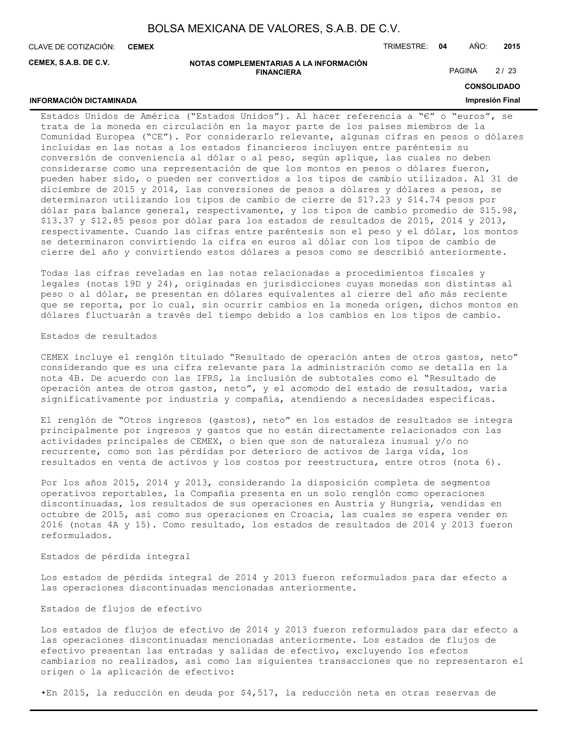**CEMEX**

**INFORMACIÓN DICTAMINADA**

CLAVE DE COTIZACIÓN: TRIMESTRE: **04** AÑO: **2015**

**CEMEX, S.A.B. DE C.V.**

#### **NOTAS COMPLEMENTARIAS A LA INFORMACIÓN FINANCIERA**

PAGINA 2/23

**CONSOLIDADO**

## **Impresión Final**

Estados Unidos de América ("Estados Unidos"). Al hacer referencia a "€" o "euros", se trata de la moneda en circulación en la mayor parte de los países miembros de la Comunidad Europea ("CE"). Por considerarlo relevante, algunas cifras en pesos o dólares incluidas en las notas a los estados financieros incluyen entre paréntesis su conversión de conveniencia al dólar o al peso, según aplique, las cuales no deben considerarse como una representación de que los montos en pesos o dólares fueron, pueden haber sido, o pueden ser convertidos a los tipos de cambio utilizados. Al 31 de diciembre de 2015 y 2014, las conversiones de pesos a dólares y dólares a pesos, se determinaron utilizando los tipos de cambio de cierre de \$17.23 y \$14.74 pesos por dólar para balance general, respectivamente, y los tipos de cambio promedio de \$15.98, \$13.37 y \$12.85 pesos por dólar para los estados de resultados de 2015, 2014 y 2013, respectivamente. Cuando las cifras entre paréntesis son el peso y el dólar, los montos se determinaron convirtiendo la cifra en euros al dólar con los tipos de cambio de cierre del año y convirtiendo estos dólares a pesos como se describió anteriormente.

Todas las cifras reveladas en las notas relacionadas a procedimientos fiscales y legales (notas 19D y 24), originadas en jurisdicciones cuyas monedas son distintas al peso o al dólar, se presentan en dólares equivalentes al cierre del año más reciente que se reporta, por lo cual, sin ocurrir cambios en la moneda origen, dichos montos en dólares fluctuarán a través del tiempo debido a los cambios en los tipos de cambio.

## Estados de resultados

CEMEX incluye el renglón titulado "Resultado de operación antes de otros gastos, neto" considerando que es una cifra relevante para la administración como se detalla en la nota 4B. De acuerdo con las IFRS, la inclusión de subtotales como el "Resultado de operación antes de otros gastos, neto", y el acomodo del estado de resultados, varía significativamente por industria y compañía, atendiendo a necesidades específicas.

El renglón de "Otros ingresos (gastos), neto" en los estados de resultados se integra principalmente por ingresos y gastos que no están directamente relacionados con las actividades principales de CEMEX, o bien que son de naturaleza inusual y/o no recurrente, como son las pérdidas por deterioro de activos de larga vida, los resultados en venta de activos y los costos por reestructura, entre otros (nota 6).

Por los años 2015, 2014 y 2013, considerando la disposición completa de segmentos operativos reportables, la Compañía presenta en un solo renglón como operaciones discontinuadas, los resultados de sus operaciones en Austria y Hungría, vendidas en octubre de 2015, así como sus operaciones en Croacia, las cuales se espera vender en 2016 (notas 4A y 15). Como resultado, los estados de resultados de 2014 y 2013 fueron reformulados.

#### Estados de pérdida integral

Los estados de pérdida integral de 2014 y 2013 fueron reformulados para dar efecto a las operaciones discontinuadas mencionadas anteriormente.

#### Estados de flujos de efectivo

Los estados de flujos de efectivo de 2014 y 2013 fueron reformulados para dar efecto a las operaciones discontinuadas mencionadas anteriormente. Los estados de flujos de efectivo presentan las entradas y salidas de efectivo, excluyendo los efectos cambiarios no realizados, así como las siguientes transacciones que no representaron el origen o la aplicación de efectivo:

•En 2015, la reducción en deuda por \$4,517, la reducción neta en otras reservas de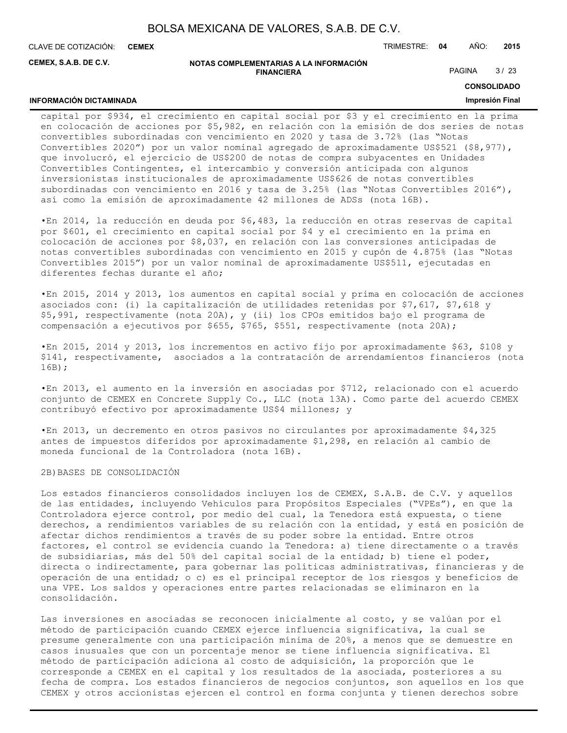**CEMEX**

**INFORMACIÓN DICTAMINADA**

CLAVE DE COTIZACIÓN: TRIMESTRE: **04** AÑO: **2015**

**CEMEX, S.A.B. DE C.V.**

#### **NOTAS COMPLEMENTARIAS A LA INFORMACIÓN FINANCIERA**

PAGINA 3/23

## **CONSOLIDADO**

## **Impresión Final**

capital por \$934, el crecimiento en capital social por \$3 y el crecimiento en la prima en colocación de acciones por \$5,982, en relación con la emisión de dos series de notas convertibles subordinadas con vencimiento en 2020 y tasa de 3.72% (las "Notas Convertibles 2020") por un valor nominal agregado de aproximadamente US\$521 (\$8,977), que involucró, el ejercicio de US\$200 de notas de compra subyacentes en Unidades Convertibles Contingentes, el intercambio y conversión anticipada con algunos inversionistas institucionales de aproximadamente US\$626 de notas convertibles subordinadas con vencimiento en 2016 y tasa de 3.25% (las "Notas Convertibles 2016"), así como la emisión de aproximadamente 42 millones de ADSs (nota 16B).

•En 2014, la reducción en deuda por \$6,483, la reducción en otras reservas de capital por \$601, el crecimiento en capital social por \$4 y el crecimiento en la prima en colocación de acciones por \$8,037, en relación con las conversiones anticipadas de notas convertibles subordinadas con vencimiento en 2015 y cupón de 4.875% (las "Notas Convertibles 2015") por un valor nominal de aproximadamente US\$511, ejecutadas en diferentes fechas durante el año;

•En 2015, 2014 y 2013, los aumentos en capital social y prima en colocación de acciones asociados con: (i) la capitalización de utilidades retenidas por \$7,617, \$7,618 y \$5,991, respectivamente (nota 20A), y (ii) los CPOs emitidos bajo el programa de compensación a ejecutivos por \$655, \$765, \$551, respectivamente (nota 20A);

•En 2015, 2014 y 2013, los incrementos en activo fijo por aproximadamente \$63, \$108 y \$141, respectivamente, asociados a la contratación de arrendamientos financieros (nota 16B);

•En 2013, el aumento en la inversión en asociadas por \$712, relacionado con el acuerdo conjunto de CEMEX en Concrete Supply Co., LLC (nota 13A). Como parte del acuerdo CEMEX contribuyó efectivo por aproximadamente US\$4 millones; y

•En 2013, un decremento en otros pasivos no circulantes por aproximadamente \$4,325 antes de impuestos diferidos por aproximadamente \$1,298, en relación al cambio de moneda funcional de la Controladora (nota 16B).

## 2B)BASES DE CONSOLIDACIÓN

Los estados financieros consolidados incluyen los de CEMEX, S.A.B. de C.V. y aquellos de las entidades, incluyendo Vehículos para Propósitos Especiales ("VPEs"), en que la Controladora ejerce control, por medio del cual, la Tenedora está expuesta, o tiene derechos, a rendimientos variables de su relación con la entidad, y está en posición de afectar dichos rendimientos a través de su poder sobre la entidad. Entre otros factores, el control se evidencia cuando la Tenedora: a) tiene directamente o a través de subsidiarias, más del 50% del capital social de la entidad; b) tiene el poder, directa o indirectamente, para gobernar las políticas administrativas, financieras y de operación de una entidad; o c) es el principal receptor de los riesgos y beneficios de una VPE. Los saldos y operaciones entre partes relacionadas se eliminaron en la consolidación.

Las inversiones en asociadas se reconocen inicialmente al costo, y se valúan por el método de participación cuando CEMEX ejerce influencia significativa, la cual se presume generalmente con una participación mínima de 20%, a menos que se demuestre en casos inusuales que con un porcentaje menor se tiene influencia significativa. El método de participación adiciona al costo de adquisición, la proporción que le corresponde a CEMEX en el capital y los resultados de la asociada, posteriores a su fecha de compra. Los estados financieros de negocios conjuntos, son aquellos en los que CEMEX y otros accionistas ejercen el control en forma conjunta y tienen derechos sobre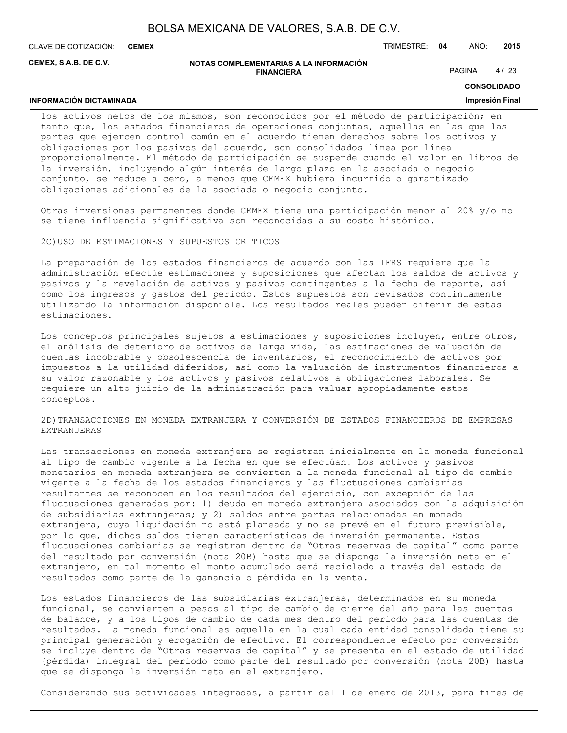**CEMEX**

**INFORMACIÓN DICTAMINADA**

CLAVE DE COTIZACIÓN: TRIMESTRE: **04** AÑO: **2015**

**CEMEX, S.A.B. DE C.V.**

#### **NOTAS COMPLEMENTARIAS A LA INFORMACIÓN FINANCIERA**

PAGINA 4/23

**CONSOLIDADO**

#### **Impresión Final**

los activos netos de los mismos, son reconocidos por el método de participación; en tanto que, los estados financieros de operaciones conjuntas, aquellas en las que las partes que ejercen control común en el acuerdo tienen derechos sobre los activos y obligaciones por los pasivos del acuerdo, son consolidados línea por línea proporcionalmente. El método de participación se suspende cuando el valor en libros de la inversión, incluyendo algún interés de largo plazo en la asociada o negocio conjunto, se reduce a cero, a menos que CEMEX hubiera incurrido o garantizado obligaciones adicionales de la asociada o negocio conjunto.

Otras inversiones permanentes donde CEMEX tiene una participación menor al 20% y/o no se tiene influencia significativa son reconocidas a su costo histórico.

2C)USO DE ESTIMACIONES Y SUPUESTOS CRITICOS

La preparación de los estados financieros de acuerdo con las IFRS requiere que la administración efectúe estimaciones y suposiciones que afectan los saldos de activos y pasivos y la revelación de activos y pasivos contingentes a la fecha de reporte, así como los ingresos y gastos del periodo. Estos supuestos son revisados continuamente utilizando la información disponible. Los resultados reales pueden diferir de estas estimaciones.

Los conceptos principales sujetos a estimaciones y suposiciones incluyen, entre otros, el análisis de deterioro de activos de larga vida, las estimaciones de valuación de cuentas incobrable y obsolescencia de inventarios, el reconocimiento de activos por impuestos a la utilidad diferidos, así como la valuación de instrumentos financieros a su valor razonable y los activos y pasivos relativos a obligaciones laborales. Se requiere un alto juicio de la administración para valuar apropiadamente estos conceptos.

## 2D)TRANSACCIONES EN MONEDA EXTRANJERA Y CONVERSIÓN DE ESTADOS FINANCIEROS DE EMPRESAS EXTRANJERAS

Las transacciones en moneda extranjera se registran inicialmente en la moneda funcional al tipo de cambio vigente a la fecha en que se efectúan. Los activos y pasivos monetarios en moneda extranjera se convierten a la moneda funcional al tipo de cambio vigente a la fecha de los estados financieros y las fluctuaciones cambiarias resultantes se reconocen en los resultados del ejercicio, con excepción de las fluctuaciones generadas por: 1) deuda en moneda extranjera asociados con la adquisición de subsidiarias extranjeras; y 2) saldos entre partes relacionadas en moneda extranjera, cuya liquidación no está planeada y no se prevé en el futuro previsible, por lo que, dichos saldos tienen características de inversión permanente. Estas fluctuaciones cambiarias se registran dentro de "Otras reservas de capital" como parte del resultado por conversión (nota 20B) hasta que se disponga la inversión neta en el extranjero, en tal momento el monto acumulado será reciclado a través del estado de resultados como parte de la ganancia o pérdida en la venta.

Los estados financieros de las subsidiarias extranjeras, determinados en su moneda funcional, se convierten a pesos al tipo de cambio de cierre del año para las cuentas de balance, y a los tipos de cambio de cada mes dentro del periodo para las cuentas de resultados. La moneda funcional es aquella en la cual cada entidad consolidada tiene su principal generación y erogación de efectivo. El correspondiente efecto por conversión se incluye dentro de "Otras reservas de capital" y se presenta en el estado de utilidad (pérdida) integral del periodo como parte del resultado por conversión (nota 20B) hasta que se disponga la inversión neta en el extranjero.

Considerando sus actividades integradas, a partir del 1 de enero de 2013, para fines de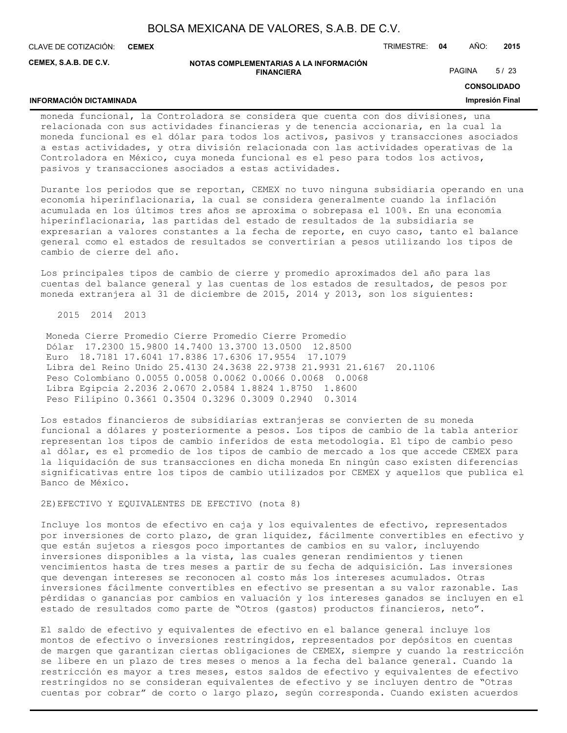**CEMEX**

**INFORMACIÓN DICTAMINADA**

CLAVE DE COTIZACIÓN: TRIMESTRE: **04** AÑO: **2015**

**CEMEX, S.A.B. DE C.V.**

#### **NOTAS COMPLEMENTARIAS A LA INFORMACIÓN FINANCIERA**

PAGINA 5/23

**CONSOLIDADO**

#### **Impresión Final**

moneda funcional, la Controladora se considera que cuenta con dos divisiones, una relacionada con sus actividades financieras y de tenencia accionaria, en la cual la moneda funcional es el dólar para todos los activos, pasivos y transacciones asociados a estas actividades, y otra división relacionada con las actividades operativas de la Controladora en México, cuya moneda funcional es el peso para todos los activos, pasivos y transacciones asociados a estas actividades.

Durante los periodos que se reportan, CEMEX no tuvo ninguna subsidiaria operando en una economía hiperinflacionaria, la cual se considera generalmente cuando la inflación acumulada en los últimos tres años se aproxima o sobrepasa el 100%. En una economía hiperinflacionaria, las partidas del estado de resultados de la subsidiaria se expresarían a valores constantes a la fecha de reporte, en cuyo caso, tanto el balance general como el estados de resultados se convertirían a pesos utilizando los tipos de cambio de cierre del año.

Los principales tipos de cambio de cierre y promedio aproximados del año para las cuentas del balance general y las cuentas de los estados de resultados, de pesos por moneda extranjera al 31 de diciembre de 2015, 2014 y 2013, son los siguientes:

2015 2014 2013

 Moneda Cierre Promedio Cierre Promedio Cierre Promedio Dólar 17.2300 15.9800 14.7400 13.3700 13.0500 12.8500 Euro 18.7181 17.6041 17.8386 17.6306 17.9554 17.1079 Libra del Reino Unido 25.4130 24.3638 22.9738 21.9931 21.6167 20.1106 Peso Colombiano 0.0055 0.0058 0.0062 0.0066 0.0068 0.0068 Libra Egipcia 2.2036 2.0670 2.0584 1.8824 1.8750 1.8600 Peso Filipino 0.3661 0.3504 0.3296 0.3009 0.2940 0.3014

Los estados financieros de subsidiarias extranjeras se convierten de su moneda funcional a dólares y posteriormente a pesos. Los tipos de cambio de la tabla anterior representan los tipos de cambio inferidos de esta metodología. El tipo de cambio peso al dólar, es el promedio de los tipos de cambio de mercado a los que accede CEMEX para la liquidación de sus transacciones en dicha moneda En ningún caso existen diferencias significativas entre los tipos de cambio utilizados por CEMEX y aquellos que publica el Banco de México.

2E)EFECTIVO Y EQUIVALENTES DE EFECTIVO (nota 8)

Incluye los montos de efectivo en caja y los equivalentes de efectivo, representados por inversiones de corto plazo, de gran liquidez, fácilmente convertibles en efectivo y que están sujetos a riesgos poco importantes de cambios en su valor, incluyendo inversiones disponibles a la vista, las cuales generan rendimientos y tienen vencimientos hasta de tres meses a partir de su fecha de adquisición. Las inversiones que devengan intereses se reconocen al costo más los intereses acumulados. Otras inversiones fácilmente convertibles en efectivo se presentan a su valor razonable. Las pérdidas o ganancias por cambios en valuación y los intereses ganados se incluyen en el estado de resultados como parte de "Otros (gastos) productos financieros, neto".

El saldo de efectivo y equivalentes de efectivo en el balance general incluye los montos de efectivo o inversiones restringidos, representados por depósitos en cuentas de margen que garantizan ciertas obligaciones de CEMEX, siempre y cuando la restricción se libere en un plazo de tres meses o menos a la fecha del balance general. Cuando la restricción es mayor a tres meses, estos saldos de efectivo y equivalentes de efectivo restringidos no se consideran equivalentes de efectivo y se incluyen dentro de "Otras cuentas por cobrar" de corto o largo plazo, según corresponda. Cuando existen acuerdos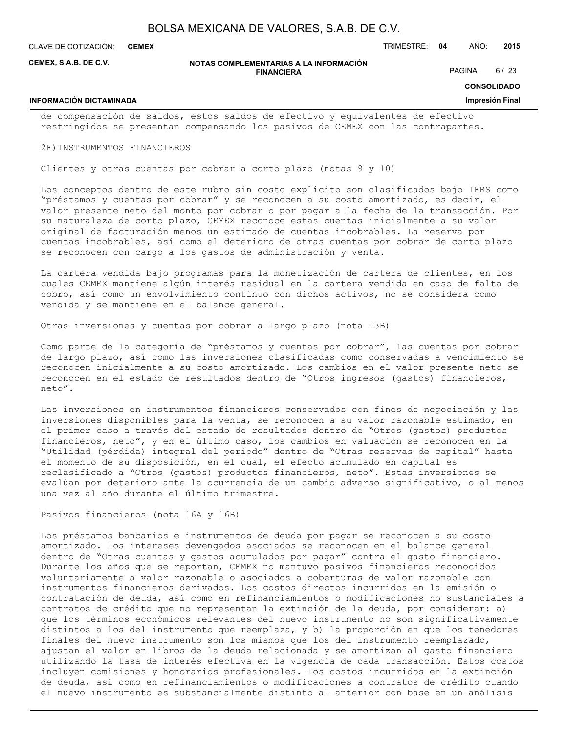**CEMEX**

**INFORMACIÓN DICTAMINADA**

CLAVE DE COTIZACIÓN: TRIMESTRE: **04** AÑO: **2015**

**CEMEX, S.A.B. DE C.V.**

#### **NOTAS COMPLEMENTARIAS A LA INFORMACIÓN FINANCIERA**

PAGINA 6/23

**CONSOLIDADO**

#### **Impresión Final**

de compensación de saldos, estos saldos de efectivo y equivalentes de efectivo restringidos se presentan compensando los pasivos de CEMEX con las contrapartes.

2F)INSTRUMENTOS FINANCIEROS

Clientes y otras cuentas por cobrar a corto plazo (notas 9 y 10)

Los conceptos dentro de este rubro sin costo explícito son clasificados bajo IFRS como "préstamos y cuentas por cobrar" y se reconocen a su costo amortizado, es decir, el valor presente neto del monto por cobrar o por pagar a la fecha de la transacción. Por su naturaleza de corto plazo, CEMEX reconoce estas cuentas inicialmente a su valor original de facturación menos un estimado de cuentas incobrables. La reserva por cuentas incobrables, así como el deterioro de otras cuentas por cobrar de corto plazo se reconocen con cargo a los gastos de administración y venta.

La cartera vendida bajo programas para la monetización de cartera de clientes, en los cuales CEMEX mantiene algún interés residual en la cartera vendida en caso de falta de cobro, así como un envolvimiento continuo con dichos activos, no se considera como vendida y se mantiene en el balance general.

Otras inversiones y cuentas por cobrar a largo plazo (nota 13B)

Como parte de la categoría de "préstamos y cuentas por cobrar", las cuentas por cobrar de largo plazo, así como las inversiones clasificadas como conservadas a vencimiento se reconocen inicialmente a su costo amortizado. Los cambios en el valor presente neto se reconocen en el estado de resultados dentro de "Otros ingresos (gastos) financieros, neto".

Las inversiones en instrumentos financieros conservados con fines de negociación y las inversiones disponibles para la venta, se reconocen a su valor razonable estimado, en el primer caso a través del estado de resultados dentro de "Otros (gastos) productos financieros, neto", y en el último caso, los cambios en valuación se reconocen en la "Utilidad (pérdida) integral del periodo" dentro de "Otras reservas de capital" hasta el momento de su disposición, en el cual, el efecto acumulado en capital es reclasificado a "Otros (gastos) productos financieros, neto". Estas inversiones se evalúan por deterioro ante la ocurrencia de un cambio adverso significativo, o al menos una vez al año durante el último trimestre.

Pasivos financieros (nota 16A y 16B)

Los préstamos bancarios e instrumentos de deuda por pagar se reconocen a su costo amortizado. Los intereses devengados asociados se reconocen en el balance general dentro de "Otras cuentas y gastos acumulados por pagar" contra el gasto financiero. Durante los años que se reportan, CEMEX no mantuvo pasivos financieros reconocidos voluntariamente a valor razonable o asociados a coberturas de valor razonable con instrumentos financieros derivados. Los costos directos incurridos en la emisión o contratación de deuda, así como en refinanciamientos o modificaciones no sustanciales a contratos de crédito que no representan la extinción de la deuda, por considerar: a) que los términos económicos relevantes del nuevo instrumento no son significativamente distintos a los del instrumento que reemplaza, y b) la proporción en que los tenedores finales del nuevo instrumento son los mismos que los del instrumento reemplazado, ajustan el valor en libros de la deuda relacionada y se amortizan al gasto financiero utilizando la tasa de interés efectiva en la vigencia de cada transacción. Estos costos incluyen comisiones y honorarios profesionales. Los costos incurridos en la extinción de deuda, así como en refinanciamientos o modificaciones a contratos de crédito cuando el nuevo instrumento es substancialmente distinto al anterior con base en un análisis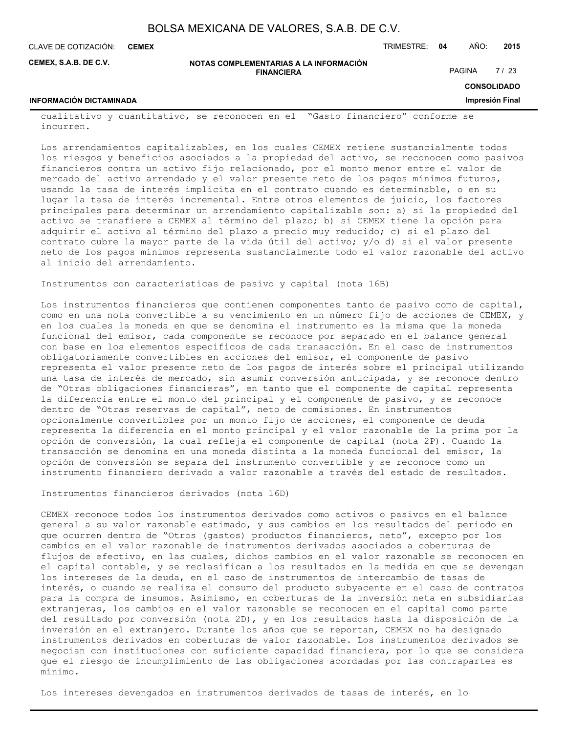| BOLSA MEXICANA DE VALORES, S.A.B. DE C.V. |  |  |
|-------------------------------------------|--|--|
|-------------------------------------------|--|--|

CLAVE DE COTIZACIÓN: TRIMESTRE: **04** AÑO: **2015 CEMEX**

**CEMEX, S.A.B. DE C.V.**

**NOTAS COMPLEMENTARIAS A LA INFORMACIÓN FINANCIERA**

PAGINA 7/23

**CONSOLIDADO Impresión Final**

## **INFORMACIÓN DICTAMINADA**

cualitativo y cuantitativo, se reconocen en el "Gasto financiero" conforme se incurren.

Los arrendamientos capitalizables, en los cuales CEMEX retiene sustancialmente todos los riesgos y beneficios asociados a la propiedad del activo, se reconocen como pasivos financieros contra un activo fijo relacionado, por el monto menor entre el valor de mercado del activo arrendado y el valor presente neto de los pagos mínimos futuros, usando la tasa de interés implícita en el contrato cuando es determinable, o en su lugar la tasa de interés incremental. Entre otros elementos de juicio, los factores principales para determinar un arrendamiento capitalizable son: a) si la propiedad del activo se transfiere a CEMEX al término del plazo; b) si CEMEX tiene la opción para adquirir el activo al término del plazo a precio muy reducido; c) si el plazo del contrato cubre la mayor parte de la vida útil del activo; y/o d) si el valor presente neto de los pagos mínimos representa sustancialmente todo el valor razonable del activo al inicio del arrendamiento.

Instrumentos con características de pasivo y capital (nota 16B)

Los instrumentos financieros que contienen componentes tanto de pasivo como de capital, como en una nota convertible a su vencimiento en un número fijo de acciones de CEMEX, y en los cuales la moneda en que se denomina el instrumento es la misma que la moneda funcional del emisor, cada componente se reconoce por separado en el balance general con base en los elementos específicos de cada transacción. En el caso de instrumentos obligatoriamente convertibles en acciones del emisor, el componente de pasivo representa el valor presente neto de los pagos de interés sobre el principal utilizando una tasa de interés de mercado, sin asumir conversión anticipada, y se reconoce dentro de "Otras obligaciones financieras", en tanto que el componente de capital representa la diferencia entre el monto del principal y el componente de pasivo, y se reconoce dentro de "Otras reservas de capital", neto de comisiones. En instrumentos opcionalmente convertibles por un monto fijo de acciones, el componente de deuda representa la diferencia en el monto principal y el valor razonable de la prima por la opción de conversión, la cual refleja el componente de capital (nota 2P). Cuando la transacción se denomina en una moneda distinta a la moneda funcional del emisor, la opción de conversión se separa del instrumento convertible y se reconoce como un instrumento financiero derivado a valor razonable a través del estado de resultados.

Instrumentos financieros derivados (nota 16D)

CEMEX reconoce todos los instrumentos derivados como activos o pasivos en el balance general a su valor razonable estimado, y sus cambios en los resultados del periodo en que ocurren dentro de "Otros (gastos) productos financieros, neto", excepto por los cambios en el valor razonable de instrumentos derivados asociados a coberturas de flujos de efectivo, en las cuales, dichos cambios en el valor razonable se reconocen en el capital contable, y se reclasifican a los resultados en la medida en que se devengan los intereses de la deuda, en el caso de instrumentos de intercambio de tasas de interés, o cuando se realiza el consumo del producto subyacente en el caso de contratos para la compra de insumos. Asimismo, en coberturas de la inversión neta en subsidiarias extranjeras, los cambios en el valor razonable se reconocen en el capital como parte del resultado por conversión (nota 2D), y en los resultados hasta la disposición de la inversión en el extranjero. Durante los años que se reportan, CEMEX no ha designado instrumentos derivados en coberturas de valor razonable. Los instrumentos derivados se negocian con instituciones con suficiente capacidad financiera, por lo que se considera que el riesgo de incumplimiento de las obligaciones acordadas por las contrapartes es mínimo.

Los intereses devengados en instrumentos derivados de tasas de interés, en lo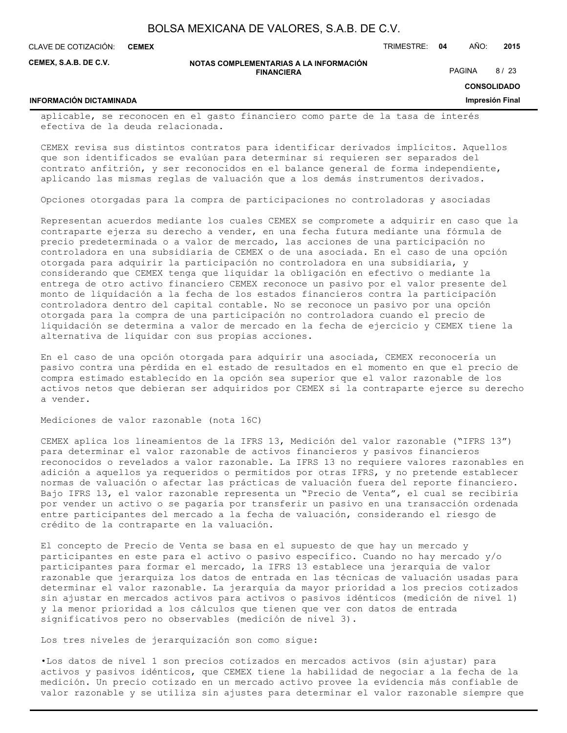**CEMEX**

**INFORMACIÓN DICTAMINADA**

CLAVE DE COTIZACIÓN: TRIMESTRE: **04** AÑO: **2015**

**CEMEX, S.A.B. DE C.V.**

#### **NOTAS COMPLEMENTARIAS A LA INFORMACIÓN FINANCIERA**

PAGINA 8/23

**CONSOLIDADO**

#### **Impresión Final**

aplicable, se reconocen en el gasto financiero como parte de la tasa de interés efectiva de la deuda relacionada.

CEMEX revisa sus distintos contratos para identificar derivados implícitos. Aquellos que son identificados se evalúan para determinar si requieren ser separados del contrato anfitrión, y ser reconocidos en el balance general de forma independiente, aplicando las mismas reglas de valuación que a los demás instrumentos derivados.

Opciones otorgadas para la compra de participaciones no controladoras y asociadas

Representan acuerdos mediante los cuales CEMEX se compromete a adquirir en caso que la contraparte ejerza su derecho a vender, en una fecha futura mediante una fórmula de precio predeterminada o a valor de mercado, las acciones de una participación no controladora en una subsidiaria de CEMEX o de una asociada. En el caso de una opción otorgada para adquirir la participación no controladora en una subsidiaria, y considerando que CEMEX tenga que liquidar la obligación en efectivo o mediante la entrega de otro activo financiero CEMEX reconoce un pasivo por el valor presente del monto de liquidación a la fecha de los estados financieros contra la participación controladora dentro del capital contable. No se reconoce un pasivo por una opción otorgada para la compra de una participación no controladora cuando el precio de liquidación se determina a valor de mercado en la fecha de ejercicio y CEMEX tiene la alternativa de liquidar con sus propias acciones.

En el caso de una opción otorgada para adquirir una asociada, CEMEX reconocería un pasivo contra una pérdida en el estado de resultados en el momento en que el precio de compra estimado establecido en la opción sea superior que el valor razonable de los activos netos que debieran ser adquiridos por CEMEX si la contraparte ejerce su derecho a vender.

Mediciones de valor razonable (nota 16C)

CEMEX aplica los lineamientos de la IFRS 13, Medición del valor razonable ("IFRS 13") para determinar el valor razonable de activos financieros y pasivos financieros reconocidos o revelados a valor razonable. La IFRS 13 no requiere valores razonables en adición a aquellos ya requeridos o permitidos por otras IFRS, y no pretende establecer normas de valuación o afectar las prácticas de valuación fuera del reporte financiero. Bajo IFRS 13, el valor razonable representa un "Precio de Venta", el cual se recibiría por vender un activo o se pagaría por transferir un pasivo en una transacción ordenada entre participantes del mercado a la fecha de valuación, considerando el riesgo de crédito de la contraparte en la valuación.

El concepto de Precio de Venta se basa en el supuesto de que hay un mercado y participantes en este para el activo o pasivo específico. Cuando no hay mercado y/o participantes para formar el mercado, la IFRS 13 establece una jerarquía de valor razonable que jerarquiza los datos de entrada en las técnicas de valuación usadas para determinar el valor razonable. La jerarquía da mayor prioridad a los precios cotizados sin ajustar en mercados activos para activos o pasivos idénticos (medición de nivel 1) y la menor prioridad a los cálculos que tienen que ver con datos de entrada significativos pero no observables (medición de nivel 3).

Los tres niveles de jerarquización son como sigue:

•Los datos de nivel 1 son precios cotizados en mercados activos (sin ajustar) para activos y pasivos idénticos, que CEMEX tiene la habilidad de negociar a la fecha de la medición. Un precio cotizado en un mercado activo provee la evidencia más confiable de valor razonable y se utiliza sin ajustes para determinar el valor razonable siempre que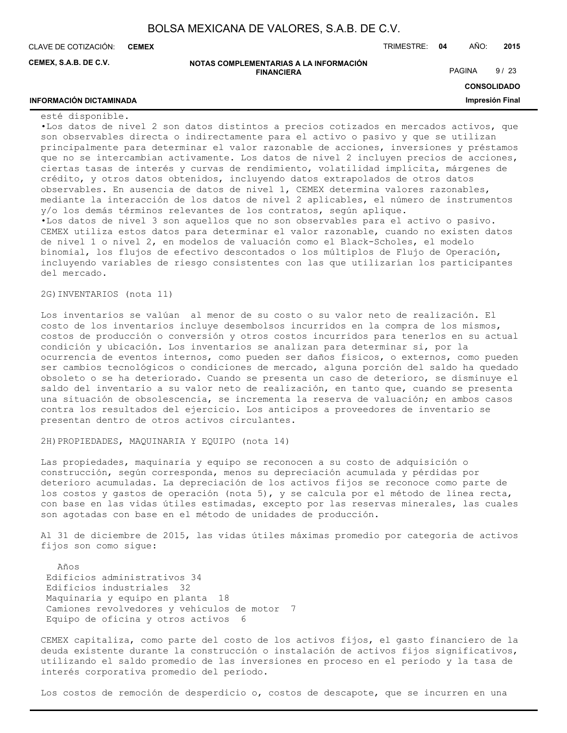**CEMEX**

CLAVE DE COTIZACIÓN: TRIMESTRE: **04** AÑO: **2015**

**CEMEX, S.A.B. DE C.V.**

**NOTAS COMPLEMENTARIAS A LA INFORMACIÓN FINANCIERA**

PAGINA 9/23

## **CONSOLIDADO**

**Impresión Final**

## **INFORMACIÓN DICTAMINADA**

esté disponible.

•Los datos de nivel 2 son datos distintos a precios cotizados en mercados activos, que son observables directa o indirectamente para el activo o pasivo y que se utilizan principalmente para determinar el valor razonable de acciones, inversiones y préstamos que no se intercambian activamente. Los datos de nivel 2 incluyen precios de acciones, ciertas tasas de interés y curvas de rendimiento, volatilidad implícita, márgenes de crédito, y otros datos obtenidos, incluyendo datos extrapolados de otros datos observables. En ausencia de datos de nivel 1, CEMEX determina valores razonables, mediante la interacción de los datos de nivel 2 aplicables, el número de instrumentos y/o los demás términos relevantes de los contratos, según aplique. •Los datos de nivel 3 son aquellos que no son observables para el activo o pasivo. CEMEX utiliza estos datos para determinar el valor razonable, cuando no existen datos de nivel 1 o nivel 2, en modelos de valuación como el Black-Scholes, el modelo binomial, los flujos de efectivo descontados o los múltiplos de Flujo de Operación, incluyendo variables de riesgo consistentes con las que utilizarían los participantes del mercado.

2G)INVENTARIOS (nota 11)

Los inventarios se valúan al menor de su costo o su valor neto de realización. El costo de los inventarios incluye desembolsos incurridos en la compra de los mismos, costos de producción o conversión y otros costos incurridos para tenerlos en su actual condición y ubicación. Los inventarios se analizan para determinar si, por la ocurrencia de eventos internos, como pueden ser daños físicos, o externos, como pueden ser cambios tecnológicos o condiciones de mercado, alguna porción del saldo ha quedado obsoleto o se ha deteriorado. Cuando se presenta un caso de deterioro, se disminuye el saldo del inventario a su valor neto de realización, en tanto que, cuando se presenta una situación de obsolescencia, se incrementa la reserva de valuación; en ambos casos contra los resultados del ejercicio. Los anticipos a proveedores de inventario se presentan dentro de otros activos circulantes.

2H)PROPIEDADES, MAQUINARIA Y EQUIPO (nota 14)

Las propiedades, maquinaria y equipo se reconocen a su costo de adquisición o construcción, según corresponda, menos su depreciación acumulada y pérdidas por deterioro acumuladas. La depreciación de los activos fijos se reconoce como parte de los costos y gastos de operación (nota 5), y se calcula por el método de línea recta, con base en las vidas útiles estimadas, excepto por las reservas minerales, las cuales son agotadas con base en el método de unidades de producción.

Al 31 de diciembre de 2015, las vidas útiles máximas promedio por categoría de activos fijos son como sigue:

 Años Edificios administrativos 34 Edificios industriales 32 Maquinaria y equipo en planta 18 Camiones revolvedores y vehículos de motor 7 Equipo de oficina y otros activos 6

CEMEX capitaliza, como parte del costo de los activos fijos, el gasto financiero de la deuda existente durante la construcción o instalación de activos fijos significativos, utilizando el saldo promedio de las inversiones en proceso en el periodo y la tasa de interés corporativa promedio del período.

Los costos de remoción de desperdicio o, costos de descapote, que se incurren en una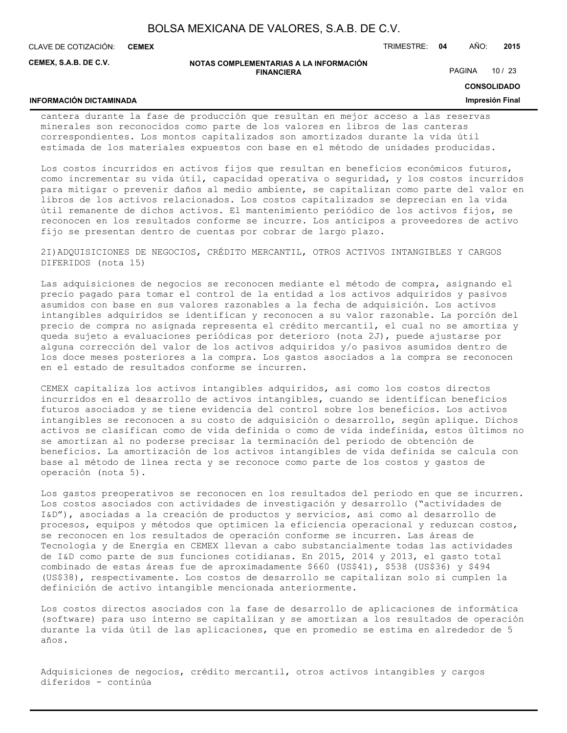**CEMEX**

CLAVE DE COTIZACIÓN: TRIMESTRE: **04** AÑO: **2015**

**CEMEX, S.A.B. DE C.V.**

#### **NOTAS COMPLEMENTARIAS A LA INFORMACIÓN FINANCIERA**

PAGINA 10 / 23

## **CONSOLIDADO Impresión Final**

## **INFORMACIÓN DICTAMINADA**

cantera durante la fase de producción que resultan en mejor acceso a las reservas minerales son reconocidos como parte de los valores en libros de las canteras correspondientes. Los montos capitalizados son amortizados durante la vida útil estimada de los materiales expuestos con base en el método de unidades producidas.

Los costos incurridos en activos fijos que resultan en beneficios económicos futuros, como incrementar su vida útil, capacidad operativa o seguridad, y los costos incurridos para mitigar o prevenir daños al medio ambiente, se capitalizan como parte del valor en libros de los activos relacionados. Los costos capitalizados se deprecian en la vida útil remanente de dichos activos. El mantenimiento periódico de los activos fijos, se reconocen en los resultados conforme se incurre. Los anticipos a proveedores de activo fijo se presentan dentro de cuentas por cobrar de largo plazo.

2I)ADQUISICIONES DE NEGOCIOS, CRÉDITO MERCANTIL, OTROS ACTIVOS INTANGIBLES Y CARGOS DIFERIDOS (nota 15)

Las adquisiciones de negocios se reconocen mediante el método de compra, asignando el precio pagado para tomar el control de la entidad a los activos adquiridos y pasivos asumidos con base en sus valores razonables a la fecha de adquisición. Los activos intangibles adquiridos se identifican y reconocen a su valor razonable. La porción del precio de compra no asignada representa el crédito mercantil, el cual no se amortiza y queda sujeto a evaluaciones periódicas por deterioro (nota 2J), puede ajustarse por alguna corrección del valor de los activos adquiridos y/o pasivos asumidos dentro de los doce meses posteriores a la compra. Los gastos asociados a la compra se reconocen en el estado de resultados conforme se incurren.

CEMEX capitaliza los activos intangibles adquiridos, así como los costos directos incurridos en el desarrollo de activos intangibles, cuando se identifican beneficios futuros asociados y se tiene evidencia del control sobre los beneficios. Los activos intangibles se reconocen a su costo de adquisición o desarrollo, según aplique. Dichos activos se clasifican como de vida definida o como de vida indefinida, estos últimos no se amortizan al no poderse precisar la terminación del periodo de obtención de beneficios. La amortización de los activos intangibles de vida definida se calcula con base al método de línea recta y se reconoce como parte de los costos y gastos de operación (nota 5).

Los gastos preoperativos se reconocen en los resultados del periodo en que se incurren. Los costos asociados con actividades de investigación y desarrollo ("actividades de I&D"), asociadas a la creación de productos y servicios, así como al desarrollo de procesos, equipos y métodos que optimicen la eficiencia operacional y reduzcan costos, se reconocen en los resultados de operación conforme se incurren. Las áreas de Tecnología y de Energía en CEMEX llevan a cabo substancialmente todas las actividades de I&D como parte de sus funciones cotidianas. En 2015, 2014 y 2013, el gasto total combinado de estas áreas fue de aproximadamente \$660 (US\$41), \$538 (US\$36) y \$494 (US\$38), respectivamente. Los costos de desarrollo se capitalizan solo si cumplen la definición de activo intangible mencionada anteriormente.

Los costos directos asociados con la fase de desarrollo de aplicaciones de informática (software) para uso interno se capitalizan y se amortizan a los resultados de operación durante la vida útil de las aplicaciones, que en promedio se estima en alrededor de 5 años.

Adquisiciones de negocios, crédito mercantil, otros activos intangibles y cargos diferidos - continúa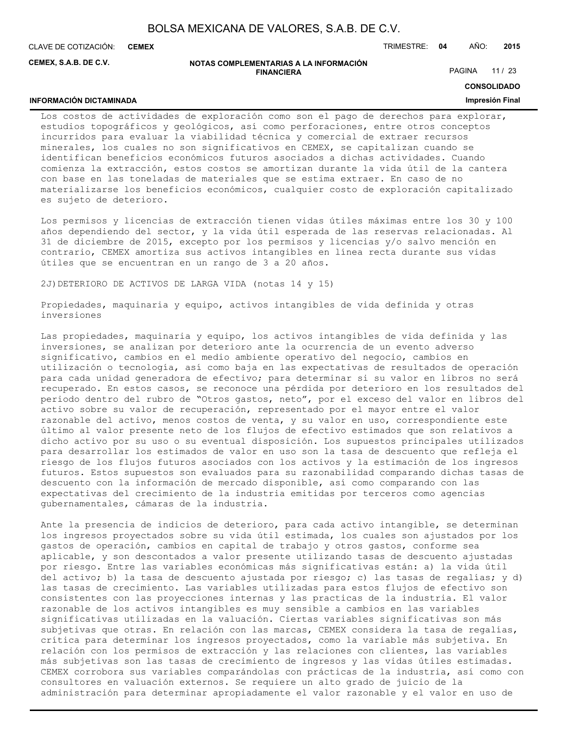**CEMEX**

CLAVE DE COTIZACIÓN: TRIMESTRE: **04** AÑO: **2015**

**CEMEX, S.A.B. DE C.V.**

#### **NOTAS COMPLEMENTARIAS A LA INFORMACIÓN FINANCIERA**

PAGINA 11 / 23

**CONSOLIDADO**

## **INFORMACIÓN DICTAMINADA**

#### **Impresión Final**

Los costos de actividades de exploración como son el pago de derechos para explorar, estudios topográficos y geológicos, así como perforaciones, entre otros conceptos incurridos para evaluar la viabilidad técnica y comercial de extraer recursos minerales, los cuales no son significativos en CEMEX, se capitalizan cuando se identifican beneficios económicos futuros asociados a dichas actividades. Cuando comienza la extracción, estos costos se amortizan durante la vida útil de la cantera con base en las toneladas de materiales que se estima extraer. En caso de no materializarse los beneficios económicos, cualquier costo de exploración capitalizado es sujeto de deterioro.

Los permisos y licencias de extracción tienen vidas útiles máximas entre los 30 y 100 años dependiendo del sector, y la vida útil esperada de las reservas relacionadas. Al 31 de diciembre de 2015, excepto por los permisos y licencias y/o salvo mención en contrario, CEMEX amortiza sus activos intangibles en línea recta durante sus vidas útiles que se encuentran en un rango de 3 a 20 años.

2J)DETERIORO DE ACTIVOS DE LARGA VIDA (notas 14 y 15)

Propiedades, maquinaria y equipo, activos intangibles de vida definida y otras inversiones

Las propiedades, maquinaria y equipo, los activos intangibles de vida definida y las inversiones, se analizan por deterioro ante la ocurrencia de un evento adverso significativo, cambios en el medio ambiente operativo del negocio, cambios en utilización o tecnología, así como baja en las expectativas de resultados de operación para cada unidad generadora de efectivo; para determinar si su valor en libros no será recuperado. En estos casos, se reconoce una pérdida por deterioro en los resultados del periodo dentro del rubro de "Otros gastos, neto", por el exceso del valor en libros del activo sobre su valor de recuperación, representado por el mayor entre el valor razonable del activo, menos costos de venta, y su valor en uso, correspondiente este último al valor presente neto de los flujos de efectivo estimados que son relativos a dicho activo por su uso o su eventual disposición. Los supuestos principales utilizados para desarrollar los estimados de valor en uso son la tasa de descuento que refleja el riesgo de los flujos futuros asociados con los activos y la estimación de los ingresos futuros. Estos supuestos son evaluados para su razonabilidad comparando dichas tasas de descuento con la información de mercado disponible, así como comparando con las expectativas del crecimiento de la industria emitidas por terceros como agencias gubernamentales, cámaras de la industria.

Ante la presencia de indicios de deterioro, para cada activo intangible, se determinan los ingresos proyectados sobre su vida útil estimada, los cuales son ajustados por los gastos de operación, cambios en capital de trabajo y otros gastos, conforme sea aplicable, y son descontados a valor presente utilizando tasas de descuento ajustadas por riesgo. Entre las variables económicas más significativas están: a) la vida útil del activo; b) la tasa de descuento ajustada por riesgo; c) las tasas de regalías; y d) las tasas de crecimiento. Las variables utilizadas para estos flujos de efectivo son consistentes con las proyecciones internas y las practicas de la industria. El valor razonable de los activos intangibles es muy sensible a cambios en las variables significativas utilizadas en la valuación. Ciertas variables significativas son más subjetivas que otras. En relación con las marcas, CEMEX considera la tasa de regalías, crítica para determinar los ingresos proyectados, como la variable más subjetiva. En relación con los permisos de extracción y las relaciones con clientes, las variables más subjetivas son las tasas de crecimiento de ingresos y las vidas útiles estimadas. CEMEX corrobora sus variables comparándolas con prácticas de la industria, así como con consultores en valuación externos. Se requiere un alto grado de juicio de la administración para determinar apropiadamente el valor razonable y el valor en uso de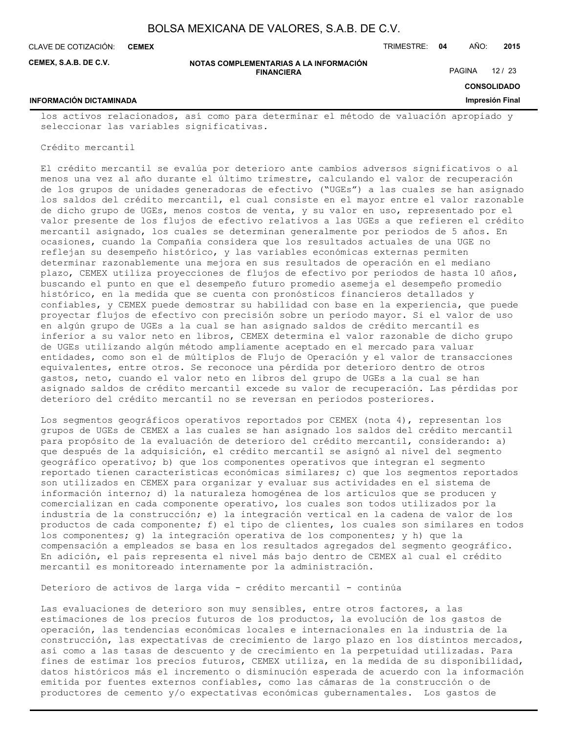**CEMEX**

CLAVE DE COTIZACIÓN: TRIMESTRE: **04** AÑO: **2015**

**CEMEX, S.A.B. DE C.V.**

#### **NOTAS COMPLEMENTARIAS A LA INFORMACIÓN FINANCIERA**

PAGINA 12 / 23

**CONSOLIDADO Impresión Final**

## **INFORMACIÓN DICTAMINADA**

los activos relacionados, así como para determinar el método de valuación apropiado y seleccionar las variables significativas.

#### Crédito mercantil

El crédito mercantil se evalúa por deterioro ante cambios adversos significativos o al menos una vez al año durante el último trimestre, calculando el valor de recuperación de los grupos de unidades generadoras de efectivo ("UGEs") a las cuales se han asignado los saldos del crédito mercantil, el cual consiste en el mayor entre el valor razonable de dicho grupo de UGEs, menos costos de venta, y su valor en uso, representado por el valor presente de los flujos de efectivo relativos a las UGEs a que refieren el crédito mercantil asignado, los cuales se determinan generalmente por periodos de 5 años. En ocasiones, cuando la Compañía considera que los resultados actuales de una UGE no reflejan su desempeño histórico, y las variables económicas externas permiten determinar razonablemente una mejora en sus resultados de operación en el mediano plazo, CEMEX utiliza proyecciones de flujos de efectivo por periodos de hasta 10 años, buscando el punto en que el desempeño futuro promedio asemeja el desempeño promedio histórico, en la medida que se cuenta con pronósticos financieros detallados y confiables, y CEMEX puede demostrar su habilidad con base en la experiencia, que puede proyectar flujos de efectivo con precisión sobre un periodo mayor. Si el valor de uso en algún grupo de UGEs a la cual se han asignado saldos de crédito mercantil es inferior a su valor neto en libros, CEMEX determina el valor razonable de dicho grupo de UGEs utilizando algún método ampliamente aceptado en el mercado para valuar entidades, como son el de múltiplos de Flujo de Operación y el valor de transacciones equivalentes, entre otros. Se reconoce una pérdida por deterioro dentro de otros gastos, neto, cuando el valor neto en libros del grupo de UGEs a la cual se han asignado saldos de crédito mercantil excede su valor de recuperación. Las pérdidas por deterioro del crédito mercantil no se reversan en periodos posteriores.

Los segmentos geográficos operativos reportados por CEMEX (nota 4), representan los grupos de UGEs de CEMEX a las cuales se han asignado los saldos del crédito mercantil para propósito de la evaluación de deterioro del crédito mercantil, considerando: a) que después de la adquisición, el crédito mercantil se asignó al nivel del segmento geográfico operativo; b) que los componentes operativos que integran el segmento reportado tienen características económicas similares; c) que los segmentos reportados son utilizados en CEMEX para organizar y evaluar sus actividades en el sistema de información interno; d) la naturaleza homogénea de los artículos que se producen y comercializan en cada componente operativo, los cuales son todos utilizados por la industria de la construcción; e) la integración vertical en la cadena de valor de los productos de cada componente; f) el tipo de clientes, los cuales son similares en todos los componentes; g) la integración operativa de los componentes; y h) que la compensación a empleados se basa en los resultados agregados del segmento geográfico. En adición, el país representa el nivel más bajo dentro de CEMEX al cual el crédito mercantil es monitoreado internamente por la administración.

Deterioro de activos de larga vida - crédito mercantil - continúa

Las evaluaciones de deterioro son muy sensibles, entre otros factores, a las estimaciones de los precios futuros de los productos, la evolución de los gastos de operación, las tendencias económicas locales e internacionales en la industria de la construcción, las expectativas de crecimiento de largo plazo en los distintos mercados, así como a las tasas de descuento y de crecimiento en la perpetuidad utilizadas. Para fines de estimar los precios futuros, CEMEX utiliza, en la medida de su disponibilidad, datos históricos más el incremento o disminución esperada de acuerdo con la información emitida por fuentes externos confiables, como las cámaras de la construcción o de productores de cemento y/o expectativas económicas gubernamentales. Los gastos de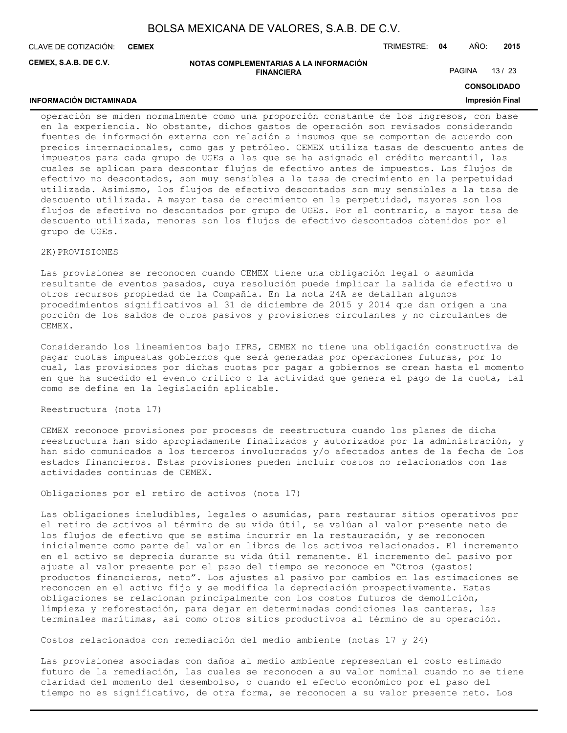**CEMEX**

**INFORMACIÓN DICTAMINADA**

CLAVE DE COTIZACIÓN: TRIMESTRE: **04** AÑO: **2015**

**CEMEX, S.A.B. DE C.V.**

#### **NOTAS COMPLEMENTARIAS A LA INFORMACIÓN FINANCIERA**

PAGINA 13 / 23

## **CONSOLIDADO**

## **Impresión Final**

operación se miden normalmente como una proporción constante de los ingresos, con base en la experiencia. No obstante, dichos gastos de operación son revisados considerando fuentes de información externa con relación a insumos que se comportan de acuerdo con precios internacionales, como gas y petróleo. CEMEX utiliza tasas de descuento antes de impuestos para cada grupo de UGEs a las que se ha asignado el crédito mercantil, las cuales se aplican para descontar flujos de efectivo antes de impuestos. Los flujos de efectivo no descontados, son muy sensibles a la tasa de crecimiento en la perpetuidad utilizada. Asimismo, los flujos de efectivo descontados son muy sensibles a la tasa de descuento utilizada. A mayor tasa de crecimiento en la perpetuidad, mayores son los flujos de efectivo no descontados por grupo de UGEs. Por el contrario, a mayor tasa de descuento utilizada, menores son los flujos de efectivo descontados obtenidos por el grupo de UGEs.

## 2K) PROVISIONES

Las provisiones se reconocen cuando CEMEX tiene una obligación legal o asumida resultante de eventos pasados, cuya resolución puede implicar la salida de efectivo u otros recursos propiedad de la Compañía. En la nota 24A se detallan algunos procedimientos significativos al 31 de diciembre de 2015 y 2014 que dan origen a una porción de los saldos de otros pasivos y provisiones circulantes y no circulantes de CEMEX.

Considerando los lineamientos bajo IFRS, CEMEX no tiene una obligación constructiva de pagar cuotas impuestas gobiernos que será generadas por operaciones futuras, por lo cual, las provisiones por dichas cuotas por pagar a gobiernos se crean hasta el momento en que ha sucedido el evento critico o la actividad que genera el pago de la cuota, tal como se defina en la legislación aplicable.

Reestructura (nota 17)

CEMEX reconoce provisiones por procesos de reestructura cuando los planes de dicha reestructura han sido apropiadamente finalizados y autorizados por la administración, y han sido comunicados a los terceros involucrados y/o afectados antes de la fecha de los estados financieros. Estas provisiones pueden incluir costos no relacionados con las actividades continuas de CEMEX.

Obligaciones por el retiro de activos (nota 17)

Las obligaciones ineludibles, legales o asumidas, para restaurar sitios operativos por el retiro de activos al término de su vida útil, se valúan al valor presente neto de los flujos de efectivo que se estima incurrir en la restauración, y se reconocen inicialmente como parte del valor en libros de los activos relacionados. El incremento en el activo se deprecia durante su vida útil remanente. El incremento del pasivo por ajuste al valor presente por el paso del tiempo se reconoce en "Otros (gastos) productos financieros, neto". Los ajustes al pasivo por cambios en las estimaciones se reconocen en el activo fijo y se modifica la depreciación prospectivamente. Estas obligaciones se relacionan principalmente con los costos futuros de demolición, limpieza y reforestación, para dejar en determinadas condiciones las canteras, las terminales marítimas, así como otros sitios productivos al término de su operación.

Costos relacionados con remediación del medio ambiente (notas 17 y 24)

Las provisiones asociadas con daños al medio ambiente representan el costo estimado futuro de la remediación, las cuales se reconocen a su valor nominal cuando no se tiene claridad del momento del desembolso, o cuando el efecto económico por el paso del tiempo no es significativo, de otra forma, se reconocen a su valor presente neto. Los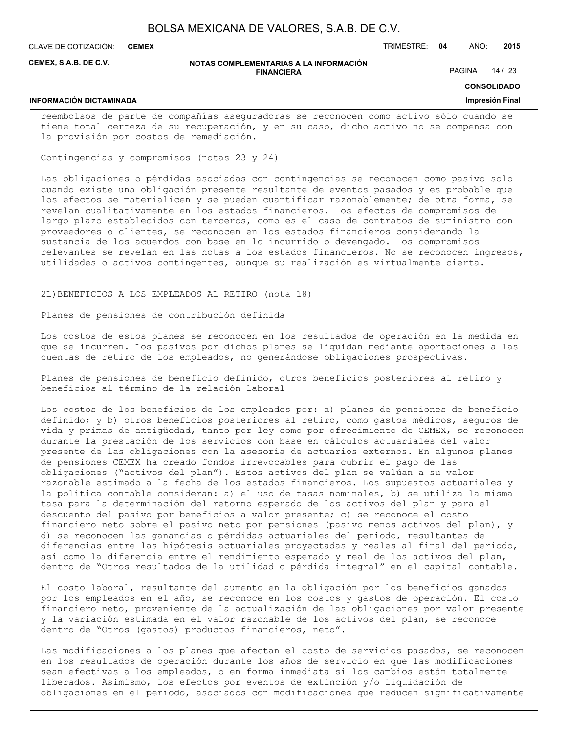**CEMEX**

CLAVE DE COTIZACIÓN: TRIMESTRE: **04** AÑO: **2015**

**CEMEX, S.A.B. DE C.V.**

#### **NOTAS COMPLEMENTARIAS A LA INFORMACIÓN FINANCIERA**

PAGINA 14 / 23

**CONSOLIDADO**

## **INFORMACIÓN DICTAMINADA**

**Impresión Final**

reembolsos de parte de compañías aseguradoras se reconocen como activo sólo cuando se tiene total certeza de su recuperación, y en su caso, dicho activo no se compensa con la provisión por costos de remediación.

Contingencias y compromisos (notas 23 y 24)

Las obligaciones o pérdidas asociadas con contingencias se reconocen como pasivo solo cuando existe una obligación presente resultante de eventos pasados y es probable que los efectos se materialicen y se pueden cuantificar razonablemente; de otra forma, se revelan cualitativamente en los estados financieros. Los efectos de compromisos de largo plazo establecidos con terceros, como es el caso de contratos de suministro con proveedores o clientes, se reconocen en los estados financieros considerando la sustancia de los acuerdos con base en lo incurrido o devengado. Los compromisos relevantes se revelan en las notas a los estados financieros. No se reconocen ingresos, utilidades o activos contingentes, aunque su realización es virtualmente cierta.

2L)BENEFICIOS A LOS EMPLEADOS AL RETIRO (nota 18)

Planes de pensiones de contribución definida

Los costos de estos planes se reconocen en los resultados de operación en la medida en que se incurren. Los pasivos por dichos planes se liquidan mediante aportaciones a las cuentas de retiro de los empleados, no generándose obligaciones prospectivas.

Planes de pensiones de beneficio definido, otros beneficios posteriores al retiro y beneficios al término de la relación laboral

Los costos de los beneficios de los empleados por: a) planes de pensiones de beneficio definido; y b) otros beneficios posteriores al retiro, como gastos médicos, seguros de vida y primas de antigüedad, tanto por ley como por ofrecimiento de CEMEX, se reconocen durante la prestación de los servicios con base en cálculos actuariales del valor presente de las obligaciones con la asesoría de actuarios externos. En algunos planes de pensiones CEMEX ha creado fondos irrevocables para cubrir el pago de las obligaciones ("activos del plan"). Estos activos del plan se valúan a su valor razonable estimado a la fecha de los estados financieros. Los supuestos actuariales y la política contable consideran: a) el uso de tasas nominales, b) se utiliza la misma tasa para la determinación del retorno esperado de los activos del plan y para el descuento del pasivo por beneficios a valor presente; c) se reconoce el costo financiero neto sobre el pasivo neto por pensiones (pasivo menos activos del plan), y d) se reconocen las ganancias o pérdidas actuariales del periodo, resultantes de diferencias entre las hipótesis actuariales proyectadas y reales al final del periodo, así como la diferencia entre el rendimiento esperado y real de los activos del plan, dentro de "Otros resultados de la utilidad o pérdida integral" en el capital contable.

El costo laboral, resultante del aumento en la obligación por los beneficios ganados por los empleados en el año, se reconoce en los costos y gastos de operación. El costo financiero neto, proveniente de la actualización de las obligaciones por valor presente y la variación estimada en el valor razonable de los activos del plan, se reconoce dentro de "Otros (gastos) productos financieros, neto".

Las modificaciones a los planes que afectan el costo de servicios pasados, se reconocen en los resultados de operación durante los años de servicio en que las modificaciones sean efectivas a los empleados, o en forma inmediata si los cambios están totalmente liberados. Asimismo, los efectos por eventos de extinción y/o liquidación de obligaciones en el periodo, asociados con modificaciones que reducen significativamente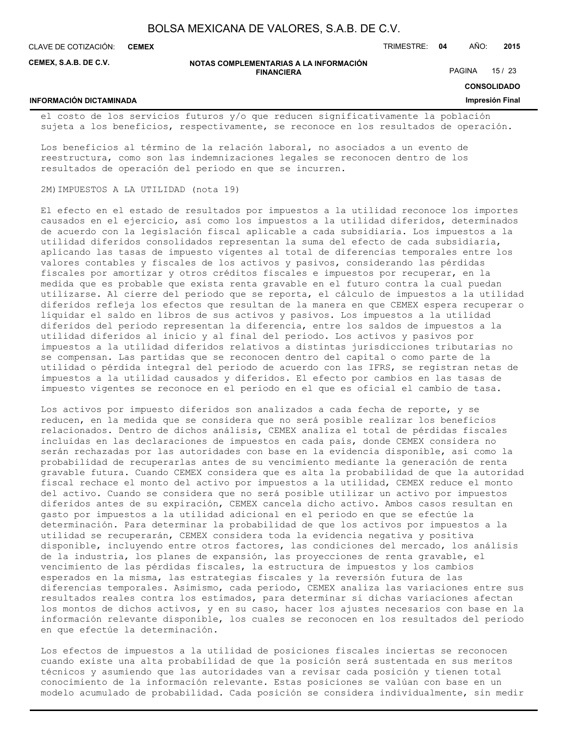**CEMEX**

**INFORMACIÓN DICTAMINADA**

CLAVE DE COTIZACIÓN: TRIMESTRE: **04** AÑO: **2015**

**CEMEX, S.A.B. DE C.V.**

#### **NOTAS COMPLEMENTARIAS A LA INFORMACIÓN FINANCIERA**

PAGINA 15 / 23

**CONSOLIDADO**

#### **Impresión Final**

el costo de los servicios futuros y/o que reducen significativamente la población sujeta a los beneficios, respectivamente, se reconoce en los resultados de operación.

Los beneficios al término de la relación laboral, no asociados a un evento de reestructura, como son las indemnizaciones legales se reconocen dentro de los resultados de operación del período en que se incurren.

## 2M)IMPUESTOS A LA UTILIDAD (nota 19)

El efecto en el estado de resultados por impuestos a la utilidad reconoce los importes causados en el ejercicio, así como los impuestos a la utilidad diferidos, determinados de acuerdo con la legislación fiscal aplicable a cada subsidiaria. Los impuestos a la utilidad diferidos consolidados representan la suma del efecto de cada subsidiaria, aplicando las tasas de impuesto vigentes al total de diferencias temporales entre los valores contables y fiscales de los activos y pasivos, considerando las pérdidas fiscales por amortizar y otros créditos fiscales e impuestos por recuperar, en la medida que es probable que exista renta gravable en el futuro contra la cual puedan utilizarse. Al cierre del periodo que se reporta, el cálculo de impuestos a la utilidad diferidos refleja los efectos que resultan de la manera en que CEMEX espera recuperar o liquidar el saldo en libros de sus activos y pasivos. Los impuestos a la utilidad diferidos del periodo representan la diferencia, entre los saldos de impuestos a la utilidad diferidos al inicio y al final del periodo. Los activos y pasivos por impuestos a la utilidad diferidos relativos a distintas jurisdicciones tributarias no se compensan. Las partidas que se reconocen dentro del capital o como parte de la utilidad o pérdida integral del periodo de acuerdo con las IFRS, se registran netas de impuestos a la utilidad causados y diferidos. El efecto por cambios en las tasas de impuesto vigentes se reconoce en el periodo en el que es oficial el cambio de tasa.

Los activos por impuesto diferidos son analizados a cada fecha de reporte, y se reducen, en la medida que se considera que no será posible realizar los beneficios relacionados. Dentro de dichos análisis, CEMEX analiza el total de pérdidas fiscales incluidas en las declaraciones de impuestos en cada país, donde CEMEX considera no serán rechazadas por las autoridades con base en la evidencia disponible, así como la probabilidad de recuperarlas antes de su vencimiento mediante la generación de renta gravable futura. Cuando CEMEX considera que es alta la probabilidad de que la autoridad fiscal rechace el monto del activo por impuestos a la utilidad, CEMEX reduce el monto del activo. Cuando se considera que no será posible utilizar un activo por impuestos diferidos antes de su expiración, CEMEX cancela dicho activo. Ambos casos resultan en gasto por impuestos a la utilidad adicional en el periodo en que se efectúe la determinación. Para determinar la probabilidad de que los activos por impuestos a la utilidad se recuperarán, CEMEX considera toda la evidencia negativa y positiva disponible, incluyendo entre otros factores, las condiciones del mercado, los análisis de la industria, los planes de expansión, las proyecciones de renta gravable, el vencimiento de las pérdidas fiscales, la estructura de impuestos y los cambios esperados en la misma, las estrategias fiscales y la reversión futura de las diferencias temporales. Asimismo, cada periodo, CEMEX analiza las variaciones entre sus resultados reales contra los estimados, para determinar si dichas variaciones afectan los montos de dichos activos, y en su caso, hacer los ajustes necesarios con base en la información relevante disponible, los cuales se reconocen en los resultados del periodo en que efectúe la determinación.

Los efectos de impuestos a la utilidad de posiciones fiscales inciertas se reconocen cuando existe una alta probabilidad de que la posición será sustentada en sus meritos técnicos y asumiendo que las autoridades van a revisar cada posición y tienen total conocimiento de la información relevante. Estas posiciones se valúan con base en un modelo acumulado de probabilidad. Cada posición se considera individualmente, sin medir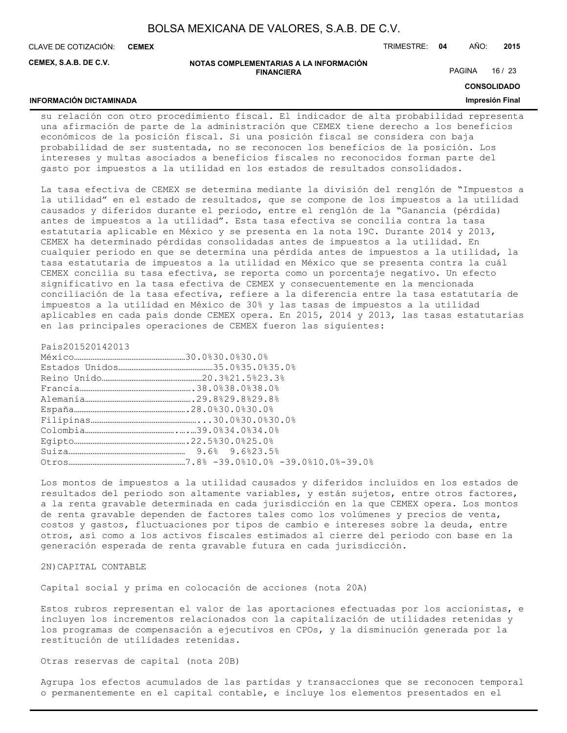**CEMEX**

**INFORMACIÓN DICTAMINADA**

CLAVE DE COTIZACIÓN: TRIMESTRE: **04** AÑO: **2015**

**CEMEX, S.A.B. DE C.V.**

#### **NOTAS COMPLEMENTARIAS A LA INFORMACIÓN FINANCIERA**

PAGINA 16 / 23

## **CONSOLIDADO**

## **Impresión Final**

su relación con otro procedimiento fiscal. El indicador de alta probabilidad representa una afirmación de parte de la administración que CEMEX tiene derecho a los beneficios económicos de la posición fiscal. Si una posición fiscal se considera con baja probabilidad de ser sustentada, no se reconocen los beneficios de la posición. Los intereses y multas asociados a beneficios fiscales no reconocidos forman parte del gasto por impuestos a la utilidad en los estados de resultados consolidados.

La tasa efectiva de CEMEX se determina mediante la división del renglón de "Impuestos a la utilidad" en el estado de resultados, que se compone de los impuestos a la utilidad causados y diferidos durante el periodo, entre el renglón de la "Ganancia (pérdida) antes de impuestos a la utilidad". Esta tasa efectiva se concilia contra la tasa estatutaria aplicable en México y se presenta en la nota 19C. Durante 2014 y 2013, CEMEX ha determinado pérdidas consolidadas antes de impuestos a la utilidad. En cualquier periodo en que se determina una pérdida antes de impuestos a la utilidad, la tasa estatutaria de impuestos a la utilidad en México que se presenta contra la cuál CEMEX concilia su tasa efectiva, se reporta como un porcentaje negativo. Un efecto significativo en la tasa efectiva de CEMEX y consecuentemente en la mencionada conciliación de la tasa efectiva, refiere a la diferencia entre la tasa estatutaria de impuestos a la utilidad en México de 30% y las tasas de impuestos a la utilidad aplicables en cada país donde CEMEX opera. En 2015, 2014 y 2013, las tasas estatutarias en las principales operaciones de CEMEX fueron las siguientes:

País201520142013

Los montos de impuestos a la utilidad causados y diferidos incluidos en los estados de resultados del periodo son altamente variables, y están sujetos, entre otros factores, a la renta gravable determinada en cada jurisdicción en la que CEMEX opera. Los montos de renta gravable dependen de factores tales como los volúmenes y precios de venta, costos y gastos, fluctuaciones por tipos de cambio e intereses sobre la deuda, entre otros, así como a los activos fiscales estimados al cierre del periodo con base en la generación esperada de renta gravable futura en cada jurisdicción.

2N)CAPITAL CONTABLE

Capital social y prima en colocación de acciones (nota 20A)

Estos rubros representan el valor de las aportaciones efectuadas por los accionistas, e incluyen los incrementos relacionados con la capitalización de utilidades retenidas y los programas de compensación a ejecutivos en CPOs, y la disminución generada por la restitución de utilidades retenidas.

Otras reservas de capital (nota 20B)

Agrupa los efectos acumulados de las partidas y transacciones que se reconocen temporal o permanentemente en el capital contable, e incluye los elementos presentados en el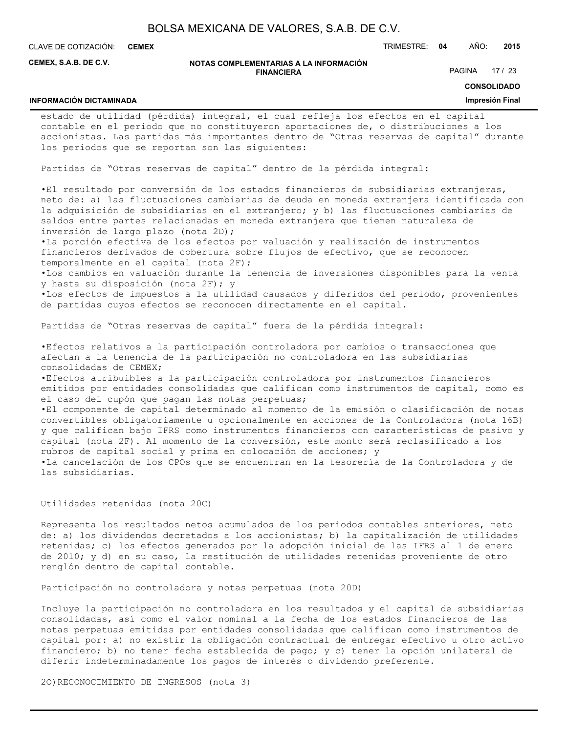**CEMEX**

**INFORMACIÓN DICTAMINADA**

CLAVE DE COTIZACIÓN: TRIMESTRE: **04** AÑO: **2015**

**CEMEX, S.A.B. DE C.V.**

#### **NOTAS COMPLEMENTARIAS A LA INFORMACIÓN FINANCIERA**

## PAGINA 17 / 23

## **CONSOLIDADO**

#### **Impresión Final**

estado de utilidad (pérdida) integral, el cual refleja los efectos en el capital contable en el periodo que no constituyeron aportaciones de, o distribuciones a los accionistas. Las partidas más importantes dentro de "Otras reservas de capital" durante los periodos que se reportan son las siguientes:

Partidas de "Otras reservas de capital" dentro de la pérdida integral:

•El resultado por conversión de los estados financieros de subsidiarias extranjeras, neto de: a) las fluctuaciones cambiarias de deuda en moneda extranjera identificada con la adquisición de subsidiarias en el extranjero; y b) las fluctuaciones cambiarias de saldos entre partes relacionadas en moneda extranjera que tienen naturaleza de inversión de largo plazo (nota 2D);

•La porción efectiva de los efectos por valuación y realización de instrumentos financieros derivados de cobertura sobre flujos de efectivo, que se reconocen temporalmente en el capital (nota 2F);

•Los cambios en valuación durante la tenencia de inversiones disponibles para la venta y hasta su disposición (nota 2F); y

•Los efectos de impuestos a la utilidad causados y diferidos del periodo, provenientes de partidas cuyos efectos se reconocen directamente en el capital.

Partidas de "Otras reservas de capital" fuera de la pérdida integral:

•Efectos relativos a la participación controladora por cambios o transacciones que afectan a la tenencia de la participación no controladora en las subsidiarias consolidadas de CEMEX;

•Efectos atribuibles a la participación controladora por instrumentos financieros emitidos por entidades consolidadas que califican como instrumentos de capital, como es el caso del cupón que pagan las notas perpetuas;

•El componente de capital determinado al momento de la emisión o clasificación de notas convertibles obligatoriamente u opcionalmente en acciones de la Controladora (nota 16B) y que califican bajo IFRS como instrumentos financieros con características de pasivo y capital (nota 2F). Al momento de la conversión, este monto será reclasificado a los rubros de capital social y prima en colocación de acciones; y •La cancelación de los CPOs que se encuentran en la tesorería de la Controladora y de

las subsidiarias.

## Utilidades retenidas (nota 20C)

Representa los resultados netos acumulados de los periodos contables anteriores, neto de: a) los dividendos decretados a los accionistas; b) la capitalización de utilidades retenidas; c) los efectos generados por la adopción inicial de las IFRS al 1 de enero de 2010; y d) en su caso, la restitución de utilidades retenidas proveniente de otro renglón dentro de capital contable.

Participación no controladora y notas perpetuas (nota 20D)

Incluye la participación no controladora en los resultados y el capital de subsidiarias consolidadas, así como el valor nominal a la fecha de los estados financieros de las notas perpetuas emitidas por entidades consolidadas que califican como instrumentos de capital por: a) no existir la obligación contractual de entregar efectivo u otro activo financiero; b) no tener fecha establecida de pago; y c) tener la opción unilateral de diferir indeterminadamente los pagos de interés o dividendo preferente.

2O)RECONOCIMIENTO DE INGRESOS (nota 3)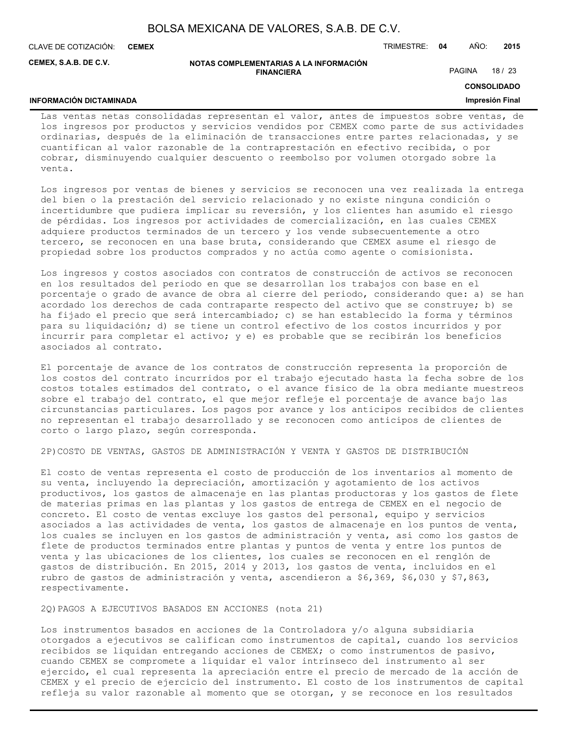| BOLSA MEXICANA DE VALORES, S.A.B. DE C.V. |  |  |
|-------------------------------------------|--|--|
|-------------------------------------------|--|--|

**INFORMACIÓN DICTAMINADA**

CLAVE DE COTIZACIÓN: TRIMESTRE: **04** AÑO: **2015 CEMEX**

**CEMEX, S.A.B. DE C.V.**

#### **NOTAS COMPLEMENTARIAS A LA INFORMACIÓN FINANCIERA**

PAGINA 18 / 23

**CONSOLIDADO**

### **Impresión Final**

Las ventas netas consolidadas representan el valor, antes de impuestos sobre ventas, de los ingresos por productos y servicios vendidos por CEMEX como parte de sus actividades ordinarias, después de la eliminación de transacciones entre partes relacionadas, y se cuantifican al valor razonable de la contraprestación en efectivo recibida, o por cobrar, disminuyendo cualquier descuento o reembolso por volumen otorgado sobre la venta.

Los ingresos por ventas de bienes y servicios se reconocen una vez realizada la entrega del bien o la prestación del servicio relacionado y no existe ninguna condición o incertidumbre que pudiera implicar su reversión, y los clientes han asumido el riesgo de pérdidas. Los ingresos por actividades de comercialización, en las cuales CEMEX adquiere productos terminados de un tercero y los vende subsecuentemente a otro tercero, se reconocen en una base bruta, considerando que CEMEX asume el riesgo de propiedad sobre los productos comprados y no actúa como agente o comisionista.

Los ingresos y costos asociados con contratos de construcción de activos se reconocen en los resultados del periodo en que se desarrollan los trabajos con base en el porcentaje o grado de avance de obra al cierre del periodo, considerando que: a) se han acordado los derechos de cada contraparte respecto del activo que se construye; b) se ha fijado el precio que será intercambiado; c) se han establecido la forma y términos para su liquidación; d) se tiene un control efectivo de los costos incurridos y por incurrir para completar el activo; y e) es probable que se recibirán los beneficios asociados al contrato.

El porcentaje de avance de los contratos de construcción representa la proporción de los costos del contrato incurridos por el trabajo ejecutado hasta la fecha sobre de los costos totales estimados del contrato, o el avance físico de la obra mediante muestreos sobre el trabajo del contrato, el que mejor refleje el porcentaje de avance bajo las circunstancias particulares. Los pagos por avance y los anticipos recibidos de clientes no representan el trabajo desarrollado y se reconocen como anticipos de clientes de corto o largo plazo, según corresponda.

2P)COSTO DE VENTAS, GASTOS DE ADMINISTRACIÓN Y VENTA Y GASTOS DE DISTRIBUCIÓN

El costo de ventas representa el costo de producción de los inventarios al momento de su venta, incluyendo la depreciación, amortización y agotamiento de los activos productivos, los gastos de almacenaje en las plantas productoras y los gastos de flete de materias primas en las plantas y los gastos de entrega de CEMEX en el negocio de concreto. El costo de ventas excluye los gastos del personal, equipo y servicios asociados a las actividades de venta, los gastos de almacenaje en los puntos de venta, los cuales se incluyen en los gastos de administración y venta, así como los gastos de flete de productos terminados entre plantas y puntos de venta y entre los puntos de venta y las ubicaciones de los clientes, los cuales se reconocen en el renglón de gastos de distribución. En 2015, 2014 y 2013, los gastos de venta, incluidos en el rubro de gastos de administración y venta, ascendieron a \$6,369, \$6,030 y \$7,863, respectivamente.

2Q)PAGOS A EJECUTIVOS BASADOS EN ACCIONES (nota 21)

Los instrumentos basados en acciones de la Controladora y/o alguna subsidiaria otorgados a ejecutivos se califican como instrumentos de capital, cuando los servicios recibidos se liquidan entregando acciones de CEMEX; o como instrumentos de pasivo, cuando CEMEX se compromete a liquidar el valor intrínseco del instrumento al ser ejercido, el cual representa la apreciación entre el precio de mercado de la acción de CEMEX y el precio de ejercicio del instrumento. El costo de los instrumentos de capital refleja su valor razonable al momento que se otorgan, y se reconoce en los resultados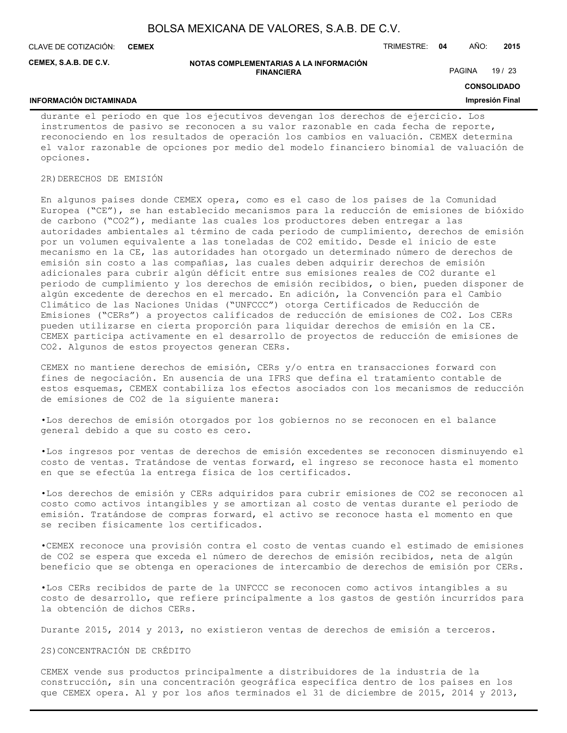**CEMEX**

CLAVE DE COTIZACIÓN: TRIMESTRE: **04** AÑO: **2015**

**CEMEX, S.A.B. DE C.V.**

#### **NOTAS COMPLEMENTARIAS A LA INFORMACIÓN FINANCIERA**

PAGINA 19 / 23

**CONSOLIDADO**

#### **Impresión Final**

#### **INFORMACIÓN DICTAMINADA**

durante el periodo en que los ejecutivos devengan los derechos de ejercicio. Los instrumentos de pasivo se reconocen a su valor razonable en cada fecha de reporte, reconociendo en los resultados de operación los cambios en valuación. CEMEX determina el valor razonable de opciones por medio del modelo financiero binomial de valuación de opciones.

## 2R)DERECHOS DE EMISIÓN

En algunos países donde CEMEX opera, como es el caso de los países de la Comunidad Europea ("CE"), se han establecido mecanismos para la reducción de emisiones de bióxido de carbono ("CO2"), mediante las cuales los productores deben entregar a las autoridades ambientales al término de cada periodo de cumplimiento, derechos de emisión por un volumen equivalente a las toneladas de CO2 emitido. Desde el inicio de este mecanismo en la CE, las autoridades han otorgado un determinado número de derechos de emisión sin costo a las compañías, las cuales deben adquirir derechos de emisión adicionales para cubrir algún déficit entre sus emisiones reales de CO2 durante el periodo de cumplimiento y los derechos de emisión recibidos, o bien, pueden disponer de algún excedente de derechos en el mercado. En adición, la Convención para el Cambio Climático de las Naciones Unidas ("UNFCCC") otorga Certificados de Reducción de Emisiones ("CERs") a proyectos calificados de reducción de emisiones de CO2. Los CERs pueden utilizarse en cierta proporción para liquidar derechos de emisión en la CE. CEMEX participa activamente en el desarrollo de proyectos de reducción de emisiones de CO2. Algunos de estos proyectos generan CERs.

CEMEX no mantiene derechos de emisión, CERs y/o entra en transacciones forward con fines de negociación. En ausencia de una IFRS que defina el tratamiento contable de estos esquemas, CEMEX contabiliza los efectos asociados con los mecanismos de reducción de emisiones de CO2 de la siguiente manera:

•Los derechos de emisión otorgados por los gobiernos no se reconocen en el balance general debido a que su costo es cero.

•Los ingresos por ventas de derechos de emisión excedentes se reconocen disminuyendo el costo de ventas. Tratándose de ventas forward, el ingreso se reconoce hasta el momento en que se efectúa la entrega física de los certificados.

•Los derechos de emisión y CERs adquiridos para cubrir emisiones de CO2 se reconocen al costo como activos intangibles y se amortizan al costo de ventas durante el periodo de emisión. Tratándose de compras forward, el activo se reconoce hasta el momento en que se reciben físicamente los certificados.

•CEMEX reconoce una provisión contra el costo de ventas cuando el estimado de emisiones de CO2 se espera que exceda el número de derechos de emisión recibidos, neta de algún beneficio que se obtenga en operaciones de intercambio de derechos de emisión por CERs.

•Los CERs recibidos de parte de la UNFCCC se reconocen como activos intangibles a su costo de desarrollo, que refiere principalmente a los gastos de gestión incurridos para la obtención de dichos CERs.

Durante 2015, 2014 y 2013, no existieron ventas de derechos de emisión a terceros.

2S)CONCENTRACIÓN DE CRÉDITO

CEMEX vende sus productos principalmente a distribuidores de la industria de la construcción, sin una concentración geográfica específica dentro de los países en los que CEMEX opera. Al y por los años terminados el 31 de diciembre de 2015, 2014 y 2013,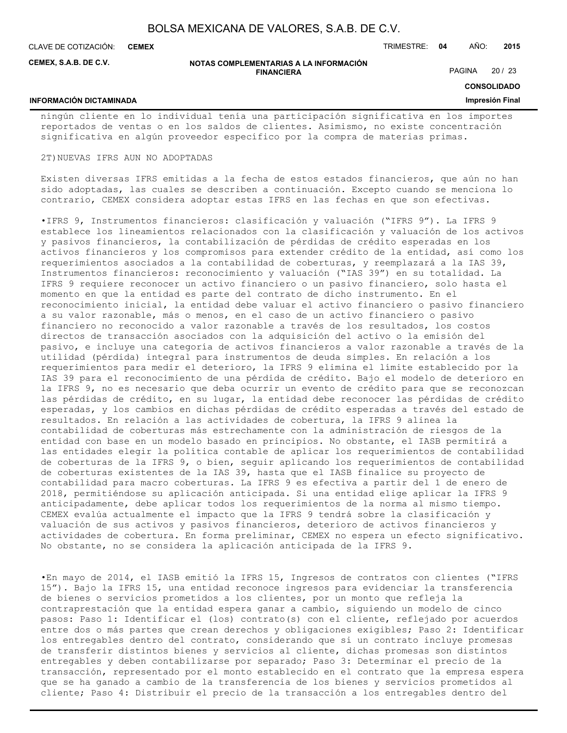**CEMEX**

**INFORMACIÓN DICTAMINADA**

CLAVE DE COTIZACIÓN: TRIMESTRE: **04** AÑO: **2015**

**CEMEX, S.A.B. DE C.V.**

#### **NOTAS COMPLEMENTARIAS A LA INFORMACIÓN FINANCIERA**

PAGINA 20 / 23

**CONSOLIDADO**

### **Impresión Final**

ningún cliente en lo individual tenía una participación significativa en los importes reportados de ventas o en los saldos de clientes. Asimismo, no existe concentración significativa en algún proveedor específico por la compra de materias primas.

#### 2T)NUEVAS IFRS AUN NO ADOPTADAS

Existen diversas IFRS emitidas a la fecha de estos estados financieros, que aún no han sido adoptadas, las cuales se describen a continuación. Excepto cuando se menciona lo contrario, CEMEX considera adoptar estas IFRS en las fechas en que son efectivas.

•IFRS 9, Instrumentos financieros: clasificación y valuación ("IFRS 9"). La IFRS 9 establece los lineamientos relacionados con la clasificación y valuación de los activos y pasivos financieros, la contabilización de pérdidas de crédito esperadas en los activos financieros y los compromisos para extender crédito de la entidad, así como los requerimientos asociados a la contabilidad de coberturas, y reemplazará a la IAS 39, Instrumentos financieros: reconocimiento y valuación ("IAS 39") en su totalidad. La IFRS 9 requiere reconocer un activo financiero o un pasivo financiero, solo hasta el momento en que la entidad es parte del contrato de dicho instrumento. En el reconocimiento inicial, la entidad debe valuar el activo financiero o pasivo financiero a su valor razonable, más o menos, en el caso de un activo financiero o pasivo financiero no reconocido a valor razonable a través de los resultados, los costos directos de transacción asociados con la adquisición del activo o la emisión del pasivo, e incluye una categoría de activos financieros a valor razonable a través de la utilidad (pérdida) integral para instrumentos de deuda simples. En relación a los requerimientos para medir el deterioro, la IFRS 9 elimina el límite establecido por la IAS 39 para el reconocimiento de una pérdida de crédito. Bajo el modelo de deterioro en la IFRS 9, no es necesario que deba ocurrir un evento de crédito para que se reconozcan las pérdidas de crédito, en su lugar, la entidad debe reconocer las pérdidas de crédito esperadas, y los cambios en dichas pérdidas de crédito esperadas a través del estado de resultados. En relación a las actividades de cobertura, la IFRS 9 alinea la contabilidad de coberturas más estrechamente con la administración de riesgos de la entidad con base en un modelo basado en principios. No obstante, el IASB permitirá a las entidades elegir la política contable de aplicar los requerimientos de contabilidad de coberturas de la IFRS 9, o bien, seguir aplicando los requerimientos de contabilidad de coberturas existentes de la IAS 39, hasta que el IASB finalice su proyecto de contabilidad para macro coberturas. La IFRS 9 es efectiva a partir del 1 de enero de 2018, permitiéndose su aplicación anticipada. Si una entidad elige aplicar la IFRS 9 anticipadamente, debe aplicar todos los requerimientos de la norma al mismo tiempo. CEMEX evalúa actualmente el impacto que la IFRS 9 tendrá sobre la clasificación y valuación de sus activos y pasivos financieros, deterioro de activos financieros y actividades de cobertura. En forma preliminar, CEMEX no espera un efecto significativo. No obstante, no se considera la aplicación anticipada de la IFRS 9.

•En mayo de 2014, el IASB emitió la IFRS 15, Ingresos de contratos con clientes ("IFRS 15"). Bajo la IFRS 15, una entidad reconoce ingresos para evidenciar la transferencia de bienes o servicios prometidos a los clientes, por un monto que refleja la contraprestación que la entidad espera ganar a cambio, siguiendo un modelo de cinco pasos: Paso 1: Identificar el (los) contrato(s) con el cliente, reflejado por acuerdos entre dos o más partes que crean derechos y obligaciones exigibles; Paso 2: Identificar los entregables dentro del contrato, considerando que si un contrato incluye promesas de transferir distintos bienes y servicios al cliente, dichas promesas son distintos entregables y deben contabilizarse por separado; Paso 3: Determinar el precio de la transacción, representado por el monto establecido en el contrato que la empresa espera que se ha ganado a cambio de la transferencia de los bienes y servicios prometidos al cliente; Paso 4: Distribuir el precio de la transacción a los entregables dentro del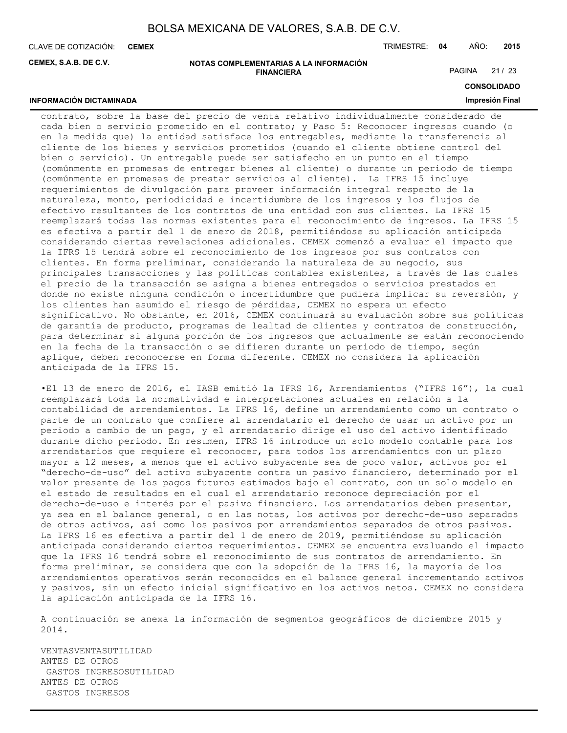CLAVE DE COTIZACIÓN: TRIMESTRE: **04** AÑO: **2015 CEMEX**

**INFORMACIÓN DICTAMINADA**

**CEMEX, S.A.B. DE C.V.**

#### **NOTAS COMPLEMENTARIAS A LA INFORMACIÓN FINANCIERA**

PAGINA 21 / 23

## **CONSOLIDADO**

## **Impresión Final**

contrato, sobre la base del precio de venta relativo individualmente considerado de cada bien o servicio prometido en el contrato; y Paso 5: Reconocer ingresos cuando (o en la medida que) la entidad satisface los entregables, mediante la transferencia al cliente de los bienes y servicios prometidos (cuando el cliente obtiene control del bien o servicio). Un entregable puede ser satisfecho en un punto en el tiempo (comúnmente en promesas de entregar bienes al cliente) o durante un periodo de tiempo (comúnmente en promesas de prestar servicios al cliente). La IFRS 15 incluye requerimientos de divulgación para proveer información integral respecto de la naturaleza, monto, periodicidad e incertidumbre de los ingresos y los flujos de efectivo resultantes de los contratos de una entidad con sus clientes. La IFRS 15 reemplazará todas las normas existentes para el reconocimiento de ingresos. La IFRS 15 es efectiva a partir del 1 de enero de 2018, permitiéndose su aplicación anticipada considerando ciertas revelaciones adicionales. CEMEX comenzó a evaluar el impacto que la IFRS 15 tendrá sobre el reconocimiento de los ingresos por sus contratos con clientes. En forma preliminar, considerando la naturaleza de su negocio, sus principales transacciones y las políticas contables existentes, a través de las cuales el precio de la transacción se asigna a bienes entregados o servicios prestados en donde no existe ninguna condición o incertidumbre que pudiera implicar su reversión, y los clientes han asumido el riesgo de pérdidas, CEMEX no espera un efecto significativo. No obstante, en 2016, CEMEX continuará su evaluación sobre sus políticas de garantía de producto, programas de lealtad de clientes y contratos de construcción, para determinar si alguna porción de los ingresos que actualmente se están reconociendo en la fecha de la transacción o se difieren durante un periodo de tiempo, según aplique, deben reconocerse en forma diferente. CEMEX no considera la aplicación anticipada de la IFRS 15.

•El 13 de enero de 2016, el IASB emitió la IFRS 16, Arrendamientos ("IFRS 16"), la cual reemplazará toda la normatividad e interpretaciones actuales en relación a la contabilidad de arrendamientos. La IFRS 16, define un arrendamiento como un contrato o parte de un contrato que confiere al arrendatario el derecho de usar un activo por un periodo a cambio de un pago, y el arrendatario dirige el uso del activo identificado durante dicho periodo. En resumen, IFRS 16 introduce un solo modelo contable para los arrendatarios que requiere el reconocer, para todos los arrendamientos con un plazo mayor a 12 meses, a menos que el activo subyacente sea de poco valor, activos por el "derecho-de-uso" del activo subyacente contra un pasivo financiero, determinado por el valor presente de los pagos futuros estimados bajo el contrato, con un solo modelo en el estado de resultados en el cual el arrendatario reconoce depreciación por el derecho-de-uso e interés por el pasivo financiero. Los arrendatarios deben presentar, ya sea en el balance general, o en las notas, los activos por derecho-de-uso separados de otros activos, así como los pasivos por arrendamientos separados de otros pasivos. La IFRS 16 es efectiva a partir del 1 de enero de 2019, permitiéndose su aplicación anticipada considerando ciertos requerimientos. CEMEX se encuentra evaluando el impacto que la IFRS 16 tendrá sobre el reconocimiento de sus contratos de arrendamiento. En forma preliminar, se considera que con la adopción de la IFRS 16, la mayoría de los arrendamientos operativos serán reconocidos en el balance general incrementando activos y pasivos, sin un efecto inicial significativo en los activos netos. CEMEX no considera la aplicación anticipada de la IFRS 16.

A continuación se anexa la información de segmentos geográficos de diciembre 2015 y 2014.

VENTASVENTASUTILIDAD ANTES DE OTROS GASTOS INGRESOSUTILIDAD ANTES DE OTROS GASTOS INGRESOS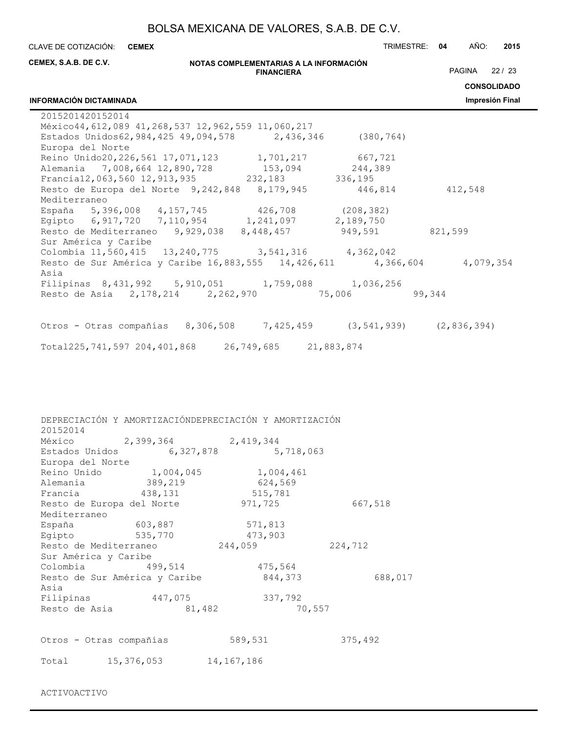CLAVE DE COTIZACIÓN: TRIMESTRE: **04** AÑO: **2015 CEMEX**

| CEMEX, S.A.B. DE C.V.                     |                               | NOTAS COMPLEMENTARIAS A LA INFORMACIÓN                                                               |         |                                                                                                                                     |
|-------------------------------------------|-------------------------------|------------------------------------------------------------------------------------------------------|---------|-------------------------------------------------------------------------------------------------------------------------------------|
|                                           |                               | <b>FINANCIERA</b>                                                                                    |         | PAGINA 22 / 23                                                                                                                      |
|                                           |                               |                                                                                                      |         | <b>CONSOLIDADO</b>                                                                                                                  |
| <b>INFORMACIÓN DICTAMINADA</b>            |                               |                                                                                                      |         | Impresión Final                                                                                                                     |
| 2015201420152014                          |                               |                                                                                                      |         |                                                                                                                                     |
|                                           |                               | México44, 612, 089 41, 268, 537 12, 962, 559 11, 060, 217                                            |         |                                                                                                                                     |
|                                           |                               | Estados Unidos62, 984, 425 49, 094, 578 2, 436, 346 (380, 764)                                       |         |                                                                                                                                     |
| Europa del Norte                          |                               |                                                                                                      |         |                                                                                                                                     |
|                                           |                               | Reino Unido20, 226, 561 17, 071, 123 1, 701, 217 667, 721                                            |         |                                                                                                                                     |
|                                           |                               | Alemania 7,008,664 12,890,728 153,094 244,389<br>Francial2,063,560 12,913,935 232,183 336,195        |         |                                                                                                                                     |
|                                           |                               | Resto de Europa del Norte 9,242,848 8,179,945 446,814 412,548                                        |         |                                                                                                                                     |
| Mediterraneo                              |                               |                                                                                                      |         |                                                                                                                                     |
|                                           |                               | España 5,396,008 4,157,745 426,708 (208,382)                                                         |         |                                                                                                                                     |
|                                           |                               | Egipto 6,917,720 7,110,954 1,241,097 2,189,750                                                       |         |                                                                                                                                     |
|                                           |                               | Resto de Mediterraneo 9,929,038 8,448,457 949,591 821,599                                            |         |                                                                                                                                     |
| Sur América y Caribe                      |                               |                                                                                                      |         |                                                                                                                                     |
|                                           |                               |                                                                                                      |         | Colombia 11,560,415  13,240,775  3,541,316  4,362,042<br>Resto de Sur América y Caribe 16,883,555  14,426,611  4,366,604  4,079,354 |
|                                           |                               |                                                                                                      |         |                                                                                                                                     |
| Asia                                      |                               |                                                                                                      |         |                                                                                                                                     |
|                                           |                               | Filipinas 8,431,992 5,910,051 1,759,088 1,036,256<br>Resto de Asia 2,178,214 2,262,970 75,006 99,344 |         |                                                                                                                                     |
|                                           |                               |                                                                                                      |         |                                                                                                                                     |
|                                           |                               |                                                                                                      |         |                                                                                                                                     |
|                                           |                               | Otros - Otras compañías 8,306,508 7,425,459 (3,541,939) (2,836,394)                                  |         |                                                                                                                                     |
|                                           |                               | Total225,741,597 204,401,868 26,749,685 21,883,874                                                   |         |                                                                                                                                     |
|                                           |                               |                                                                                                      |         |                                                                                                                                     |
| 20152014                                  | México 2,399,364 2,419,344    | DEPRECIACIÓN Y AMORTIZACIÓNDEPRECIACIÓN Y AMORTIZACIÓN<br>Estados Unidos 6,327,878 5,718,063         |         |                                                                                                                                     |
| Europa del Norte                          |                               |                                                                                                      |         |                                                                                                                                     |
|                                           |                               | Reino Unido 1,004,045 1,004,461                                                                      |         |                                                                                                                                     |
| Alemania                                  | 389,219                       | 624,569                                                                                              |         |                                                                                                                                     |
| Francia                                   | 438,131                       | 515,781                                                                                              |         |                                                                                                                                     |
| Resto de Europa del Norte<br>Mediterraneo |                               | 971,725                                                                                              | 667,518 |                                                                                                                                     |
| España                                    | 603,887                       | 571,813                                                                                              |         |                                                                                                                                     |
| Egipto                                    | 535,770                       | 473,903                                                                                              |         |                                                                                                                                     |
| Resto de Mediterraneo                     |                               | 244,059                                                                                              | 224,712 |                                                                                                                                     |
| Sur América y Caribe                      |                               |                                                                                                      |         |                                                                                                                                     |
| Colombia 499,514                          |                               | 475,564                                                                                              |         |                                                                                                                                     |
|                                           | Resto de Sur América y Caribe | 844,373                                                                                              | 688,017 |                                                                                                                                     |
| Asia                                      |                               |                                                                                                      |         |                                                                                                                                     |
| Filipinas 447,075                         |                               | 337,792                                                                                              |         |                                                                                                                                     |
| Resto de Asia                             | 81,482                        | 70,557                                                                                               |         |                                                                                                                                     |
|                                           |                               |                                                                                                      |         |                                                                                                                                     |
| Otros - Otras compañías                   |                               | 589,531                                                                                              | 375,492 |                                                                                                                                     |
| Total                                     | 15,376,053                    | 14,167,186                                                                                           |         |                                                                                                                                     |

ACTIVOACTIVO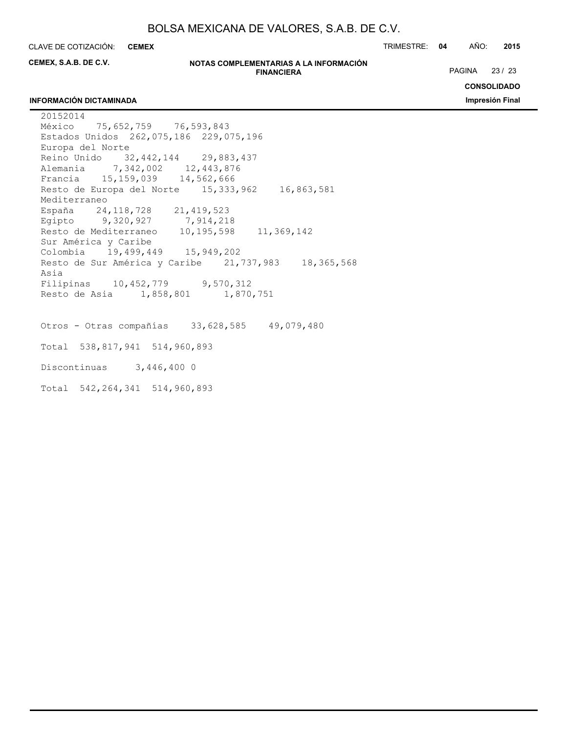**CEMEX**

CLAVE DE COTIZACIÓN: TRIMESTRE: **04** AÑO: **2015**

**CEMEX, S.A.B. DE C.V.**

#### **NOTAS COMPLEMENTARIAS A LA INFORMACIÓN FINANCIERA**

PAGINA 23 / 23

## **INFORMACIÓN DICTAMINADA**

**CONSOLIDADO Impresión Final**

20152014 México 75,652,759 76,593,843 Estados Unidos 262,075,186 229,075,196 Europa del Norte Reino Unido 32,442,144 29,883,437 Alemania 7,342,002 12,443,876 Francia 15,159,039 14,562,666 Resto de Europa del Norte 15,333,962 16,863,581 Mediterraneo España 24,118,728 21,419,523 Egipto 9,320,927 7,914,218 Resto de Mediterraneo 10,195,598 11,369,142 Sur América y Caribe Colombia 19,499,449 15,949,202 Resto de Sur América y Caribe 21,737,983 18,365,568 Asia Filipinas 10,452,779 9,570,312 Resto de Asia 1,858,801 1,870,751 Otros - Otras compañías 33,628,585 49,079,480 Total 538,817,941 514,960,893 Discontinuas 3,446,400 0

Total 542,264,341 514,960,893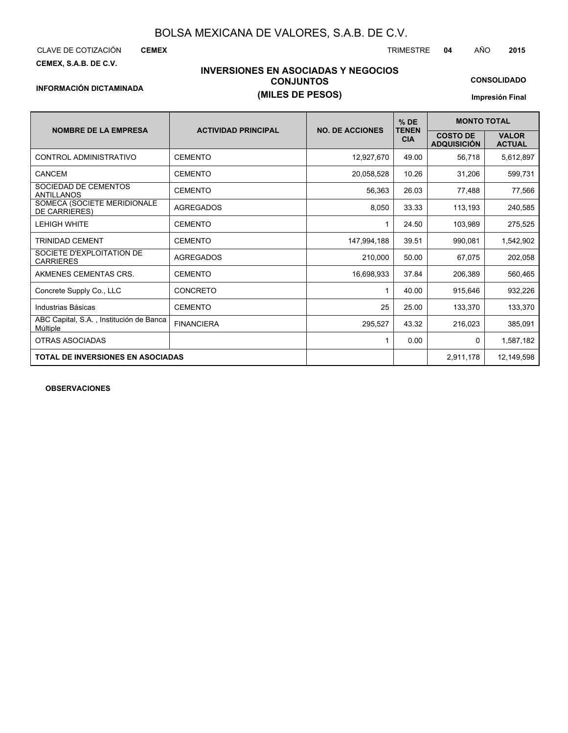**CEMEX**

**CEMEX, S.A.B. DE C.V.**

## **INVERSIONES EN ASOCIADAS Y NEGOCIOS CONJUNTOS INFORMACIÓN DICTAMINADA (MILES DE PESOS)**

**CONSOLIDADO**

**Impresión Final**

|                                                     |                            |                        | $%$ DE                     | <b>MONTO TOTAL</b>                    |                               |
|-----------------------------------------------------|----------------------------|------------------------|----------------------------|---------------------------------------|-------------------------------|
| <b>NOMBRE DE LA EMPRESA</b>                         | <b>ACTIVIDAD PRINCIPAL</b> | <b>NO. DE ACCIONES</b> | <b>TENEN</b><br><b>CIA</b> | <b>COSTO DE</b><br><b>ADQUISICIÓN</b> | <b>VALOR</b><br><b>ACTUAL</b> |
| CONTROL ADMINISTRATIVO                              | <b>CEMENTO</b>             | 12,927,670             | 49.00                      | 56,718                                | 5,612,897                     |
| <b>CANCEM</b>                                       | <b>CEMENTO</b>             | 20,058,528             | 10.26                      | 31,206                                | 599,731                       |
| SOCIEDAD DE CEMENTOS<br><b>ANTILLANOS</b>           | <b>CEMENTO</b>             | 56,363                 | 26.03                      | 77,488                                | 77,566                        |
| SOMECA (SOCIETE MERIDIONALE<br><b>DE CARRIERES)</b> | <b>AGREGADOS</b>           | 8,050                  | 33.33                      | 113,193                               | 240,585                       |
| <b>LEHIGH WHITE</b>                                 | <b>CEMENTO</b>             | 1                      | 24.50                      | 103,989                               | 275,525                       |
| TRINIDAD CEMENT                                     | <b>CEMENTO</b>             | 147,994,188            | 39.51                      | 990,081                               | 1,542,902                     |
| SOCIETE D'EXPLOITATION DE<br><b>CARRIERES</b>       | <b>AGREGADOS</b>           | 210.000                | 50.00                      | 67,075                                | 202,058                       |
| AKMENES CEMENTAS CRS.                               | <b>CEMENTO</b>             | 16,698,933             | 37.84                      | 206,389                               | 560,465                       |
| Concrete Supply Co., LLC                            | <b>CONCRETO</b>            | 1                      | 40.00                      | 915,646                               | 932,226                       |
| Industrias Básicas                                  | <b>CEMENTO</b>             | 25                     | 25.00                      | 133,370                               | 133,370                       |
| ABC Capital, S.A., Institución de Banca<br>Múltiple | <b>FINANCIERA</b>          | 295,527                | 43.32                      | 216,023                               | 385,091                       |
| <b>OTRAS ASOCIADAS</b>                              |                            | 1                      | 0.00                       | 0                                     | 1,587,182                     |
| <b>TOTAL DE INVERSIONES EN ASOCIADAS</b>            |                            |                        |                            | 2,911,178                             | 12,149,598                    |

**OBSERVACIONES**

CLAVE DE COTIZACIÓN TRIMESTRE **04** AÑO **2015**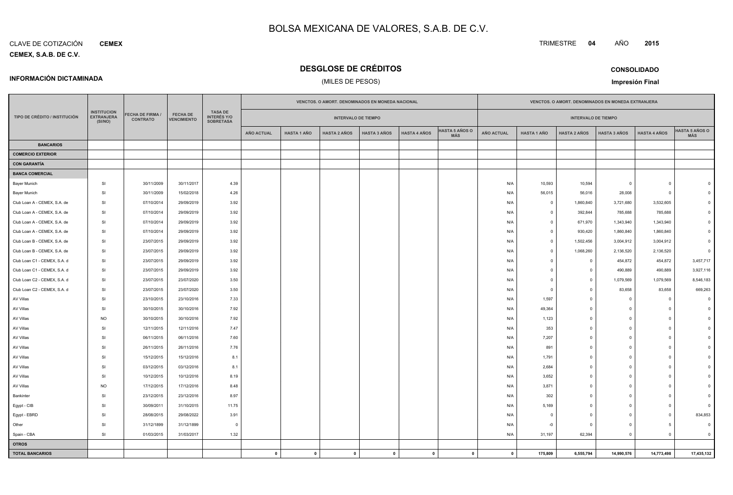#### **CEMEX, S.A.B. DE C.V.** CLAVE DE COTIZACIÓN**CEMEX**

**INFORMACIÓN DICTAMINADA**

## **DESGLOSE DE CRÉDITOS**

## (MILES DE PESOS)

**CONSOLIDADOImpresión Final**

|                               |                                                    |                                            |                                |                                                          |                   | VENCTOS. O AMORT. DENOMINADOS EN MONEDA NACIONAL |                     |                     |                     |                                     |                   |                    | VENCTOS. O AMORT. DENOMINADOS EN MONEDA EXTRANJERA |                         |                     |                              |
|-------------------------------|----------------------------------------------------|--------------------------------------------|--------------------------------|----------------------------------------------------------|-------------------|--------------------------------------------------|---------------------|---------------------|---------------------|-------------------------------------|-------------------|--------------------|----------------------------------------------------|-------------------------|---------------------|------------------------------|
| TIPO DE CRÉDITO / INSTITUCIÓN | <b>INSTITUCION</b><br><b>EXTRANJERA</b><br>(SI/NO) | <b>FECHA DE FIRMA /</b><br><b>CONTRATO</b> | FECHA DE<br><b>VENCIMIENTO</b> | <b>TASA DE</b><br><b>INTERÉS Y/O</b><br><b>SOBRETASA</b> |                   | <b>INTERVALO DE TIEMPO</b>                       |                     |                     |                     |                                     |                   |                    | <b>INTERVALO DE TIEMPO</b>                         |                         |                     |                              |
|                               |                                                    |                                            |                                |                                                          | <b>AÑO ACTUAL</b> | <b>HASTA 1 AÑO</b>                               | <b>HASTA 2 AÑOS</b> | <b>HASTA 3 AÑOS</b> | <b>HASTA 4 AÑOS</b> | <b>HASTA 5 AÑOS O</b><br><b>MÁS</b> | <b>AÑO ACTUAL</b> | <b>HASTA 1 AÑO</b> | <b>HASTA 2 AÑOS</b>                                | <b>HASTA 3 AÑOS</b>     | <b>HASTA 4 AÑOS</b> | <b>HASTA 5 AÑOS O</b><br>MÁS |
| <b>BANCARIOS</b>              |                                                    |                                            |                                |                                                          |                   |                                                  |                     |                     |                     |                                     |                   |                    |                                                    |                         |                     |                              |
| <b>COMERCIO EXTERIOR</b>      |                                                    |                                            |                                |                                                          |                   |                                                  |                     |                     |                     |                                     |                   |                    |                                                    |                         |                     |                              |
| <b>CON GARANTÍA</b>           |                                                    |                                            |                                |                                                          |                   |                                                  |                     |                     |                     |                                     |                   |                    |                                                    |                         |                     |                              |
| <b>BANCA COMERCIAL</b>        |                                                    |                                            |                                |                                                          |                   |                                                  |                     |                     |                     |                                     |                   |                    |                                                    |                         |                     |                              |
| <b>Bayer Munich</b>           | SI                                                 | 30/11/2009                                 | 30/11/2017                     | 4.39                                                     |                   |                                                  |                     |                     |                     |                                     | N/A               | 10,593             | 10,594                                             | $\Omega$                | $\mathbf 0$         |                              |
| <b>Bayer Munich</b>           | <b>SI</b>                                          | 30/11/2009                                 | 15/02/2018                     | 4.26                                                     |                   |                                                  |                     |                     |                     |                                     | N/A               | 56,015             | 56,016                                             | 28,008                  | $\Omega$            |                              |
| Club Loan A - CEMEX, S.A. de  | <b>SI</b>                                          | 07/10/2014                                 | 29/09/2019                     | 3.92                                                     |                   |                                                  |                     |                     |                     |                                     | N/A               | $\Omega$           | 1,860,840                                          | 3,721,680               | 3,532,605           |                              |
| Club Loan A - CEMEX, S.A. de  | SI                                                 | 07/10/2014                                 | 29/09/2019                     | 3.92                                                     |                   |                                                  |                     |                     |                     |                                     | N/A               | $\Omega$           | 392,844                                            | 785,688                 | 785,688             |                              |
| Club Loan A - CEMEX, S.A. de  | <b>SI</b>                                          | 07/10/2014                                 | 29/09/2019                     | 3.92                                                     |                   |                                                  |                     |                     |                     |                                     | N/A               | $\Omega$           | 671,970                                            | 1,343,940               | 1,343,940           |                              |
| Club Loan A - CEMEX, S.A. de  | <b>SI</b>                                          | 07/10/2014                                 | 29/09/2019                     | 3.92                                                     |                   |                                                  |                     |                     |                     |                                     | N/A               | $\Omega$           | 930,420                                            | 1,860,840               | 1,860,840           |                              |
| Club Loan B - CEMEX, S.A. de  | <b>SI</b>                                          | 23/07/2015                                 | 29/09/2019                     | 3.92                                                     |                   |                                                  |                     |                     |                     |                                     | N/A               | $\Omega$           | 1,502,456                                          | 3,004,912               | 3,004,912           |                              |
| Club Loan B - CEMEX, S.A. de  | <b>SI</b>                                          | 23/07/2015                                 | 29/09/2019                     | 3.92                                                     |                   |                                                  |                     |                     |                     |                                     | N/A               | $\Omega$           | 1,068,260                                          | 2,136,520               | 2,136,520           |                              |
| Club Loan C1 - CEMEX, S.A. d  | <b>SI</b>                                          | 23/07/2015                                 | 29/09/2019                     | 3.92                                                     |                   |                                                  |                     |                     |                     |                                     | N/A               | $\Omega$           | $\overline{0}$                                     | 454,872                 | 454,872             | 3,457,717                    |
| Club Loan C1 - CEMEX, S.A. d  | <b>SI</b>                                          | 23/07/2015                                 | 29/09/2019                     | 3.92                                                     |                   |                                                  |                     |                     |                     |                                     | N/A               | $\Omega$           | $\overline{0}$                                     | 490,889                 | 490,889             | 3,927,116                    |
| Club Loan C2 - CEMEX, S.A. d  | <b>SI</b>                                          | 23/07/2015                                 | 23/07/2020                     | 3.50                                                     |                   |                                                  |                     |                     |                     |                                     | N/A               | $\Omega$           | $\overline{0}$                                     | 1,079,569               | 1,079,569           | 8,546,183                    |
| Club Loan C2 - CEMEX, S.A. d  | <b>SI</b>                                          | 23/07/2015                                 | 23/07/2020                     | 3.50                                                     |                   |                                                  |                     |                     |                     |                                     | N/A               | $\Omega$           | $\circ$                                            | 83,658                  | 83,658              | 669,263                      |
| AV Villas                     | <b>SI</b>                                          | 23/10/2015                                 | 23/10/2016                     | 7.33                                                     |                   |                                                  |                     |                     |                     |                                     | N/A               | 1,597              | $\mathbf 0$                                        | $\Omega$                | 0                   |                              |
| AV Villas                     | <b>SI</b>                                          | 30/10/2015                                 | 30/10/2016                     | 7.92                                                     |                   |                                                  |                     |                     |                     |                                     | N/A               | 49,364             | $\mathbf 0$                                        | $\Omega$                | $\Omega$            |                              |
| AV Villas                     | <b>NO</b>                                          | 30/10/2015                                 | 30/10/2016                     | 7.92                                                     |                   |                                                  |                     |                     |                     |                                     | N/A               | 1,123              | $\mathbf 0$                                        | $\Omega$                | $\Omega$            |                              |
| AV Villas                     | <b>SI</b>                                          | 12/11/2015                                 | 12/11/2016                     | 7.47                                                     |                   |                                                  |                     |                     |                     |                                     | N/A               | 353                | $\mathbf 0$                                        | $\Omega$                | $\Omega$            |                              |
| AV Villas                     | <b>SI</b>                                          | 06/11/2015                                 | 06/11/2016                     | 7.60                                                     |                   |                                                  |                     |                     |                     |                                     | N/A               | 7,207              | $\overline{0}$                                     | $\Omega$                | $\Omega$            |                              |
| AV Villas                     | <b>SI</b>                                          | 26/11/2015                                 | 26/11/2016                     | 7.76                                                     |                   |                                                  |                     |                     |                     |                                     | N/A               | 891                | $\mathbf 0$                                        | $\Omega$                | $\Omega$            |                              |
| AV Villas                     | <b>SI</b>                                          | 15/12/2015                                 | 15/12/2016                     | 8.1                                                      |                   |                                                  |                     |                     |                     |                                     | N/A               | 1,791              | $\overline{0}$                                     | $\Omega$                | $\Omega$            |                              |
| AV Villas                     | <b>SI</b>                                          | 03/12/2015                                 | 03/12/2016                     | 8.1                                                      |                   |                                                  |                     |                     |                     |                                     | N/A               | 2,684              | $\overline{0}$                                     | $\Omega$                | $\Omega$            |                              |
| AV Villas                     | <b>SI</b>                                          | 10/12/2015                                 | 10/12/2016                     | 8.19                                                     |                   |                                                  |                     |                     |                     |                                     | N/A               | 3,652              | $\overline{0}$                                     | $\Omega$                | $\Omega$            |                              |
| AV Villas                     | <b>NO</b>                                          | 17/12/2015                                 | 17/12/2016                     | 8.48                                                     |                   |                                                  |                     |                     |                     |                                     | N/A               | 3,871              | $\overline{0}$                                     | $\Omega$                | $\Omega$            |                              |
| Bankinter                     | <b>SI</b>                                          | 23/12/2015                                 | 23/12/2016                     | 8.97                                                     |                   |                                                  |                     |                     |                     |                                     | N/A               | 302                | $\overline{0}$                                     | $\Omega$                | n                   |                              |
| Egypt - CIB                   | <b>SI</b>                                          | 30/09/2011                                 | 31/10/2015                     | 11.75                                                    |                   |                                                  |                     |                     |                     |                                     | N/A               | 5,169              | $\overline{0}$                                     | $\Omega$                | $\Omega$            |                              |
| Egypt - EBRD                  | <b>SI</b>                                          | 28/08/2015                                 | 29/08/2022                     | 3.91                                                     |                   |                                                  |                     |                     |                     |                                     | N/A               | - 0                | $\overline{0}$                                     | $\Omega$                | 0                   | 834,853                      |
| Other                         | <b>SI</b>                                          | 31/12/1899                                 | 31/12/1899                     | $\Omega$                                                 |                   |                                                  |                     |                     |                     |                                     | N/A               | $-0$               | $\overline{0}$                                     | $\Omega$                | 5                   | $\Omega$                     |
| Spain - CBA                   | SI                                                 | 01/03/2015                                 | 31/03/2017                     | 1.32                                                     |                   |                                                  |                     |                     |                     |                                     | N/A               | 31,197             | 62,394                                             | $\overline{\mathbf{0}}$ | $\mathbf 0$         | $\Omega$                     |
| <b>OTROS</b>                  |                                                    |                                            |                                |                                                          |                   |                                                  |                     |                     |                     |                                     |                   |                    |                                                    |                         |                     |                              |
| <b>TOTAL BANCARIOS</b>        |                                                    |                                            |                                |                                                          | $\mathbf{0}$      | $\mathbf{0}$                                     | $\mathbf{0}$        | $\mathbf 0$         | $\mathbf{0}$        | $\mathbf 0$                         | $\mathbf{0}$      | 175,809            | 6,555,794                                          | 14,990,576              | 14,773,498          | 17,435,132                   |

**<sup>2015</sup>**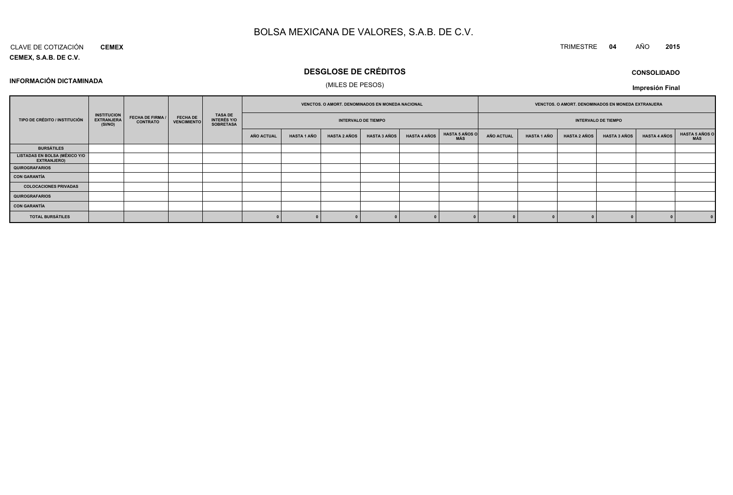#### CLAVE DE COTIZACIÓN**CEMEX**

**INFORMACIÓN DICTAMINADA**

## **CEMEX, S.A.B. DE C.V.**

# **DESGLOSE DE CRÉDITOS**

## (MILES DE PESOS)

| <b>CONSOLIDADO</b> |  |
|--------------------|--|
|--------------------|--|

**Impresión Final**

|                                                             |                                                    |                                            |                                       |                                            |            | VENCTOS. O AMORT. DENOMINADOS EN MONEDA NACIONAL |                     |                            |                     |                              | VENCTOS. O AMORT. DENOMINADOS EN MONEDA EXTRANJERA |                    |                     |                            |                     |                              |
|-------------------------------------------------------------|----------------------------------------------------|--------------------------------------------|---------------------------------------|--------------------------------------------|------------|--------------------------------------------------|---------------------|----------------------------|---------------------|------------------------------|----------------------------------------------------|--------------------|---------------------|----------------------------|---------------------|------------------------------|
| TIPO DE CRÉDITO / INSTITUCIÓN                               | <b>INSTITUCION</b><br><b>EXTRANJERA</b><br>(SI/NO) | <b>FECHA DE FIRMA /</b><br><b>CONTRATO</b> | <b>FECHA DE</b><br><b>VENCIMIENTO</b> | TASA DE<br>INTERÉS Y/O<br><b>SOBRETASA</b> |            |                                                  |                     | <b>INTERVALO DE TIEMPO</b> |                     |                              |                                                    |                    |                     | <b>INTERVALO DE TIEMPO</b> |                     |                              |
|                                                             |                                                    |                                            |                                       |                                            | AÑO ACTUAL | <b>HASTA 1 AÑO</b>                               | <b>HASTA 2 AÑOS</b> | <b>HASTA 3 AÑOS</b>        | <b>HASTA 4 AÑOS</b> | <b>HASTA 5 AÑOS O</b><br>MÁS | <b>AÑO ACTUAL</b>                                  | <b>HASTA 1 AÑO</b> | <b>HASTA 2 AÑOS</b> | <b>HASTA 3 AÑOS</b>        | <b>HASTA 4 AÑOS</b> | <b>HASTA 5 AÑOS C</b><br>MÁS |
| <b>BURSÁTILES</b>                                           |                                                    |                                            |                                       |                                            |            |                                                  |                     |                            |                     |                              |                                                    |                    |                     |                            |                     |                              |
| <b>LISTADAS EN BOLSA (MÉXICO Y/O)</b><br><b>EXTRANJERO)</b> |                                                    |                                            |                                       |                                            |            |                                                  |                     |                            |                     |                              |                                                    |                    |                     |                            |                     |                              |
| <b>QUIROGRAFARIOS</b>                                       |                                                    |                                            |                                       |                                            |            |                                                  |                     |                            |                     |                              |                                                    |                    |                     |                            |                     |                              |
| <b>CON GARANTÍA</b>                                         |                                                    |                                            |                                       |                                            |            |                                                  |                     |                            |                     |                              |                                                    |                    |                     |                            |                     |                              |
| <b>COLOCACIONES PRIVADAS</b>                                |                                                    |                                            |                                       |                                            |            |                                                  |                     |                            |                     |                              |                                                    |                    |                     |                            |                     |                              |
| <b>QUIROGRAFARIOS</b>                                       |                                                    |                                            |                                       |                                            |            |                                                  |                     |                            |                     |                              |                                                    |                    |                     |                            |                     |                              |
| <b>CON GARANTÍA</b>                                         |                                                    |                                            |                                       |                                            |            |                                                  |                     |                            |                     |                              |                                                    |                    |                     |                            |                     |                              |
| <b>TOTAL BURSÁTILES</b>                                     |                                                    |                                            |                                       |                                            |            |                                                  |                     |                            |                     |                              |                                                    |                    |                     |                            |                     |                              |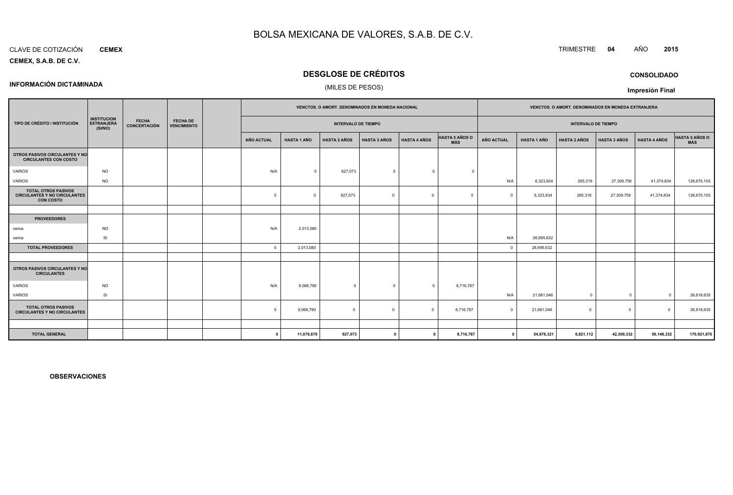#### CLAVE DE COTIZACIÓN**CEMEX**

**CEMEX, S.A.B. DE C.V.**

**INFORMACIÓN DICTAMINADA**

## **DESGLOSE DE CRÉDITOS**

## (MILES DE PESOS)

|                                                                                       |                                                    |                              |                                       |            |                    | VENCTOS. O AMORT. DENOMINADOS EN MONEDA NACIONAL |                     |                     |                              |              |                    |                            | VENCTOS. O AMORT. DENOMINADOS EN MONEDA EXTRANJERA |                     |                |
|---------------------------------------------------------------------------------------|----------------------------------------------------|------------------------------|---------------------------------------|------------|--------------------|--------------------------------------------------|---------------------|---------------------|------------------------------|--------------|--------------------|----------------------------|----------------------------------------------------|---------------------|----------------|
| TIPO DE CRÉDITO / INSTITUCIÓN                                                         | <b>INSTITUCION</b><br><b>EXTRANJERA</b><br>(SI/NO) | <b>FECHA</b><br>CONCERTACIÓN | <b>FECHA DE</b><br><b>VENCIMIENTO</b> |            |                    | <b>INTERVALO DE TIEMPO</b>                       |                     |                     |                              |              |                    | <b>INTERVALO DE TIEMPO</b> |                                                    |                     |                |
|                                                                                       |                                                    |                              |                                       | AÑO ACTUAL | <b>HASTA 1 AÑO</b> | <b>HASTA 2 AÑOS</b>                              | <b>HASTA 3 AÑOS</b> | <b>HASTA 4 AÑOS</b> | <b>HASTA 5 AÑOS O</b><br>MÁS | AÑO ACTUAL   | <b>HASTA 1 AÑO</b> | <b>HASTA 2 AÑOS</b>        | <b>HASTA 3 AÑOS</b>                                | <b>HASTA 4 AÑOS</b> | HASTA 5 AÑOS O |
| OTROS PASIVOS CIRCULANTES Y NO<br><b>CIRCULANTES CON COSTO</b>                        |                                                    |                              |                                       |            |                    |                                                  |                     |                     |                              |              |                    |                            |                                                    |                     |                |
| <b>VARIOS</b>                                                                         | <b>NO</b>                                          |                              |                                       | N/A        | $\overline{0}$     | 627,073                                          | $\Omega$            | $\Omega$            | $\Omega$                     |              |                    |                            |                                                    |                     |                |
| VARIOS                                                                                | <b>NO</b>                                          |                              |                                       |            |                    |                                                  |                     |                     |                              | N/A          | 6,323,834          | 265,318                    | 27,309,756                                         | 41,374,834          | 126,670,103    |
| <b>TOTAL OTROS PASIVOS</b><br><b>CIRCULANTES Y NO CIRCULANTES</b><br><b>CON COSTO</b> |                                                    |                              |                                       | $\Omega$   | $\circ$            | 627,073                                          | $\Omega$            | $\Omega$            | $\Omega$                     | $\Omega$     | 6,323,834          | 265,318                    | 27,309,756                                         | 41,374,834          | 126,670,103    |
|                                                                                       |                                                    |                              |                                       |            |                    |                                                  |                     |                     |                              |              |                    |                            |                                                    |                     |                |
| <b>PROVEEDORES</b>                                                                    |                                                    |                              |                                       |            |                    |                                                  |                     |                     |                              |              |                    |                            |                                                    |                     |                |
| varios                                                                                | <b>NO</b>                                          |                              |                                       | N/A        | 2,013,080          |                                                  |                     |                     |                              |              |                    |                            |                                                    |                     |                |
| varios                                                                                | SI                                                 |                              |                                       |            |                    |                                                  |                     |                     |                              | N/A          | 26,695,632         |                            |                                                    |                     |                |
| <b>TOTAL PROVEEDORES</b>                                                              |                                                    |                              |                                       | $\Omega$   | 2,013,080          |                                                  |                     |                     |                              | $\Omega$     | 26,695,632         |                            |                                                    |                     |                |
|                                                                                       |                                                    |                              |                                       |            |                    |                                                  |                     |                     |                              |              |                    |                            |                                                    |                     |                |
| OTROS PASIVOS CIRCULANTES Y NO<br><b>CIRCULANTES</b>                                  |                                                    |                              |                                       |            |                    |                                                  |                     |                     |                              |              |                    |                            |                                                    |                     |                |
| VARIOS                                                                                | <b>NO</b>                                          |                              |                                       | N/A        | 9,066,790          | $\Omega$                                         | $\Omega$            | $\Omega$            | 8,716,787                    |              |                    |                            |                                                    |                     |                |
| VARIOS                                                                                | SI                                                 |                              |                                       |            |                    |                                                  |                     |                     |                              | N/A          | 21,681,046         | $\Omega$                   | $\Omega$                                           | $\Omega$            | 26,816,635     |
| <b>TOTAL OTROS PASIVOS</b><br><b>CIRCULANTES Y NO CIRCULANTES</b>                     |                                                    |                              |                                       | $\Omega$   | 9,066,790          | $\overline{0}$                                   | $\Omega$            | $\Omega$            | 8,716,787                    | $\Omega$     | 21,681,046         | $\Omega$                   | $\overline{0}$                                     | $\Omega$            | 26,816,635     |
|                                                                                       |                                                    |                              |                                       |            |                    |                                                  |                     |                     |                              |              |                    |                            |                                                    |                     |                |
| <b>TOTAL GENERAL</b>                                                                  |                                                    |                              |                                       | - 0        | 11,079,870         | 627,073                                          | $\Omega$            | $\mathbf{r}$        | 8,716,787                    | $\mathbf{0}$ | 54,876,321         | 6,821,112                  | 42,300,332                                         | 56,148,332          | 170,921,870    |

**OBSERVACIONES**

TRIMESTRE **<sup>04</sup>** AÑO **<sup>2015</sup>**

**CONSOLIDADO**

**Impresión Final**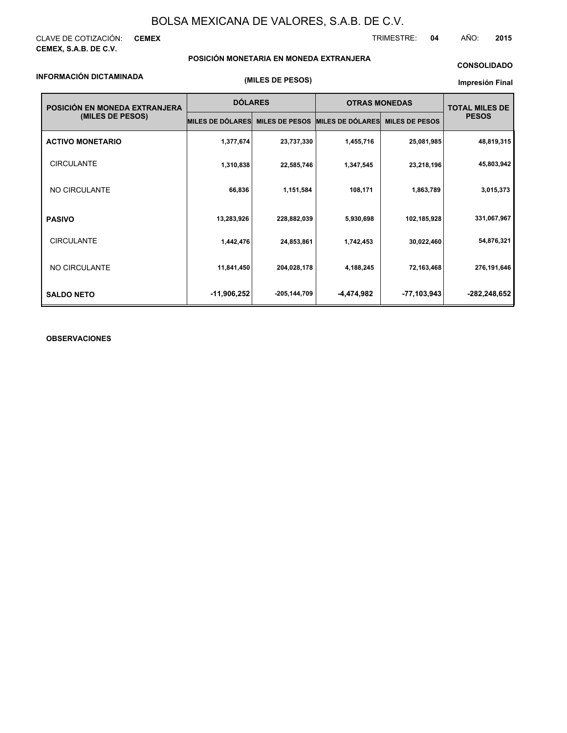CLAVE DE COTIZACIÓN: **CEMEX CEMEX, S.A.B. DE C.V.**

TRIMESTRE: **04** AÑO: **2015**

## **POSICIÓN MONETARIA EN MONEDA EXTRANJERA**

## **INFORMACIÓN DICTAMINADA**

**(MILES DE PESOS)**

## **CONSOLIDADO**

**Impresión Final**

| POSICIÓN EN MONEDA EXTRANJERA | <b>DÓLARES</b>          |                       | <b>OTRAS MONEDAS</b>    |                       | <b>TOTAL MILES DE</b> |  |
|-------------------------------|-------------------------|-----------------------|-------------------------|-----------------------|-----------------------|--|
| (MILES DE PESOS)              | <b>MILES DE DÓLARES</b> | <b>MILES DE PESOS</b> | <b>MILES DE DÓLARES</b> | <b>MILES DE PESOS</b> | <b>PESOS</b>          |  |
| <b>ACTIVO MONETARIO</b>       | 1,377,674               | 23,737,330            | 1,455,716               | 25,081,985            | 48,819,315            |  |
| <b>CIRCULANTE</b>             | 1,310,838               | 22,585,746            | 1,347,545               | 23,218,196            | 45,803,942            |  |
| NO CIRCULANTE                 | 66,836                  | 1,151,584             | 108,171                 | 1,863,789             | 3,015,373             |  |
| <b>PASIVO</b>                 | 13,283,926              | 228,882,039           | 5,930,698               | 102,185,928           | 331,067,967           |  |
| <b>CIRCULANTE</b>             | 1,442,476               | 24,853,861            | 1,742,453               | 30,022,460            | 54,876,321            |  |
| NO CIRCULANTE                 | 11,841,450              | 204,028,178           | 4,188,245               | 72,163,468            | 276,191,646           |  |
| <b>SALDO NETO</b>             | -11,906,252             | -205,144,709          | -4,474,982              | -77,103,943           | -282,248,652          |  |

## **OBSERVACIONES**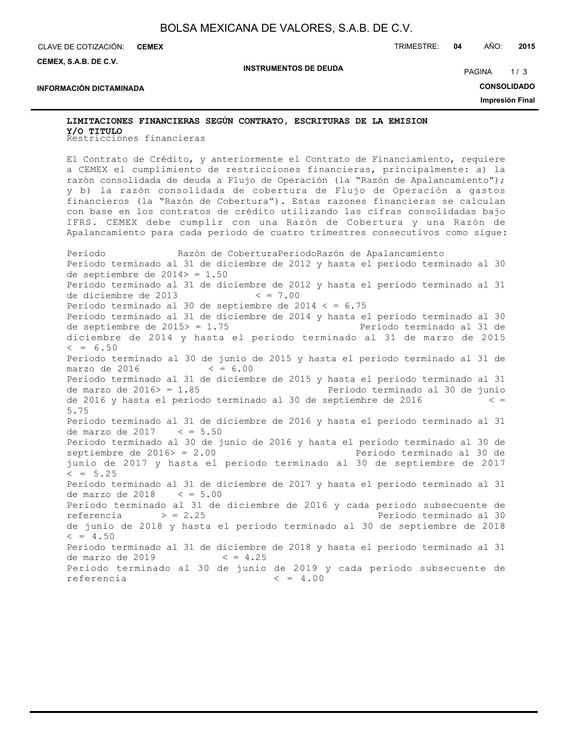CLAVE DE COTIZACIÓN: TRIMESTRE: **04** AÑO: **2015 CEMEX**

**INFORMACIÓN DICTAMINADA**

**CEMEX, S.A.B. DE C.V.**

**INSTRUMENTOS DE DEUDA**

PAGINA 1/3

**CONSOLIDADO**

**Impresión Final**

# Restricciones financieras **Y/O TITULOLIMITACIONES FINANCIERAS SEGÚN CONTRATO, ESCRITURAS DE LA EMISION**

El Contrato de Crédito, y anteriormente el Contrato de Financiamiento, requiere a CEMEX el cumplimiento de restricciones financieras, principalmente: a) la razón consolidada de deuda a Flujo de Operación (la "Razón de Apalancamiento"); y b) la razón consolidada de cobertura de Flujo de Operación a gastos financieros (la "Razón de Cobertura"). Estas razones financieras se calculan con base en los contratos de crédito utilizando las cifras consolidadas bajo IFRS. CEMEX debe cumplir con una Razón de Cobertura y una Razón de Apalancamiento para cada periodo de cuatro trimestres consecutivos como sigue:

Periodo Razón de CoberturaPeriodoRazón de Apalancamiento Periodo terminado al 31 de diciembre de 2012 y hasta el periodo terminado al 30 de septiembre de 2014> = 1.50 Periodo terminado al 31 de diciembre de 2012 y hasta el periodo terminado al 31 de diciembre de 2013 < = 7.00 Periodo terminado al 30 de septiembre de 2014  $\lt$  = 6.75 Periodo terminado al 31 de diciembre de 2014 y hasta el periodo terminado al 30 de septiembre de 2015> = 1.75 Periodo terminado al 31 de diciembre de 2014 y hasta el periodo terminado al 31 de marzo de 2015  $\leq$  = 6.50 Periodo terminado al 30 de junio de 2015 y hasta el periodo terminado al 31 de marzo de 2016  $\leq$  = 6.00 Periodo terminado al 31 de diciembre de 2015 y hasta el periodo terminado al 31 de marzo de 2016> = 1.85 Periodo terminado al 30 de junio de 2016 y hasta el periodo terminado al 30 de septiembre de 2016 < = 5.75 Periodo terminado al 31 de diciembre de 2016 y hasta el periodo terminado al 31 de marzo de 2017 < = 5.50 Periodo terminado al 30 de junio de 2016 y hasta el periodo terminado al 30 de septiembre de 2016> = 2.00 Periodo terminado al 30 de junio de 2017 y hasta el periodo terminado al 30 de septiembre de 2017  $< = 5.25$ Periodo terminado al 31 de diciembre de 2017 y hasta el periodo terminado al 31 de marzo de 2018  $\lt$  = 5.00 Periodo terminado al 31 de diciembre de 2016 y cada periodo subsecuente de referencia  $>$  = 2.25 Periodo terminado al 30 de junio de 2018 y hasta el periodo terminado al 30 de septiembre de 2018  $\leq$  = 4.50 Periodo terminado al 31 de diciembre de 2018 y hasta el periodo terminado al 31 de marzo de 2019  $\leq$  = 4.25 Periodo terminado al 30 de junio de 2019 y cada periodo subsecuente de referencia < = 4.00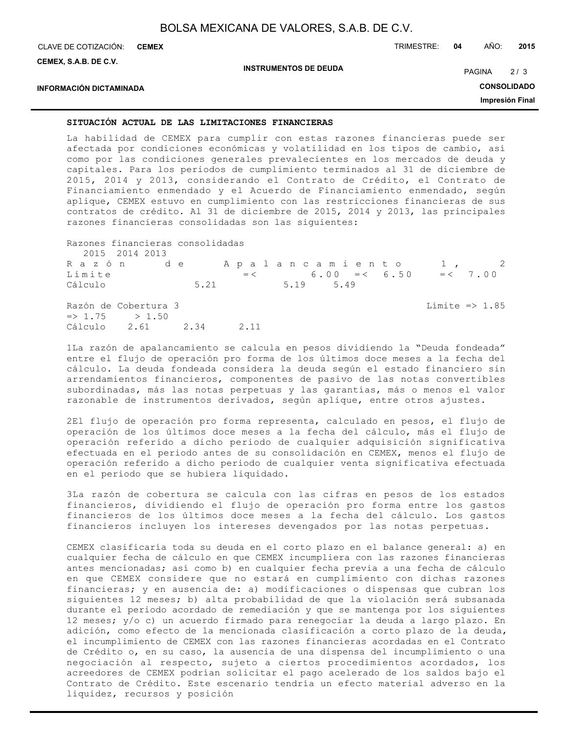CLAVE DE COTIZACIÓN: TRIMESTRE: **04** AÑO: **2015 CEMEX**

**CEMEX, S.A.B. DE C.V.**

**INSTRUMENTOS DE DEUDA**

PAGINA 2/3

## **INFORMACIÓN DICTAMINADA**

**CONSOLIDADO**

**Impresión Final**

## **SITUACIÓN ACTUAL DE LAS LIMITACIONES FINANCIERAS**

La habilidad de CEMEX para cumplir con estas razones financieras puede ser afectada por condiciones económicas y volatilidad en los tipos de cambio, así como por las condiciones generales prevalecientes en los mercados de deuda y capitales. Para los periodos de cumplimiento terminados al 31 de diciembre de 2015, 2014 y 2013, considerando el Contrato de Crédito, el Contrato de Financiamiento enmendado y el Acuerdo de Financiamiento enmendado, según aplique, CEMEX estuvo en cumplimiento con las restricciones financieras de sus contratos de crédito. Al 31 de diciembre de 2015, 2014 y 2013, las principales razones financieras consolidadas son las siguientes:

| Razones financieras consolidadas<br>2015 2014 2013                          |                                                                                |                  |
|-----------------------------------------------------------------------------|--------------------------------------------------------------------------------|------------------|
| Límite<br>Cálculo                                                           | Razón de Apalancamiento 1, 2<br>$=$ < 6.00 = < 6.50 = < 7.00<br>5.21 5.19 5.49 |                  |
| Razón de Cobertura 3<br>$\Rightarrow$ 1.75 > 1.50<br>Cálculo 2.61 2.34 2.11 |                                                                                | Límite => $1.85$ |

1La razón de apalancamiento se calcula en pesos dividiendo la "Deuda fondeada" entre el flujo de operación pro forma de los últimos doce meses a la fecha del cálculo. La deuda fondeada considera la deuda según el estado financiero sin arrendamientos financieros, componentes de pasivo de las notas convertibles subordinadas, más las notas perpetuas y las garantías, más o menos el valor razonable de instrumentos derivados, según aplique, entre otros ajustes.

2El flujo de operación pro forma representa, calculado en pesos, el flujo de operación de los últimos doce meses a la fecha del cálculo, más el flujo de operación referido a dicho periodo de cualquier adquisición significativa efectuada en el periodo antes de su consolidación en CEMEX, menos el flujo de operación referido a dicho periodo de cualquier venta significativa efectuada en el periodo que se hubiera liquidado.

3La razón de cobertura se calcula con las cifras en pesos de los estados financieros, dividiendo el flujo de operación pro forma entre los gastos financieros de los últimos doce meses a la fecha del cálculo. Los gastos financieros incluyen los intereses devengados por las notas perpetuas.

CEMEX clasificaría toda su deuda en el corto plazo en el balance general: a) en cualquier fecha de cálculo en que CEMEX incumpliera con las razones financieras antes mencionadas; así como b) en cualquier fecha previa a una fecha de cálculo en que CEMEX considere que no estará en cumplimiento con dichas razones financieras; y en ausencia de: a) modificaciones o dispensas que cubran los siguientes 12 meses; b) alta probabilidad de que la violación será subsanada durante el periodo acordado de remediación y que se mantenga por los siguientes 12 meses; y/o c) un acuerdo firmado para renegociar la deuda a largo plazo. En adición, como efecto de la mencionada clasificación a corto plazo de la deuda, el incumplimiento de CEMEX con las razones financieras acordadas en el Contrato de Crédito o, en su caso, la ausencia de una dispensa del incumplimiento o una negociación al respecto, sujeto a ciertos procedimientos acordados, los acreedores de CEMEX podrían solicitar el pago acelerado de los saldos bajo el Contrato de Crédito. Este escenario tendría un efecto material adverso en la liquidez, recursos y posición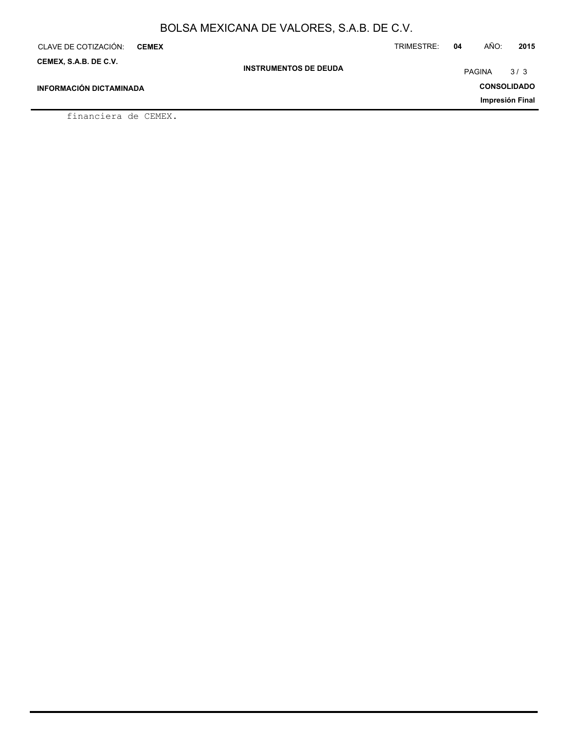| CLAVE DE COTIZACIÓN:<br><b>CEMEX</b> |                              | TRIMESTRE: | 04 | AÑO:          | 2015               |
|--------------------------------------|------------------------------|------------|----|---------------|--------------------|
| CEMEX, S.A.B. DE C.V.                | <b>INSTRUMENTOS DE DEUDA</b> |            |    | <b>PAGINA</b> | 3/3                |
| <b>INFORMACIÓN DICTAMINADA</b>       |                              |            |    |               | <b>CONSOLIDADO</b> |
|                                      |                              |            |    |               | Impresión Final    |
| $\mathcal{L}$ is a set and de CUMUNI |                              |            |    |               |                    |

financiera de CEMEX.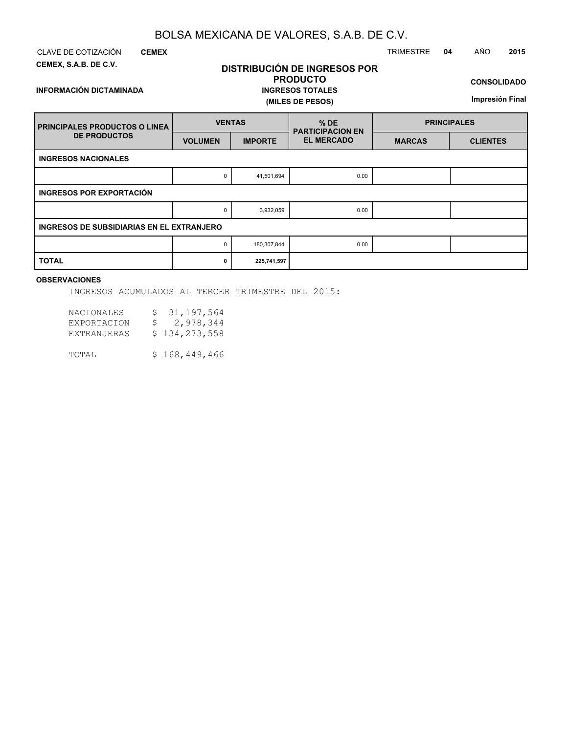**CEMEX**

**INFORMACIÓN DICTAMINADA**

**CEMEX, S.A.B. DE C.V.**

CLAVE DE COTIZACIÓN TRIMESTRE **04** AÑO **2015**

## **DISTRIBUCIÓN DE INGRESOS POR PRODUCTO INGRESOS TOTALES (MILES DE PESOS)**

**CONSOLIDADO**

**Impresión Final**

| <b>PRINCIPALES PRODUCTOS O LINEA</b>      | <b>VENTAS</b>  |                | $%$ DE<br><b>PARTICIPACION EN</b> | <b>PRINCIPALES</b> |                 |  |  |  |  |  |
|-------------------------------------------|----------------|----------------|-----------------------------------|--------------------|-----------------|--|--|--|--|--|
| <b>DE PRODUCTOS</b>                       | <b>VOLUMEN</b> | <b>IMPORTE</b> | <b>EL MERCADO</b>                 | <b>MARCAS</b>      | <b>CLIENTES</b> |  |  |  |  |  |
| <b>INGRESOS NACIONALES</b>                |                |                |                                   |                    |                 |  |  |  |  |  |
|                                           | 0              | 41,501,694     | 0.00                              |                    |                 |  |  |  |  |  |
| INGRESOS POR EXPORTACIÓN                  |                |                |                                   |                    |                 |  |  |  |  |  |
|                                           | 0              | 3,932,059      | 0.00                              |                    |                 |  |  |  |  |  |
| INGRESOS DE SUBSIDIARIAS EN EL EXTRANJERO |                |                |                                   |                    |                 |  |  |  |  |  |
|                                           | $\Omega$       | 180,307,844    | 0.00                              |                    |                 |  |  |  |  |  |
| <b>TOTAL</b>                              | 0              | 225,741,597    |                                   |                    |                 |  |  |  |  |  |

## **OBSERVACIONES**

INGRESOS ACUMULADOS AL TERCER TRIMESTRE DEL 2015:

| <b>NACIONALES</b><br><b>EXPORTACION</b><br>EXTRANJERAS | S.<br>S. | 31, 197, 564<br>2,978,344<br>\$134, 273, 558 |
|--------------------------------------------------------|----------|----------------------------------------------|
| TOTAL                                                  |          | \$168, 449, 466                              |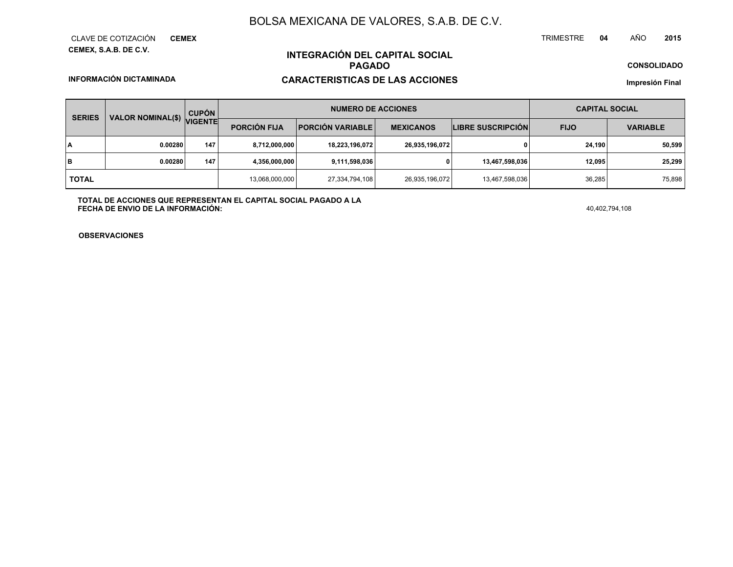**CEMEX, S.A.B. DE C.V.** CLAVE DE COTIZACIÓN**CEMEX**

## **INTEGRACIÓN DEL CAPITAL SOCIALPAGADO**

**CONSOLIDADO**

**INFORMACIÓN DICTAMINADA**

**CARACTERISTICAS DE LAS ACCIONES**

**Impresión Final**

|              | <b>SERIES</b> | VALOR NOMINAL(\$) VIGENTE | <b>CUPÓN</b> | <b>NUMERO DE ACCIONES</b> |                         |                  |                          | <b>CAPITAL SOCIAL</b> |                 |
|--------------|---------------|---------------------------|--------------|---------------------------|-------------------------|------------------|--------------------------|-----------------------|-----------------|
|              |               |                           |              | <b>PORCIÓN FIJA</b>       | <b>PORCIÓN VARIABLE</b> | <b>MEXICANOS</b> | <b>LIBRE SUSCRIPCIÓN</b> | <b>FIJO</b>           | <b>VARIABLE</b> |
| ΙA           |               | 0.00280                   | 147          | 8,712,000,000             | 18,223,196,072          | 26,935,196,072   |                          | 24.190                | 50,599          |
| lв           |               | 0.00280                   | 147          | 4.356.000.000             | 9,111,598,036           |                  | 13,467,598,036           | 12.095                | 25,299          |
| <b>TOTAL</b> |               |                           |              | 13,068,000,000            | 27,334,794,108          | 26,935,196,072   | 13,467,598,036           | 36,285                | 75,898          |

**TOTAL DE ACCIONES QUE REPRESENTAN EL CAPITAL SOCIAL PAGADO A LAFECHA DE ENVIO DE LA INFORMACIÓN:** $40,402,794,108$ 

TRIMESTRE

**OBSERVACIONES**

 **<sup>04</sup>** AÑO**<sup>2015</sup>**